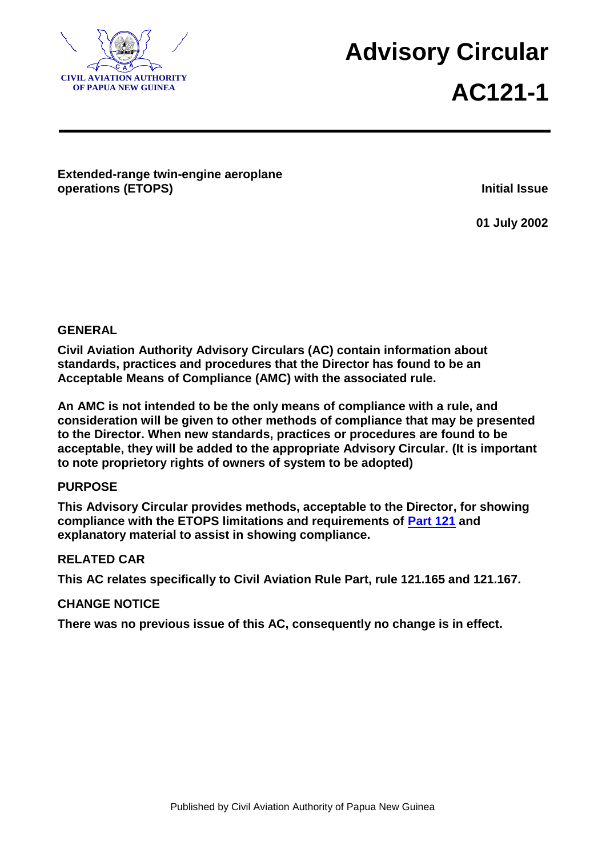

**<sup>A</sup> Advisory Circular AC121-1**

# **Extended-range twin-engine aeroplane operations (ETOPS) Initial Issue**

**01 July 2002**

## **GENERAL**

**Civil Aviation Authority Advisory Circulars (AC) contain information about standards, practices and procedures that the Director has found to be an Acceptable Means of Compliance (AMC) with the associated rule.**

**An AMC is not intended to be the only means of compliance with a rule, and consideration will be given to other methods of compliance that may be presented to the Director. When new standards, practices or procedures are found to be acceptable, they will be added to the appropriate Advisory Circular. (It is important to note proprietory rights of owners of system to be adopted)**

### **PURPOSE**

**This Advisory Circular provides methods, acceptable to the Director, for showing compliance with the ETOPS limitations and requirements of [Part 121](../Final%20Rules%20-%20Publishing/Part%20121%20Final%20Rule%20Publication%20Version%204.doc) and explanatory material to assist in showing compliance.**

### **RELATED CAR**

**This AC relates specifically to Civil Aviation Rule Part, rule 121.165 and 121.167.**

### **CHANGE NOTICE**

**There was no previous issue of this AC, consequently no change is in effect.**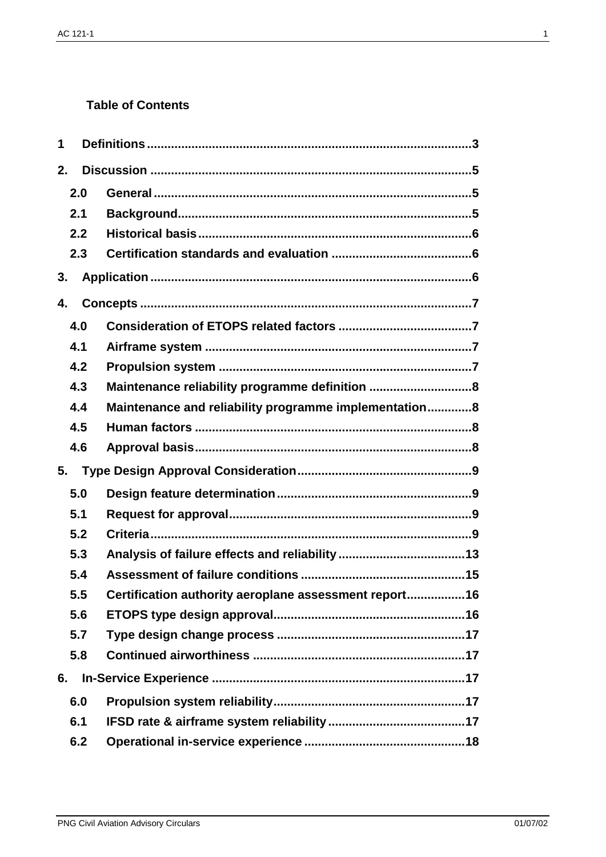# **Table of Contents**

| 1  |     |                                                        |
|----|-----|--------------------------------------------------------|
| 2. |     |                                                        |
|    | 2.0 |                                                        |
|    | 2.1 |                                                        |
|    | 2.2 |                                                        |
|    | 2.3 |                                                        |
| 3. |     |                                                        |
| 4. |     |                                                        |
|    | 4.0 |                                                        |
|    | 4.1 |                                                        |
|    | 4.2 |                                                        |
|    | 4.3 | Maintenance reliability programme definition 8         |
|    | 4.4 | Maintenance and reliability programme implementation8  |
|    | 4.5 |                                                        |
|    | 4.6 |                                                        |
| 5. |     |                                                        |
|    | 5.0 |                                                        |
|    | 5.1 |                                                        |
|    | 5.2 |                                                        |
|    | 5.3 |                                                        |
|    | 5.4 |                                                        |
|    | 5.5 | Certification authority aeroplane assessment report 16 |
|    | 5.6 |                                                        |
|    | 5.7 |                                                        |
|    | 5.8 |                                                        |
| 6. |     |                                                        |
|    | 6.0 |                                                        |
|    | 6.1 |                                                        |
|    | 6.2 |                                                        |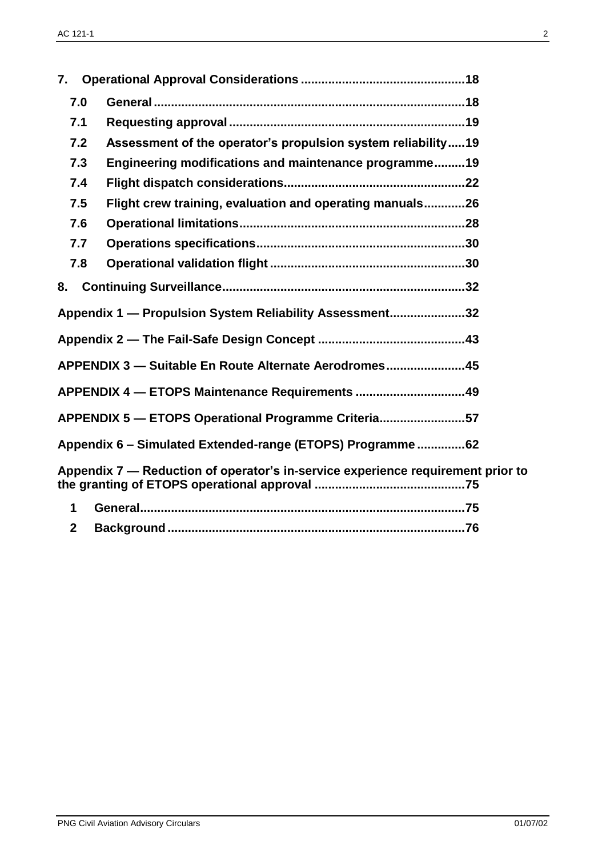| 7.                                                      |                                                                                 |  |  |  |
|---------------------------------------------------------|---------------------------------------------------------------------------------|--|--|--|
| 7.0                                                     |                                                                                 |  |  |  |
| 7.1                                                     |                                                                                 |  |  |  |
| 7.2                                                     | Assessment of the operator's propulsion system reliability19                    |  |  |  |
| 7.3                                                     | Engineering modifications and maintenance programme19                           |  |  |  |
| 7.4                                                     |                                                                                 |  |  |  |
| 7.5                                                     | Flight crew training, evaluation and operating manuals26                        |  |  |  |
| 7.6                                                     |                                                                                 |  |  |  |
| 7.7                                                     |                                                                                 |  |  |  |
| 7.8                                                     |                                                                                 |  |  |  |
| 8.                                                      |                                                                                 |  |  |  |
| Appendix 1 - Propulsion System Reliability Assessment32 |                                                                                 |  |  |  |
|                                                         |                                                                                 |  |  |  |
| APPENDIX 3 - Suitable En Route Alternate Aerodromes45   |                                                                                 |  |  |  |
|                                                         | APPENDIX 4 - ETOPS Maintenance Requirements 49                                  |  |  |  |
|                                                         | APPENDIX 5 - ETOPS Operational Programme Criteria57                             |  |  |  |
|                                                         | Appendix 6 - Simulated Extended-range (ETOPS) Programme62                       |  |  |  |
|                                                         | Appendix 7 - Reduction of operator's in-service experience requirement prior to |  |  |  |
| 1                                                       |                                                                                 |  |  |  |
| $\mathbf{2}$                                            |                                                                                 |  |  |  |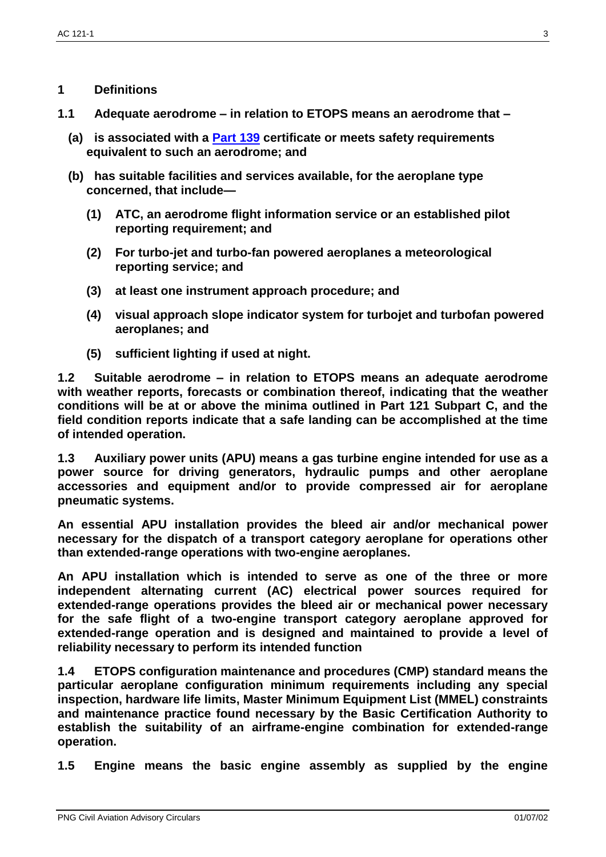### **1 Definitions**

- **1.1 Adequate aerodrome – in relation to ETOPS means an aerodrome that –**
	- **(a) is associated with a [Part 139](../Final%20Rules%20-%20Publishing/Part%20139%20Final%20Rule%20Publication%20Version4.doc) certificate or meets safety requirements equivalent to such an aerodrome; and**
	- **(b) has suitable facilities and services available, for the aeroplane type concerned, that include—**
		- **(1) ATC, an aerodrome flight information service or an established pilot reporting requirement; and**
		- **(2) For turbo-jet and turbo-fan powered aeroplanes a meteorological reporting service; and**
		- **(3) at least one instrument approach procedure; and**
		- **(4) visual approach slope indicator system for turbojet and turbofan powered aeroplanes; and**
		- **(5) sufficient lighting if used at night.**

**1.2 Suitable aerodrome – in relation to ETOPS means an adequate aerodrome with weather reports, forecasts or combination thereof, indicating that the weather conditions will be at or above the minima outlined in Part 121 Subpart C, and the field condition reports indicate that a safe landing can be accomplished at the time of intended operation.**

**1.3 Auxiliary power units (APU) means a gas turbine engine intended for use as a power source for driving generators, hydraulic pumps and other aeroplane accessories and equipment and/or to provide compressed air for aeroplane pneumatic systems.**

**An essential APU installation provides the bleed air and/or mechanical power necessary for the dispatch of a transport category aeroplane for operations other than extended-range operations with two-engine aeroplanes.**

**An APU installation which is intended to serve as one of the three or more independent alternating current (AC) electrical power sources required for extended-range operations provides the bleed air or mechanical power necessary for the safe flight of a two-engine transport category aeroplane approved for extended-range operation and is designed and maintained to provide a level of reliability necessary to perform its intended function**

**1.4 ETOPS configuration maintenance and procedures (CMP) standard means the particular aeroplane configuration minimum requirements including any special inspection, hardware life limits, Master Minimum Equipment List (MMEL) constraints and maintenance practice found necessary by the Basic Certification Authority to establish the suitability of an airframe-engine combination for extended-range operation.**

**1.5 Engine means the basic engine assembly as supplied by the engine**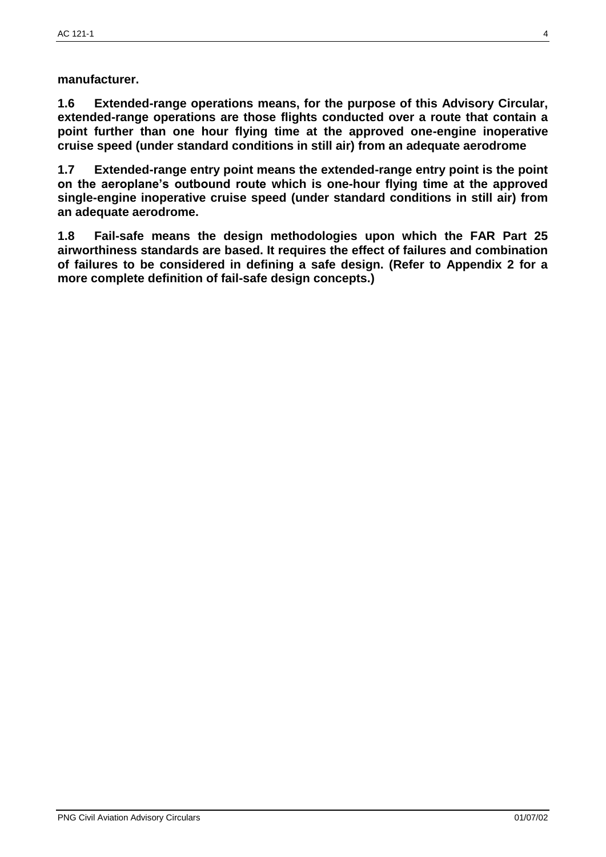**manufacturer.**

**1.6 Extended-range operations means, for the purpose of this Advisory Circular, extended-range operations are those flights conducted over a route that contain a point further than one hour flying time at the approved one-engine inoperative cruise speed (under standard conditions in still air) from an adequate aerodrome**

**1.7 Extended-range entry point means the extended-range entry point is the point on the aeroplane's outbound route which is one-hour flying time at the approved single-engine inoperative cruise speed (under standard conditions in still air) from an adequate aerodrome.**

**1.8 Fail-safe means the design methodologies upon which the FAR Part 25 airworthiness standards are based. It requires the effect of failures and combination of failures to be considered in defining a safe design. (Refer to Appendix 2 for a more complete definition of fail-safe design concepts.)**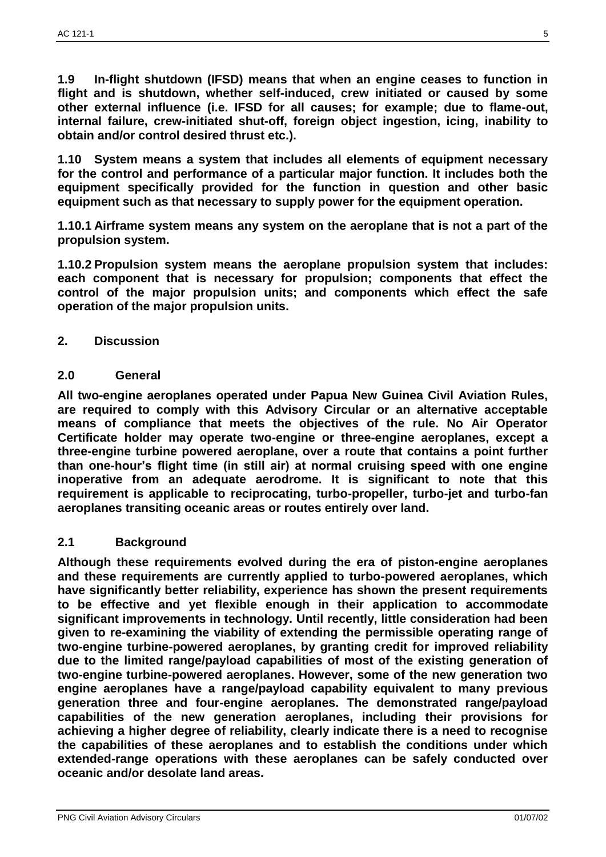**1.9 In-flight shutdown (IFSD) means that when an engine ceases to function in flight and is shutdown, whether self-induced, crew initiated or caused by some other external influence (i.e. IFSD for all causes; for example; due to flame-out, internal failure, crew-initiated shut-off, foreign object ingestion, icing, inability to obtain and/or control desired thrust etc.).**

**1.10 System means a system that includes all elements of equipment necessary for the control and performance of a particular major function. It includes both the equipment specifically provided for the function in question and other basic equipment such as that necessary to supply power for the equipment operation.**

**1.10.1 Airframe system means any system on the aeroplane that is not a part of the propulsion system.**

**1.10.2 Propulsion system means the aeroplane propulsion system that includes: each component that is necessary for propulsion; components that effect the control of the major propulsion units; and components which effect the safe operation of the major propulsion units.**

### **2. Discussion**

### **2.0 General**

**All two-engine aeroplanes operated under Papua New Guinea Civil Aviation Rules, are required to comply with this Advisory Circular or an alternative acceptable means of compliance that meets the objectives of the rule. No Air Operator Certificate holder may operate two-engine or three-engine aeroplanes, except a three-engine turbine powered aeroplane, over a route that contains a point further than one-hour's flight time (in still air) at normal cruising speed with one engine inoperative from an adequate aerodrome. It is significant to note that this requirement is applicable to reciprocating, turbo-propeller, turbo-jet and turbo-fan aeroplanes transiting oceanic areas or routes entirely over land.**

### **2.1 Background**

**Although these requirements evolved during the era of piston-engine aeroplanes and these requirements are currently applied to turbo-powered aeroplanes, which have significantly better reliability, experience has shown the present requirements to be effective and yet flexible enough in their application to accommodate significant improvements in technology. Until recently, little consideration had been given to re-examining the viability of extending the permissible operating range of two-engine turbine-powered aeroplanes, by granting credit for improved reliability due to the limited range/payload capabilities of most of the existing generation of two-engine turbine-powered aeroplanes. However, some of the new generation two engine aeroplanes have a range/payload capability equivalent to many previous generation three and four-engine aeroplanes. The demonstrated range/payload capabilities of the new generation aeroplanes, including their provisions for achieving a higher degree of reliability, clearly indicate there is a need to recognise the capabilities of these aeroplanes and to establish the conditions under which extended-range operations with these aeroplanes can be safely conducted over oceanic and/or desolate land areas.**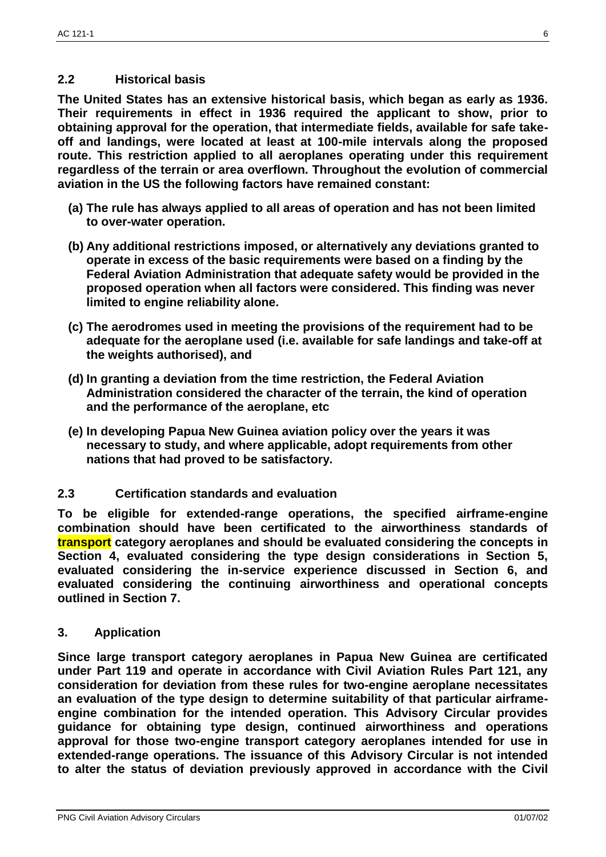### **2.2 Historical basis**

**The United States has an extensive historical basis, which began as early as 1936. Their requirements in effect in 1936 required the applicant to show, prior to obtaining approval for the operation, that intermediate fields, available for safe takeoff and landings, were located at least at 100-mile intervals along the proposed route. This restriction applied to all aeroplanes operating under this requirement regardless of the terrain or area overflown. Throughout the evolution of commercial aviation in the US the following factors have remained constant:**

- **(a) The rule has always applied to all areas of operation and has not been limited to over-water operation.**
- **(b) Any additional restrictions imposed, or alternatively any deviations granted to operate in excess of the basic requirements were based on a finding by the Federal Aviation Administration that adequate safety would be provided in the proposed operation when all factors were considered. This finding was never limited to engine reliability alone.**
- **(c) The aerodromes used in meeting the provisions of the requirement had to be adequate for the aeroplane used (i.e. available for safe landings and take-off at the weights authorised), and**
- **(d) In granting a deviation from the time restriction, the Federal Aviation Administration considered the character of the terrain, the kind of operation and the performance of the aeroplane, etc**
- **(e) In developing Papua New Guinea aviation policy over the years it was necessary to study, and where applicable, adopt requirements from other nations that had proved to be satisfactory.**

### **2.3 Certification standards and evaluation**

**To be eligible for extended-range operations, the specified airframe-engine combination should have been certificated to the airworthiness standards of transport category aeroplanes and should be evaluated considering the concepts in Section 4, evaluated considering the type design considerations in Section 5, evaluated considering the in-service experience discussed in Section 6, and evaluated considering the continuing airworthiness and operational concepts outlined in Section 7.**

**3. Application**

**Since large transport category aeroplanes in Papua New Guinea are certificated under Part 119 and operate in accordance with Civil Aviation Rules Part 121, any consideration for deviation from these rules for two-engine aeroplane necessitates an evaluation of the type design to determine suitability of that particular airframeengine combination for the intended operation. This Advisory Circular provides guidance for obtaining type design, continued airworthiness and operations approval for those two-engine transport category aeroplanes intended for use in extended-range operations. The issuance of this Advisory Circular is not intended to alter the status of deviation previously approved in accordance with the Civil**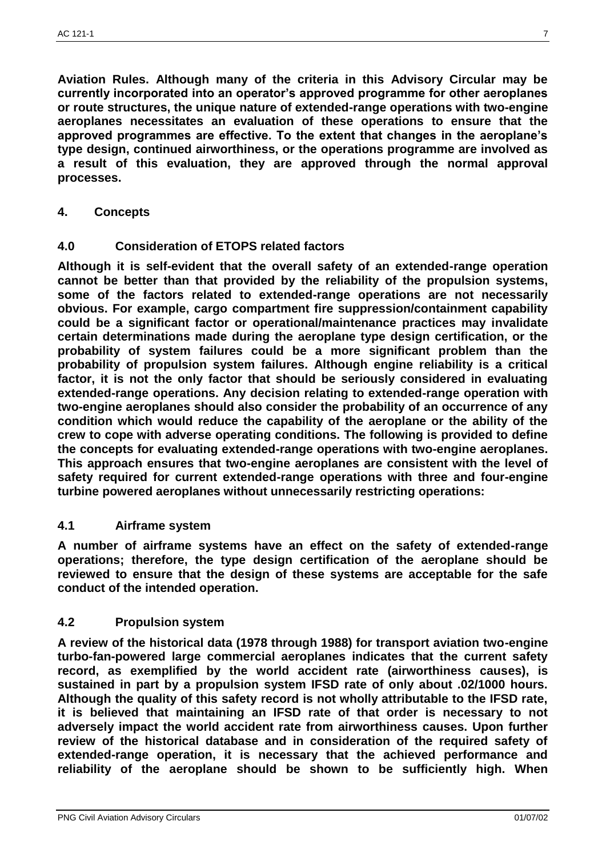**Aviation Rules. Although many of the criteria in this Advisory Circular may be currently incorporated into an operator's approved programme for other aeroplanes or route structures, the unique nature of extended-range operations with two-engine aeroplanes necessitates an evaluation of these operations to ensure that the approved programmes are effective. To the extent that changes in the aeroplane's type design, continued airworthiness, or the operations programme are involved as a result of this evaluation, they are approved through the normal approval processes.**

**4. Concepts**

#### **4.0 Consideration of ETOPS related factors**

**Although it is self-evident that the overall safety of an extended-range operation cannot be better than that provided by the reliability of the propulsion systems, some of the factors related to extended-range operations are not necessarily obvious. For example, cargo compartment fire suppression/containment capability could be a significant factor or operational/maintenance practices may invalidate certain determinations made during the aeroplane type design certification, or the probability of system failures could be a more significant problem than the probability of propulsion system failures. Although engine reliability is a critical factor, it is not the only factor that should be seriously considered in evaluating extended-range operations. Any decision relating to extended-range operation with two-engine aeroplanes should also consider the probability of an occurrence of any condition which would reduce the capability of the aeroplane or the ability of the crew to cope with adverse operating conditions. The following is provided to define the concepts for evaluating extended-range operations with two-engine aeroplanes. This approach ensures that two-engine aeroplanes are consistent with the level of safety required for current extended-range operations with three and four-engine turbine powered aeroplanes without unnecessarily restricting operations:**

#### **4.1 Airframe system**

**A number of airframe systems have an effect on the safety of extended-range operations; therefore, the type design certification of the aeroplane should be reviewed to ensure that the design of these systems are acceptable for the safe conduct of the intended operation.**

### **4.2 Propulsion system**

**A review of the historical data (1978 through 1988) for transport aviation two-engine turbo-fan-powered large commercial aeroplanes indicates that the current safety record, as exemplified by the world accident rate (airworthiness causes), is sustained in part by a propulsion system IFSD rate of only about .02/1000 hours. Although the quality of this safety record is not wholly attributable to the IFSD rate, it is believed that maintaining an IFSD rate of that order is necessary to not adversely impact the world accident rate from airworthiness causes. Upon further review of the historical database and in consideration of the required safety of extended-range operation, it is necessary that the achieved performance and reliability of the aeroplane should be shown to be sufficiently high. When**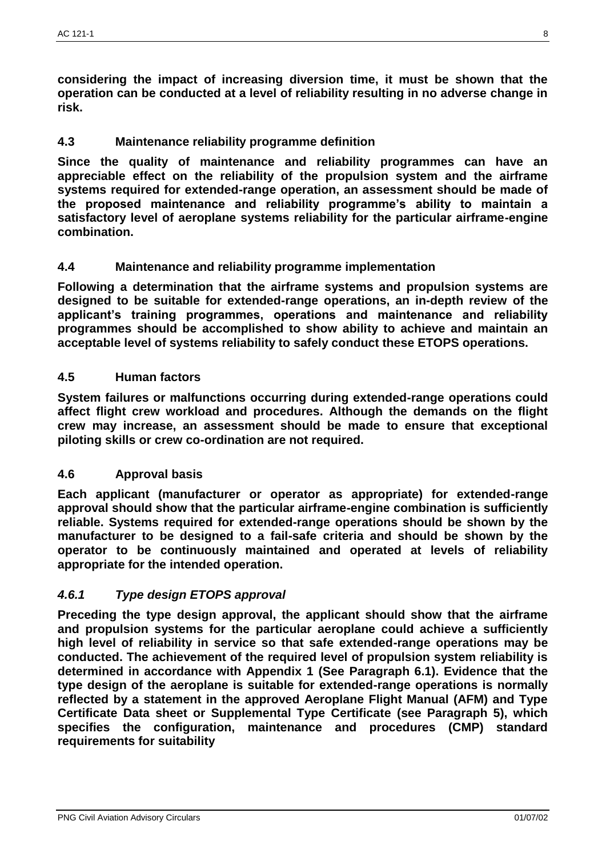**considering the impact of increasing diversion time, it must be shown that the operation can be conducted at a level of reliability resulting in no adverse change in risk.**

## **4.3 Maintenance reliability programme definition**

**Since the quality of maintenance and reliability programmes can have an appreciable effect on the reliability of the propulsion system and the airframe systems required for extended-range operation, an assessment should be made of the proposed maintenance and reliability programme's ability to maintain a satisfactory level of aeroplane systems reliability for the particular airframe-engine combination.**

### **4.4 Maintenance and reliability programme implementation**

**Following a determination that the airframe systems and propulsion systems are designed to be suitable for extended-range operations, an in-depth review of the applicant's training programmes, operations and maintenance and reliability programmes should be accomplished to show ability to achieve and maintain an acceptable level of systems reliability to safely conduct these ETOPS operations.**

### **4.5 Human factors**

**System failures or malfunctions occurring during extended-range operations could affect flight crew workload and procedures. Although the demands on the flight crew may increase, an assessment should be made to ensure that exceptional piloting skills or crew co-ordination are not required.**

### **4.6 Approval basis**

**Each applicant (manufacturer or operator as appropriate) for extended-range approval should show that the particular airframe-engine combination is sufficiently reliable. Systems required for extended-range operations should be shown by the manufacturer to be designed to a fail-safe criteria and should be shown by the operator to be continuously maintained and operated at levels of reliability appropriate for the intended operation.**

### *4.6.1 Type design ETOPS approval*

**Preceding the type design approval, the applicant should show that the airframe and propulsion systems for the particular aeroplane could achieve a sufficiently high level of reliability in service so that safe extended-range operations may be conducted. The achievement of the required level of propulsion system reliability is determined in accordance with Appendix 1 (See Paragraph 6.1). Evidence that the type design of the aeroplane is suitable for extended-range operations is normally reflected by a statement in the approved Aeroplane Flight Manual (AFM) and Type Certificate Data sheet or Supplemental Type Certificate (see Paragraph 5), which specifies the configuration, maintenance and procedures (CMP) standard requirements for suitability**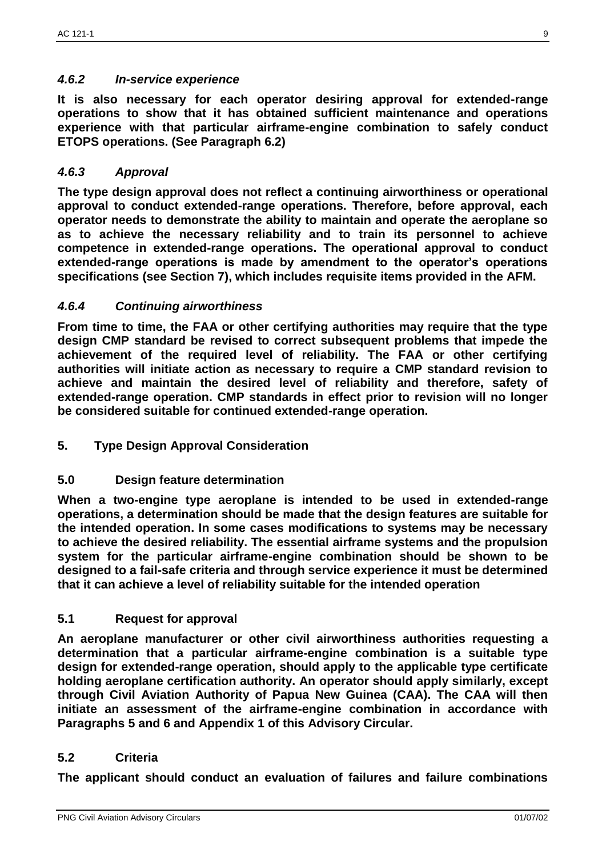### *4.6.2 In-service experience*

**It is also necessary for each operator desiring approval for extended-range operations to show that it has obtained sufficient maintenance and operations experience with that particular airframe-engine combination to safely conduct ETOPS operations. (See Paragraph 6.2)**

### *4.6.3 Approval*

**The type design approval does not reflect a continuing airworthiness or operational approval to conduct extended-range operations. Therefore, before approval, each operator needs to demonstrate the ability to maintain and operate the aeroplane so as to achieve the necessary reliability and to train its personnel to achieve competence in extended-range operations. The operational approval to conduct extended-range operations is made by amendment to the operator's operations specifications (see Section 7), which includes requisite items provided in the AFM.**

## *4.6.4 Continuing airworthiness*

**From time to time, the FAA or other certifying authorities may require that the type design CMP standard be revised to correct subsequent problems that impede the achievement of the required level of reliability. The FAA or other certifying authorities will initiate action as necessary to require a CMP standard revision to achieve and maintain the desired level of reliability and therefore, safety of extended-range operation. CMP standards in effect prior to revision will no longer be considered suitable for continued extended-range operation.**

**5. Type Design Approval Consideration**

### **5.0 Design feature determination**

**When a two-engine type aeroplane is intended to be used in extended-range operations, a determination should be made that the design features are suitable for the intended operation. In some cases modifications to systems may be necessary to achieve the desired reliability. The essential airframe systems and the propulsion system for the particular airframe-engine combination should be shown to be designed to a fail-safe criteria and through service experience it must be determined that it can achieve a level of reliability suitable for the intended operation**

### **5.1 Request for approval**

**An aeroplane manufacturer or other civil airworthiness authorities requesting a determination that a particular airframe-engine combination is a suitable type design for extended-range operation, should apply to the applicable type certificate holding aeroplane certification authority. An operator should apply similarly, except through Civil Aviation Authority of Papua New Guinea (CAA). The CAA will then initiate an assessment of the airframe-engine combination in accordance with Paragraphs 5 and 6 and Appendix 1 of this Advisory Circular.**

### **5.2 Criteria**

**The applicant should conduct an evaluation of failures and failure combinations**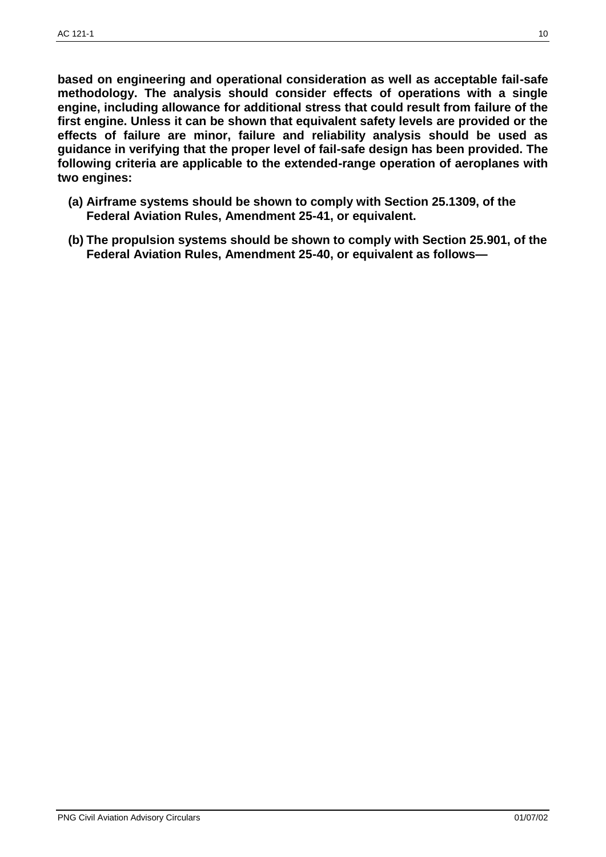**based on engineering and operational consideration as well as acceptable fail-safe methodology. The analysis should consider effects of operations with a single engine, including allowance for additional stress that could result from failure of the first engine. Unless it can be shown that equivalent safety levels are provided or the effects of failure are minor, failure and reliability analysis should be used as guidance in verifying that the proper level of fail-safe design has been provided. The following criteria are applicable to the extended-range operation of aeroplanes with two engines:**

- **(a) Airframe systems should be shown to comply with Section 25.1309, of the Federal Aviation Rules, Amendment 25-41, or equivalent.**
- **(b) The propulsion systems should be shown to comply with Section 25.901, of the Federal Aviation Rules, Amendment 25-40, or equivalent as follows—**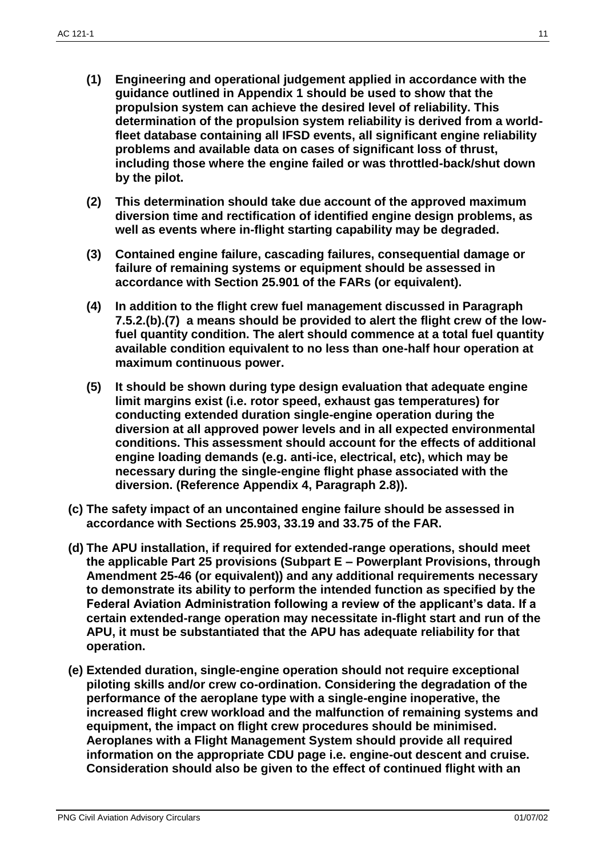- **(1) Engineering and operational judgement applied in accordance with the guidance outlined in Appendix 1 should be used to show that the propulsion system can achieve the desired level of reliability. This determination of the propulsion system reliability is derived from a worldfleet database containing all IFSD events, all significant engine reliability problems and available data on cases of significant loss of thrust, including those where the engine failed or was throttled-back/shut down by the pilot.**
- **(2) This determination should take due account of the approved maximum diversion time and rectification of identified engine design problems, as well as events where in-flight starting capability may be degraded.**
- **(3) Contained engine failure, cascading failures, consequential damage or failure of remaining systems or equipment should be assessed in accordance with Section 25.901 of the FARs (or equivalent).**
- **(4) In addition to the flight crew fuel management discussed in Paragraph 7.5.2.(b).(7) a means should be provided to alert the flight crew of the lowfuel quantity condition. The alert should commence at a total fuel quantity available condition equivalent to no less than one-half hour operation at maximum continuous power.**
- **(5) It should be shown during type design evaluation that adequate engine limit margins exist (i.e. rotor speed, exhaust gas temperatures) for conducting extended duration single-engine operation during the diversion at all approved power levels and in all expected environmental conditions. This assessment should account for the effects of additional engine loading demands (e.g. anti-ice, electrical, etc), which may be necessary during the single-engine flight phase associated with the diversion. (Reference Appendix 4, Paragraph 2.8)).**
- **(c) The safety impact of an uncontained engine failure should be assessed in accordance with Sections 25.903, 33.19 and 33.75 of the FAR.**
- **(d) The APU installation, if required for extended-range operations, should meet the applicable Part 25 provisions (Subpart E – Powerplant Provisions, through Amendment 25-46 (or equivalent)) and any additional requirements necessary to demonstrate its ability to perform the intended function as specified by the Federal Aviation Administration following a review of the applicant's data. If a certain extended-range operation may necessitate in-flight start and run of the APU, it must be substantiated that the APU has adequate reliability for that operation.**
- **(e) Extended duration, single-engine operation should not require exceptional piloting skills and/or crew co-ordination. Considering the degradation of the performance of the aeroplane type with a single-engine inoperative, the increased flight crew workload and the malfunction of remaining systems and equipment, the impact on flight crew procedures should be minimised. Aeroplanes with a Flight Management System should provide all required information on the appropriate CDU page i.e. engine-out descent and cruise. Consideration should also be given to the effect of continued flight with an**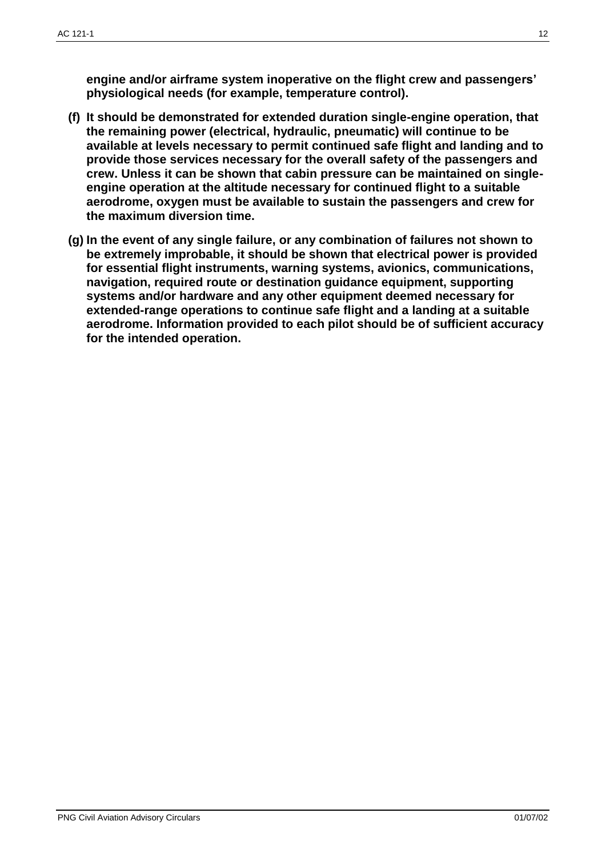**engine and/or airframe system inoperative on the flight crew and passengers' physiological needs (for example, temperature control).**

- **(f) It should be demonstrated for extended duration single-engine operation, that the remaining power (electrical, hydraulic, pneumatic) will continue to be available at levels necessary to permit continued safe flight and landing and to provide those services necessary for the overall safety of the passengers and crew. Unless it can be shown that cabin pressure can be maintained on singleengine operation at the altitude necessary for continued flight to a suitable aerodrome, oxygen must be available to sustain the passengers and crew for the maximum diversion time.**
- **(g) In the event of any single failure, or any combination of failures not shown to be extremely improbable, it should be shown that electrical power is provided for essential flight instruments, warning systems, avionics, communications, navigation, required route or destination guidance equipment, supporting systems and/or hardware and any other equipment deemed necessary for extended-range operations to continue safe flight and a landing at a suitable aerodrome. Information provided to each pilot should be of sufficient accuracy for the intended operation.**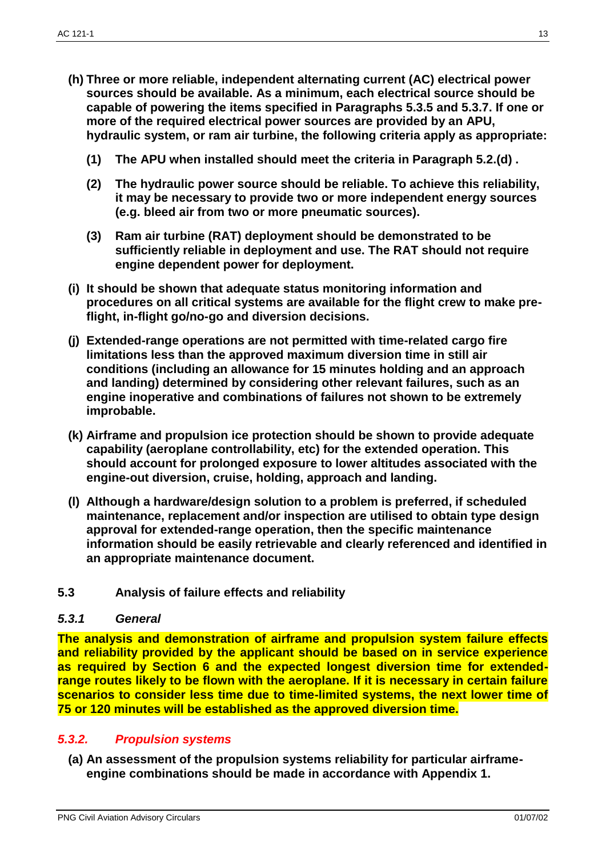- **(h) Three or more reliable, independent alternating current (AC) electrical power sources should be available. As a minimum, each electrical source should be capable of powering the items specified in Paragraphs 5.3.5 and 5.3.7. If one or more of the required electrical power sources are provided by an APU, hydraulic system, or ram air turbine, the following criteria apply as appropriate:**
	- **(1) The APU when installed should meet the criteria in Paragraph 5.2.(d) .**
	- **(2) The hydraulic power source should be reliable. To achieve this reliability, it may be necessary to provide two or more independent energy sources (e.g. bleed air from two or more pneumatic sources).**
	- **(3) Ram air turbine (RAT) deployment should be demonstrated to be sufficiently reliable in deployment and use. The RAT should not require engine dependent power for deployment.**
- **(i) It should be shown that adequate status monitoring information and procedures on all critical systems are available for the flight crew to make preflight, in-flight go/no-go and diversion decisions.**
- **(j) Extended-range operations are not permitted with time-related cargo fire limitations less than the approved maximum diversion time in still air conditions (including an allowance for 15 minutes holding and an approach and landing) determined by considering other relevant failures, such as an engine inoperative and combinations of failures not shown to be extremely improbable.**
- **(k) Airframe and propulsion ice protection should be shown to provide adequate capability (aeroplane controllability, etc) for the extended operation. This should account for prolonged exposure to lower altitudes associated with the engine-out diversion, cruise, holding, approach and landing.**
- **(l) Although a hardware/design solution to a problem is preferred, if scheduled maintenance, replacement and/or inspection are utilised to obtain type design approval for extended-range operation, then the specific maintenance information should be easily retrievable and clearly referenced and identified in an appropriate maintenance document.**
- **5.3 Analysis of failure effects and reliability**

#### *5.3.1 General*

**The analysis and demonstration of airframe and propulsion system failure effects and reliability provided by the applicant should be based on in service experience as required by Section 6 and the expected longest diversion time for extendedrange routes likely to be flown with the aeroplane. If it is necessary in certain failure scenarios to consider less time due to time-limited systems, the next lower time of 75 or 120 minutes will be established as the approved diversion time.**

### *5.3.2. Propulsion systems*

**(a) An assessment of the propulsion systems reliability for particular airframeengine combinations should be made in accordance with Appendix 1.**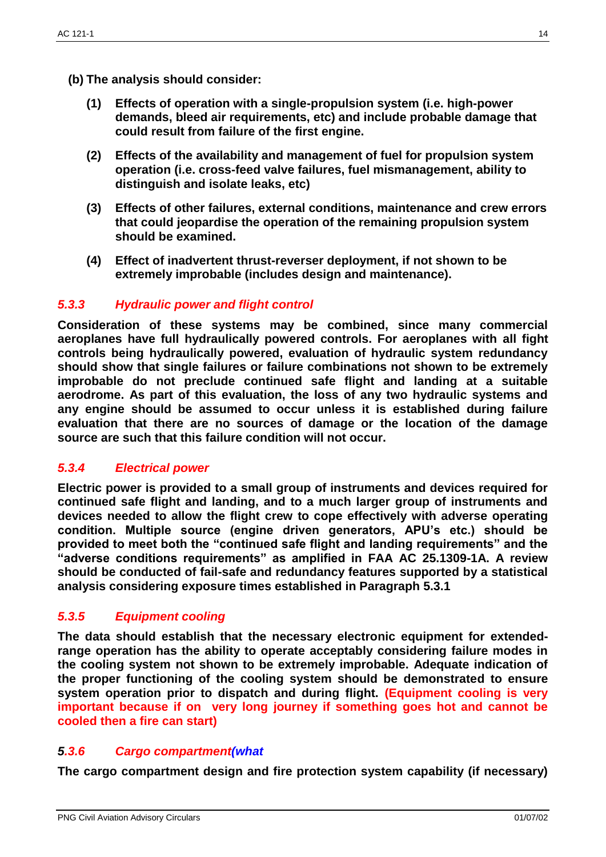- **(b) The analysis should consider:**
	- **(1) Effects of operation with a single-propulsion system (i.e. high-power demands, bleed air requirements, etc) and include probable damage that could result from failure of the first engine.**
	- **(2) Effects of the availability and management of fuel for propulsion system operation (i.e. cross-feed valve failures, fuel mismanagement, ability to distinguish and isolate leaks, etc)**
	- **(3) Effects of other failures, external conditions, maintenance and crew errors that could jeopardise the operation of the remaining propulsion system should be examined.**
	- **(4) Effect of inadvertent thrust-reverser deployment, if not shown to be extremely improbable (includes design and maintenance).**

### *5.3.3 Hydraulic power and flight control*

**Consideration of these systems may be combined, since many commercial aeroplanes have full hydraulically powered controls. For aeroplanes with all fight controls being hydraulically powered, evaluation of hydraulic system redundancy should show that single failures or failure combinations not shown to be extremely improbable do not preclude continued safe flight and landing at a suitable aerodrome. As part of this evaluation, the loss of any two hydraulic systems and any engine should be assumed to occur unless it is established during failure evaluation that there are no sources of damage or the location of the damage source are such that this failure condition will not occur.**

### *5.3.4 Electrical power*

**Electric power is provided to a small group of instruments and devices required for continued safe flight and landing, and to a much larger group of instruments and devices needed to allow the flight crew to cope effectively with adverse operating condition. Multiple source (engine driven generators, APU's etc.) should be provided to meet both the "continued safe flight and landing requirements" and the "adverse conditions requirements" as amplified in FAA AC 25.1309-1A. A review should be conducted of fail-safe and redundancy features supported by a statistical analysis considering exposure times established in Paragraph 5.3.1**

### *5.3.5 Equipment cooling*

**The data should establish that the necessary electronic equipment for extendedrange operation has the ability to operate acceptably considering failure modes in the cooling system not shown to be extremely improbable. Adequate indication of the proper functioning of the cooling system should be demonstrated to ensure system operation prior to dispatch and during flight. (Equipment cooling is very important because if on very long journey if something goes hot and cannot be cooled then a fire can start)**

### *5.3.6 Cargo compartment(what*

**The cargo compartment design and fire protection system capability (if necessary)**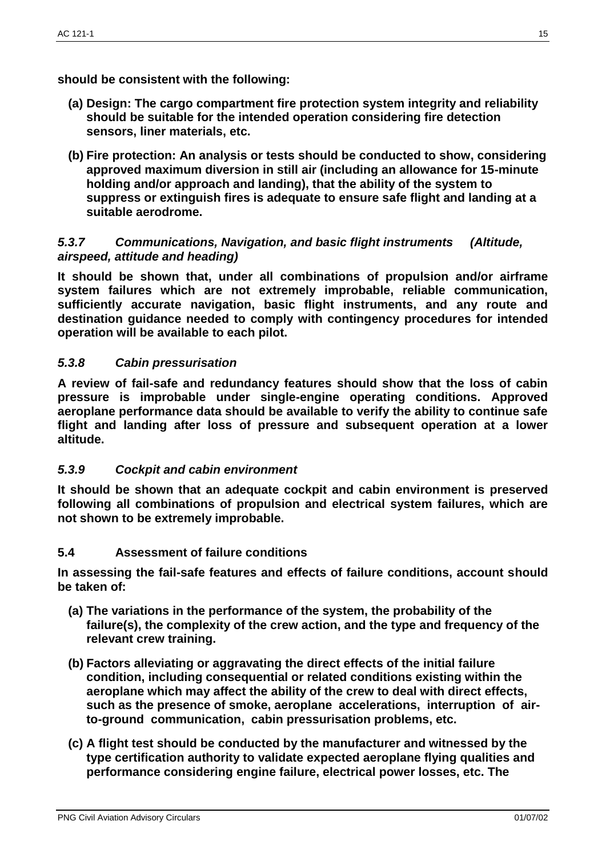**should be consistent with the following:**

- **(a) Design: The cargo compartment fire protection system integrity and reliability should be suitable for the intended operation considering fire detection sensors, liner materials, etc.**
- **(b) Fire protection: An analysis or tests should be conducted to show, considering approved maximum diversion in still air (including an allowance for 15-minute holding and/or approach and landing), that the ability of the system to suppress or extinguish fires is adequate to ensure safe flight and landing at a suitable aerodrome.**

### *5.3.7 Communications, Navigation, and basic flight instruments (Altitude, airspeed, attitude and heading)*

**It should be shown that, under all combinations of propulsion and/or airframe system failures which are not extremely improbable, reliable communication, sufficiently accurate navigation, basic flight instruments, and any route and destination guidance needed to comply with contingency procedures for intended operation will be available to each pilot.**

## *5.3.8 Cabin pressurisation*

**A review of fail-safe and redundancy features should show that the loss of cabin pressure is improbable under single-engine operating conditions. Approved aeroplane performance data should be available to verify the ability to continue safe flight and landing after loss of pressure and subsequent operation at a lower altitude.**

### *5.3.9 Cockpit and cabin environment*

**It should be shown that an adequate cockpit and cabin environment is preserved following all combinations of propulsion and electrical system failures, which are not shown to be extremely improbable.**

### **5.4 Assessment of failure conditions**

**In assessing the fail-safe features and effects of failure conditions, account should be taken of:**

- **(a) The variations in the performance of the system, the probability of the failure(s), the complexity of the crew action, and the type and frequency of the relevant crew training.**
- **(b) Factors alleviating or aggravating the direct effects of the initial failure condition, including consequential or related conditions existing within the aeroplane which may affect the ability of the crew to deal with direct effects, such as the presence of smoke, aeroplane accelerations, interruption of airto-ground communication, cabin pressurisation problems, etc.**
- **(c) A flight test should be conducted by the manufacturer and witnessed by the type certification authority to validate expected aeroplane flying qualities and performance considering engine failure, electrical power losses, etc. The**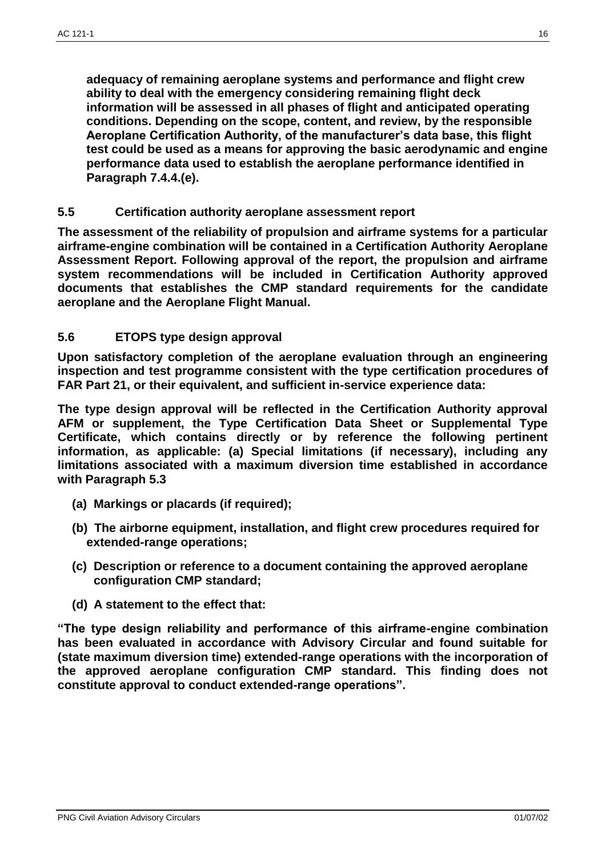**adequacy of remaining aeroplane systems and performance and flight crew ability to deal with the emergency considering remaining flight deck information will be assessed in all phases of flight and anticipated operating conditions. Depending on the scope, content, and review, by the responsible Aeroplane Certification Authority, of the manufacturer's data base, this flight test could be used as a means for approving the basic aerodynamic and engine performance data used to establish the aeroplane performance identified in Paragraph 7.4.4.(e).**

#### **5.5 Certification authority aeroplane assessment report**

**The assessment of the reliability of propulsion and airframe systems for a particular airframe-engine combination will be contained in a Certification Authority Aeroplane Assessment Report. Following approval of the report, the propulsion and airframe system recommendations will be included in Certification Authority approved documents that establishes the CMP standard requirements for the candidate aeroplane and the Aeroplane Flight Manual.**

#### **5.6 ETOPS type design approval**

**Upon satisfactory completion of the aeroplane evaluation through an engineering inspection and test programme consistent with the type certification procedures of FAR Part 21, or their equivalent, and sufficient in-service experience data:**

**The type design approval will be reflected in the Certification Authority approval AFM or supplement, the Type Certification Data Sheet or Supplemental Type Certificate, which contains directly or by reference the following pertinent information, as applicable: (a) Special limitations (if necessary), including any limitations associated with a maximum diversion time established in accordance with Paragraph 5.3**

- **(a) Markings or placards (if required);**
- **(b) The airborne equipment, installation, and flight crew procedures required for extended-range operations;**
- **(c) Description or reference to a document containing the approved aeroplane configuration CMP standard;**
- **(d) A statement to the effect that:**

**"The type design reliability and performance of this airframe-engine combination has been evaluated in accordance with Advisory Circular and found suitable for (state maximum diversion time) extended-range operations with the incorporation of the approved aeroplane configuration CMP standard. This finding does not constitute approval to conduct extended-range operations".**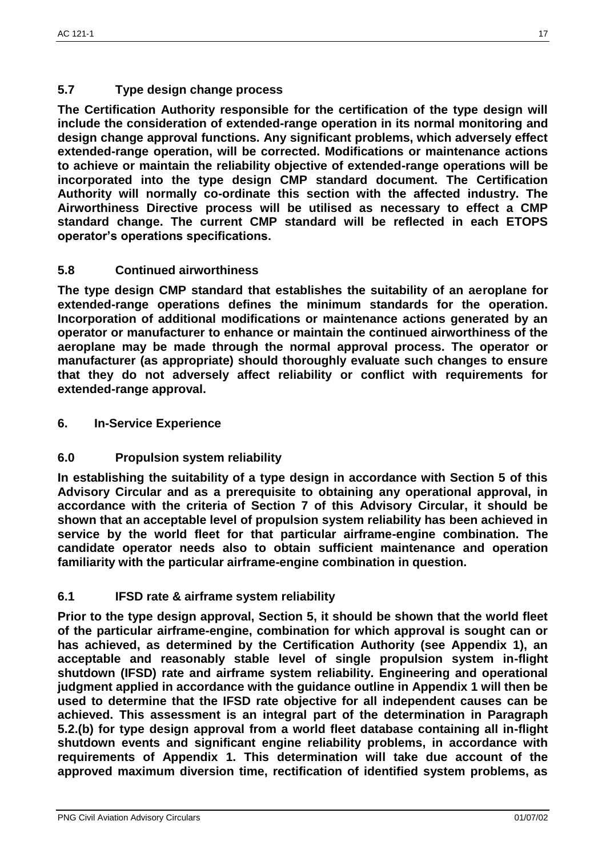# **5.7 Type design change process**

**The Certification Authority responsible for the certification of the type design will include the consideration of extended-range operation in its normal monitoring and design change approval functions. Any significant problems, which adversely effect extended-range operation, will be corrected. Modifications or maintenance actions to achieve or maintain the reliability objective of extended-range operations will be incorporated into the type design CMP standard document. The Certification Authority will normally co-ordinate this section with the affected industry. The Airworthiness Directive process will be utilised as necessary to effect a CMP standard change. The current CMP standard will be reflected in each ETOPS operator's operations specifications.**

# **5.8 Continued airworthiness**

**The type design CMP standard that establishes the suitability of an aeroplane for extended-range operations defines the minimum standards for the operation. Incorporation of additional modifications or maintenance actions generated by an operator or manufacturer to enhance or maintain the continued airworthiness of the aeroplane may be made through the normal approval process. The operator or manufacturer (as appropriate) should thoroughly evaluate such changes to ensure that they do not adversely affect reliability or conflict with requirements for extended-range approval.**

**6. In-Service Experience**

# **6.0 Propulsion system reliability**

**In establishing the suitability of a type design in accordance with Section 5 of this Advisory Circular and as a prerequisite to obtaining any operational approval, in accordance with the criteria of Section 7 of this Advisory Circular, it should be shown that an acceptable level of propulsion system reliability has been achieved in service by the world fleet for that particular airframe-engine combination. The candidate operator needs also to obtain sufficient maintenance and operation familiarity with the particular airframe-engine combination in question.**

### **6.1 IFSD rate & airframe system reliability**

**Prior to the type design approval, Section 5, it should be shown that the world fleet of the particular airframe-engine, combination for which approval is sought can or has achieved, as determined by the Certification Authority (see Appendix 1), an acceptable and reasonably stable level of single propulsion system in-flight shutdown (IFSD) rate and airframe system reliability. Engineering and operational judgment applied in accordance with the guidance outline in Appendix 1 will then be used to determine that the IFSD rate objective for all independent causes can be achieved. This assessment is an integral part of the determination in Paragraph 5.2.(b) for type design approval from a world fleet database containing all in-flight shutdown events and significant engine reliability problems, in accordance with requirements of Appendix 1. This determination will take due account of the approved maximum diversion time, rectification of identified system problems, as**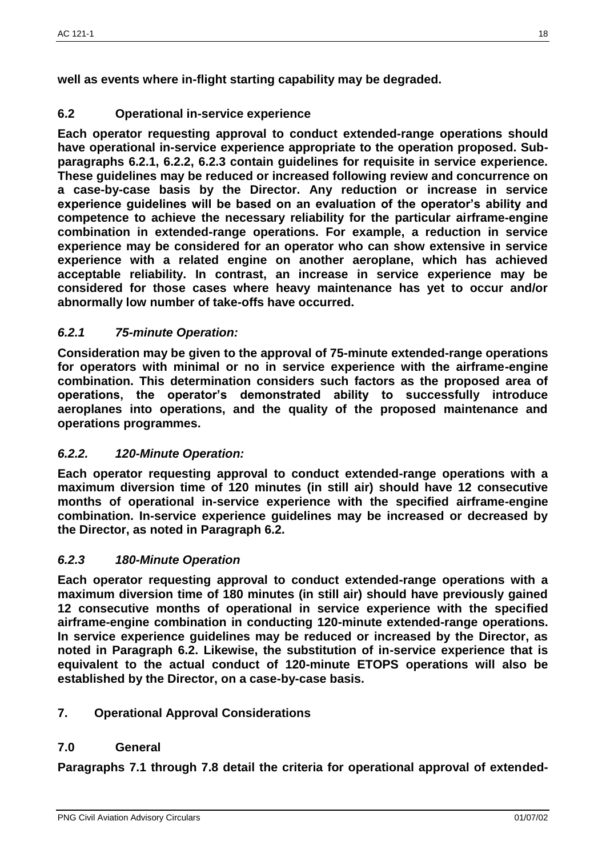**well as events where in-flight starting capability may be degraded.**

## **6.2 Operational in-service experience**

**Each operator requesting approval to conduct extended-range operations should have operational in-service experience appropriate to the operation proposed. Subparagraphs 6.2.1, 6.2.2, 6.2.3 contain guidelines for requisite in service experience. These guidelines may be reduced or increased following review and concurrence on a case-by-case basis by the Director. Any reduction or increase in service experience guidelines will be based on an evaluation of the operator's ability and competence to achieve the necessary reliability for the particular airframe-engine combination in extended-range operations. For example, a reduction in service experience may be considered for an operator who can show extensive in service experience with a related engine on another aeroplane, which has achieved acceptable reliability. In contrast, an increase in service experience may be considered for those cases where heavy maintenance has yet to occur and/or abnormally low number of take-offs have occurred.**

## *6.2.1 75-minute Operation:*

**Consideration may be given to the approval of 75-minute extended-range operations for operators with minimal or no in service experience with the airframe-engine combination. This determination considers such factors as the proposed area of operations, the operator's demonstrated ability to successfully introduce aeroplanes into operations, and the quality of the proposed maintenance and operations programmes.**

### *6.2.2. 120-Minute Operation:*

**Each operator requesting approval to conduct extended-range operations with a maximum diversion time of 120 minutes (in still air) should have 12 consecutive months of operational in-service experience with the specified airframe-engine combination. In-service experience guidelines may be increased or decreased by the Director, as noted in Paragraph 6.2.**

### *6.2.3 180-Minute Operation*

**Each operator requesting approval to conduct extended-range operations with a maximum diversion time of 180 minutes (in still air) should have previously gained 12 consecutive months of operational in service experience with the specified airframe-engine combination in conducting 120-minute extended-range operations. In service experience guidelines may be reduced or increased by the Director, as noted in Paragraph 6.2. Likewise, the substitution of in-service experience that is equivalent to the actual conduct of 120-minute ETOPS operations will also be established by the Director, on a case-by-case basis.**

# **7. Operational Approval Considerations**

### **7.0 General**

**Paragraphs 7.1 through 7.8 detail the criteria for operational approval of extended-**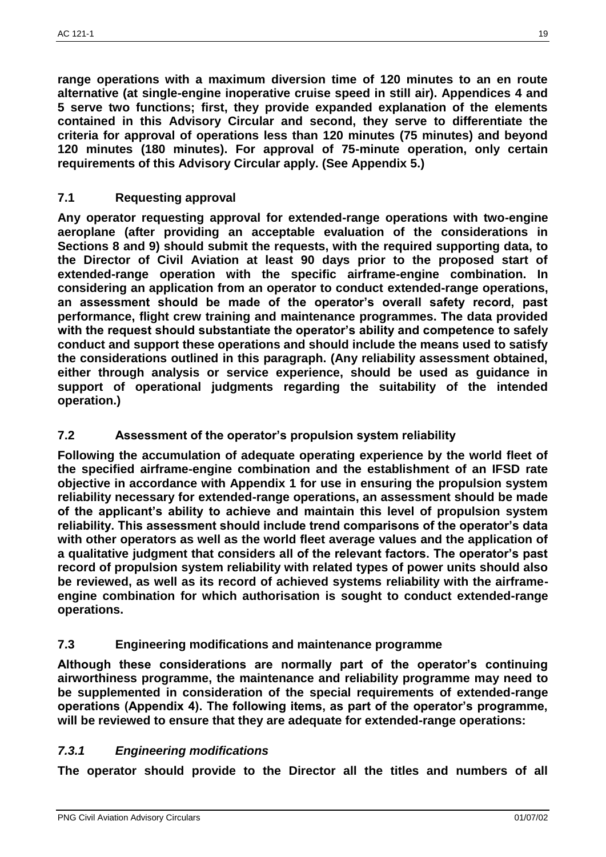**range operations with a maximum diversion time of 120 minutes to an en route alternative (at single-engine inoperative cruise speed in still air). Appendices 4 and 5 serve two functions; first, they provide expanded explanation of the elements contained in this Advisory Circular and second, they serve to differentiate the criteria for approval of operations less than 120 minutes (75 minutes) and beyond 120 minutes (180 minutes). For approval of 75-minute operation, only certain requirements of this Advisory Circular apply. (See Appendix 5.)**

## **7.1 Requesting approval**

**Any operator requesting approval for extended-range operations with two-engine aeroplane (after providing an acceptable evaluation of the considerations in Sections 8 and 9) should submit the requests, with the required supporting data, to the Director of Civil Aviation at least 90 days prior to the proposed start of extended-range operation with the specific airframe-engine combination. In considering an application from an operator to conduct extended-range operations, an assessment should be made of the operator's overall safety record, past performance, flight crew training and maintenance programmes. The data provided with the request should substantiate the operator's ability and competence to safely conduct and support these operations and should include the means used to satisfy the considerations outlined in this paragraph. (Any reliability assessment obtained, either through analysis or service experience, should be used as guidance in support of operational judgments regarding the suitability of the intended operation.)**

# **7.2 Assessment of the operator's propulsion system reliability**

**Following the accumulation of adequate operating experience by the world fleet of the specified airframe-engine combination and the establishment of an IFSD rate objective in accordance with Appendix 1 for use in ensuring the propulsion system reliability necessary for extended-range operations, an assessment should be made of the applicant's ability to achieve and maintain this level of propulsion system reliability. This assessment should include trend comparisons of the operator's data with other operators as well as the world fleet average values and the application of a qualitative judgment that considers all of the relevant factors. The operator's past record of propulsion system reliability with related types of power units should also be reviewed, as well as its record of achieved systems reliability with the airframeengine combination for which authorisation is sought to conduct extended-range operations.**

# **7.3 Engineering modifications and maintenance programme**

**Although these considerations are normally part of the operator's continuing airworthiness programme, the maintenance and reliability programme may need to be supplemented in consideration of the special requirements of extended-range operations (Appendix 4). The following items, as part of the operator's programme, will be reviewed to ensure that they are adequate for extended-range operations:**

### *7.3.1 Engineering modifications*

**The operator should provide to the Director all the titles and numbers of all**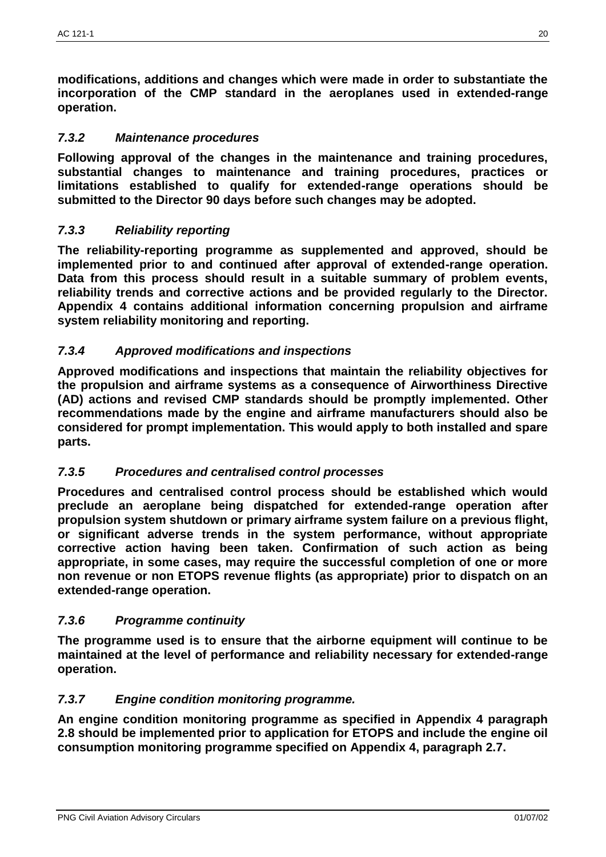**modifications, additions and changes which were made in order to substantiate the incorporation of the CMP standard in the aeroplanes used in extended-range operation.**

## *7.3.2 Maintenance procedures*

**Following approval of the changes in the maintenance and training procedures, substantial changes to maintenance and training procedures, practices or limitations established to qualify for extended-range operations should be submitted to the Director 90 days before such changes may be adopted.**

## *7.3.3 Reliability reporting*

**The reliability-reporting programme as supplemented and approved, should be implemented prior to and continued after approval of extended-range operation. Data from this process should result in a suitable summary of problem events, reliability trends and corrective actions and be provided regularly to the Director. Appendix 4 contains additional information concerning propulsion and airframe system reliability monitoring and reporting.**

## *7.3.4 Approved modifications and inspections*

**Approved modifications and inspections that maintain the reliability objectives for the propulsion and airframe systems as a consequence of Airworthiness Directive (AD) actions and revised CMP standards should be promptly implemented. Other recommendations made by the engine and airframe manufacturers should also be considered for prompt implementation. This would apply to both installed and spare parts.**

### *7.3.5 Procedures and centralised control processes*

**Procedures and centralised control process should be established which would preclude an aeroplane being dispatched for extended-range operation after propulsion system shutdown or primary airframe system failure on a previous flight, or significant adverse trends in the system performance, without appropriate corrective action having been taken. Confirmation of such action as being appropriate, in some cases, may require the successful completion of one or more non revenue or non ETOPS revenue flights (as appropriate) prior to dispatch on an extended-range operation.**

# *7.3.6 Programme continuity*

**The programme used is to ensure that the airborne equipment will continue to be maintained at the level of performance and reliability necessary for extended-range operation.**

### *7.3.7 Engine condition monitoring programme.*

**An engine condition monitoring programme as specified in Appendix 4 paragraph 2.8 should be implemented prior to application for ETOPS and include the engine oil consumption monitoring programme specified on Appendix 4, paragraph 2.7.**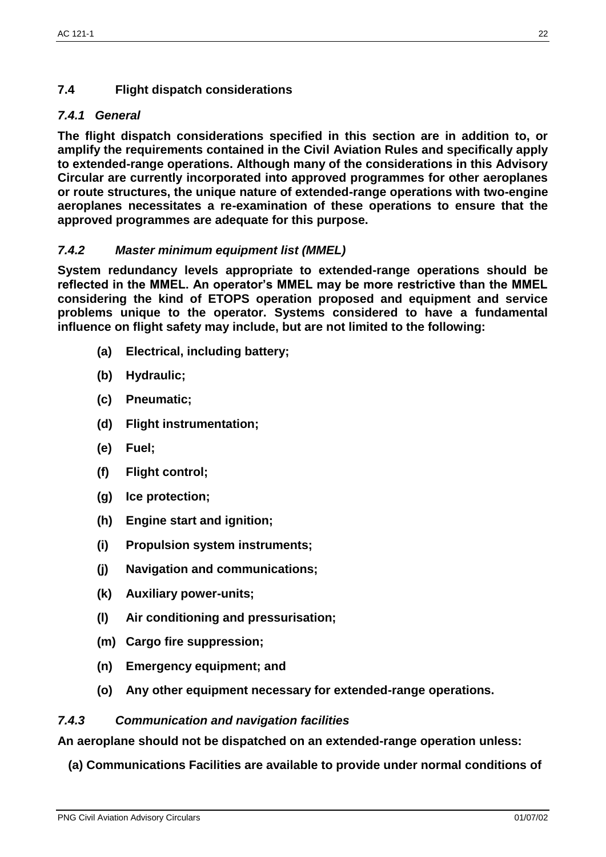# **7.4 Flight dispatch considerations**

# *7.4.1 General*

**The flight dispatch considerations specified in this section are in addition to, or amplify the requirements contained in the Civil Aviation Rules and specifically apply to extended-range operations. Although many of the considerations in this Advisory Circular are currently incorporated into approved programmes for other aeroplanes or route structures, the unique nature of extended-range operations with two-engine aeroplanes necessitates a re-examination of these operations to ensure that the approved programmes are adequate for this purpose.**

# *7.4.2 Master minimum equipment list (MMEL)*

**System redundancy levels appropriate to extended-range operations should be reflected in the MMEL. An operator's MMEL may be more restrictive than the MMEL considering the kind of ETOPS operation proposed and equipment and service problems unique to the operator. Systems considered to have a fundamental influence on flight safety may include, but are not limited to the following:**

- **(a) Electrical, including battery;**
- **(b) Hydraulic;**
- **(c) Pneumatic;**
- **(d) Flight instrumentation;**
- **(e) Fuel;**
- **(f) Flight control;**
- **(g) Ice protection;**
- **(h) Engine start and ignition;**
- **(i) Propulsion system instruments;**
- **(j) Navigation and communications;**
- **(k) Auxiliary power-units;**
- **(l) Air conditioning and pressurisation;**
- **(m) Cargo fire suppression;**
- **(n) Emergency equipment; and**
- **(o) Any other equipment necessary for extended-range operations.**

# *7.4.3 Communication and navigation facilities*

**An aeroplane should not be dispatched on an extended-range operation unless:**

**(a) Communications Facilities are available to provide under normal conditions of**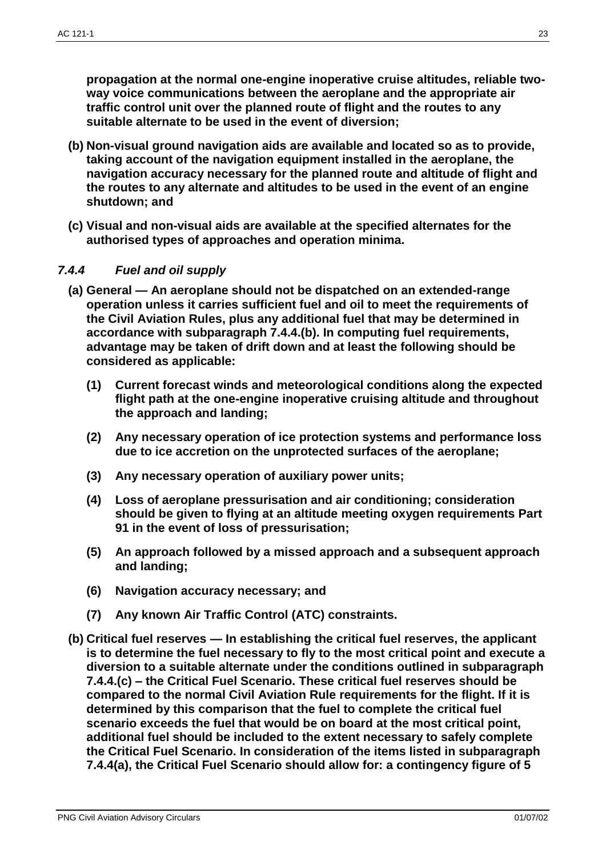**propagation at the normal one-engine inoperative cruise altitudes, reliable twoway voice communications between the aeroplane and the appropriate air traffic control unit over the planned route of flight and the routes to any suitable alternate to be used in the event of diversion;**

- **(b) Non-visual ground navigation aids are available and located so as to provide, taking account of the navigation equipment installed in the aeroplane, the navigation accuracy necessary for the planned route and altitude of flight and the routes to any alternate and altitudes to be used in the event of an engine shutdown; and**
- **(c) Visual and non-visual aids are available at the specified alternates for the authorised types of approaches and operation minima.**

## *7.4.4 Fuel and oil supply*

- **(a) General — An aeroplane should not be dispatched on an extended-range operation unless it carries sufficient fuel and oil to meet the requirements of the Civil Aviation Rules, plus any additional fuel that may be determined in accordance with subparagraph 7.4.4.(b). In computing fuel requirements, advantage may be taken of drift down and at least the following should be considered as applicable:**
	- **(1) Current forecast winds and meteorological conditions along the expected flight path at the one-engine inoperative cruising altitude and throughout the approach and landing;**
	- **(2) Any necessary operation of ice protection systems and performance loss due to ice accretion on the unprotected surfaces of the aeroplane;**
	- **(3) Any necessary operation of auxiliary power units;**
	- **(4) Loss of aeroplane pressurisation and air conditioning; consideration should be given to flying at an altitude meeting oxygen requirements Part 91 in the event of loss of pressurisation;**
	- **(5) An approach followed by a missed approach and a subsequent approach and landing;**
	- **(6) Navigation accuracy necessary; and**
	- **(7) Any known Air Traffic Control (ATC) constraints.**
- **(b) Critical fuel reserves — In establishing the critical fuel reserves, the applicant is to determine the fuel necessary to fly to the most critical point and execute a diversion to a suitable alternate under the conditions outlined in subparagraph 7.4.4.(c) – the Critical Fuel Scenario. These critical fuel reserves should be compared to the normal Civil Aviation Rule requirements for the flight. If it is determined by this comparison that the fuel to complete the critical fuel scenario exceeds the fuel that would be on board at the most critical point, additional fuel should be included to the extent necessary to safely complete the Critical Fuel Scenario. In consideration of the items listed in subparagraph 7.4.4(a), the Critical Fuel Scenario should allow for: a contingency figure of 5**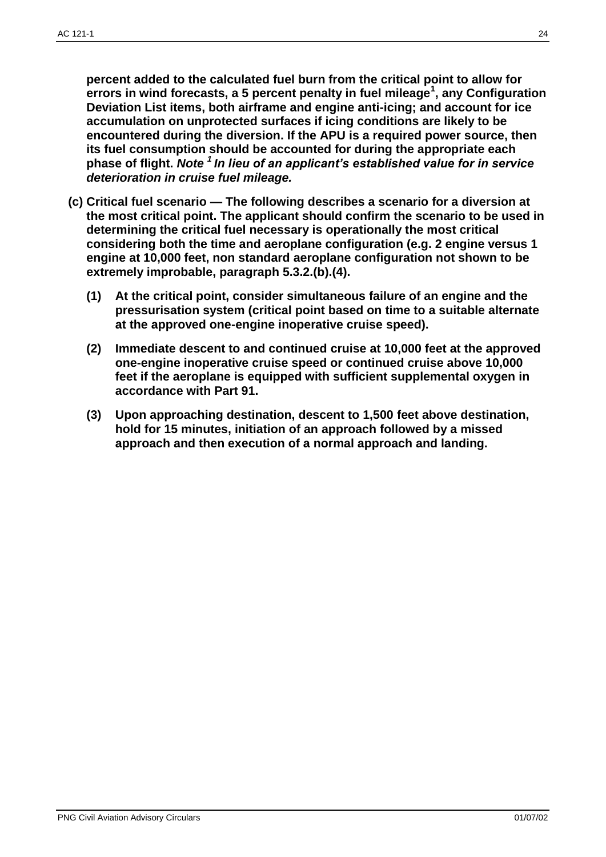**percent added to the calculated fuel burn from the critical point to allow for errors in wind forecasts, a 5 percent penalty in fuel mileage<sup>1</sup> , any Configuration Deviation List items, both airframe and engine anti-icing; and account for ice accumulation on unprotected surfaces if icing conditions are likely to be encountered during the diversion. If the APU is a required power source, then its fuel consumption should be accounted for during the appropriate each phase of flight.** *Note <sup>1</sup>In lieu of an applicant's established value for in service deterioration in cruise fuel mileage.*

- **(c) Critical fuel scenario — The following describes a scenario for a diversion at the most critical point. The applicant should confirm the scenario to be used in determining the critical fuel necessary is operationally the most critical considering both the time and aeroplane configuration (e.g. 2 engine versus 1 engine at 10,000 feet, non standard aeroplane configuration not shown to be extremely improbable, paragraph 5.3.2.(b).(4).**
	- **(1) At the critical point, consider simultaneous failure of an engine and the pressurisation system (critical point based on time to a suitable alternate at the approved one-engine inoperative cruise speed).**
	- **(2) Immediate descent to and continued cruise at 10,000 feet at the approved one-engine inoperative cruise speed or continued cruise above 10,000 feet if the aeroplane is equipped with sufficient supplemental oxygen in accordance with Part 91.**
	- **(3) Upon approaching destination, descent to 1,500 feet above destination, hold for 15 minutes, initiation of an approach followed by a missed approach and then execution of a normal approach and landing.**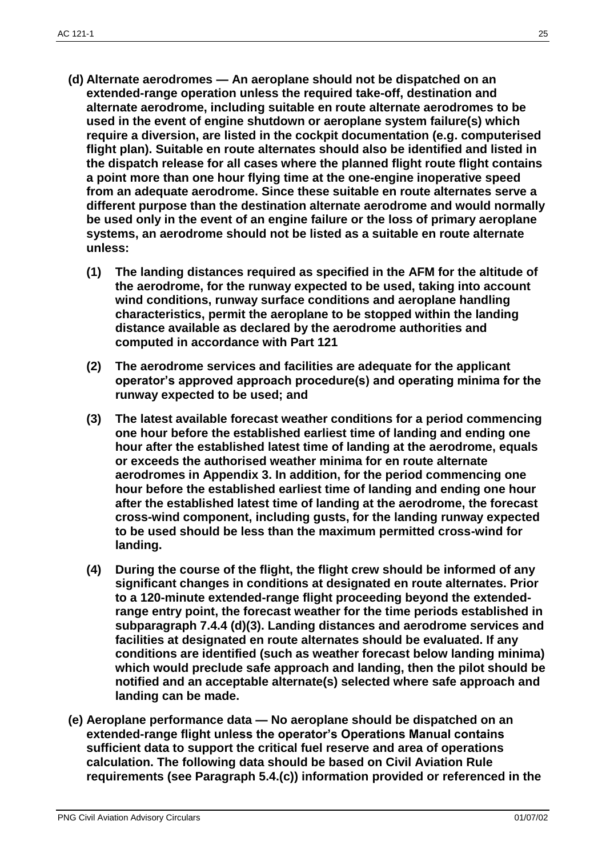- **(d) Alternate aerodromes — An aeroplane should not be dispatched on an extended-range operation unless the required take-off, destination and alternate aerodrome, including suitable en route alternate aerodromes to be used in the event of engine shutdown or aeroplane system failure(s) which require a diversion, are listed in the cockpit documentation (e.g. computerised flight plan). Suitable en route alternates should also be identified and listed in the dispatch release for all cases where the planned flight route flight contains a point more than one hour flying time at the one-engine inoperative speed from an adequate aerodrome. Since these suitable en route alternates serve a different purpose than the destination alternate aerodrome and would normally be used only in the event of an engine failure or the loss of primary aeroplane systems, an aerodrome should not be listed as a suitable en route alternate unless:**
	- **(1) The landing distances required as specified in the AFM for the altitude of the aerodrome, for the runway expected to be used, taking into account wind conditions, runway surface conditions and aeroplane handling characteristics, permit the aeroplane to be stopped within the landing distance available as declared by the aerodrome authorities and computed in accordance with Part 121**
	- **(2) The aerodrome services and facilities are adequate for the applicant operator's approved approach procedure(s) and operating minima for the runway expected to be used; and**
	- **(3) The latest available forecast weather conditions for a period commencing one hour before the established earliest time of landing and ending one hour after the established latest time of landing at the aerodrome, equals or exceeds the authorised weather minima for en route alternate aerodromes in Appendix 3. In addition, for the period commencing one hour before the established earliest time of landing and ending one hour after the established latest time of landing at the aerodrome, the forecast cross-wind component, including gusts, for the landing runway expected to be used should be less than the maximum permitted cross-wind for landing.**
	- **(4) During the course of the flight, the flight crew should be informed of any significant changes in conditions at designated en route alternates. Prior to a 120-minute extended-range flight proceeding beyond the extendedrange entry point, the forecast weather for the time periods established in subparagraph 7.4.4 (d)(3). Landing distances and aerodrome services and facilities at designated en route alternates should be evaluated. If any conditions are identified (such as weather forecast below landing minima) which would preclude safe approach and landing, then the pilot should be notified and an acceptable alternate(s) selected where safe approach and landing can be made.**
- **(e) Aeroplane performance data — No aeroplane should be dispatched on an extended-range flight unless the operator's Operations Manual contains sufficient data to support the critical fuel reserve and area of operations calculation. The following data should be based on Civil Aviation Rule requirements (see Paragraph 5.4.(c)) information provided or referenced in the**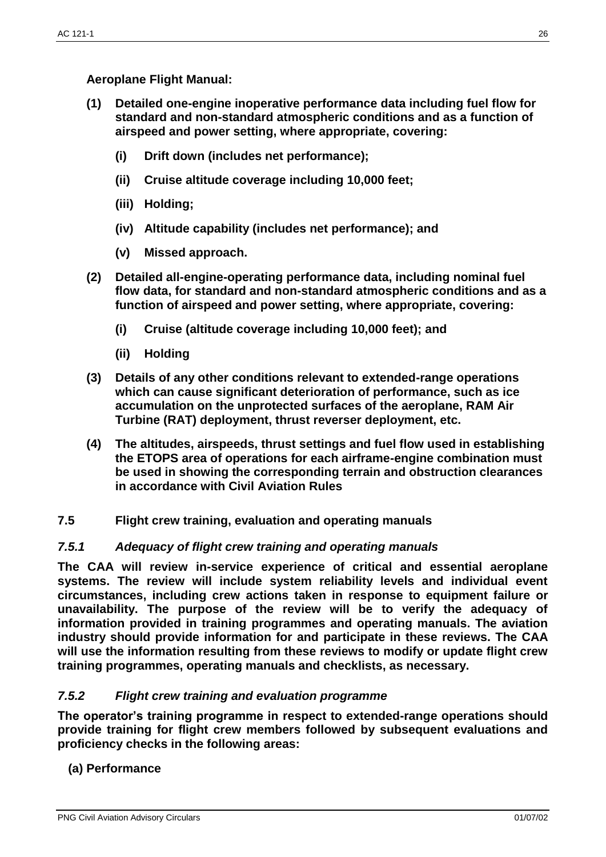**Aeroplane Flight Manual:**

- **(1) Detailed one-engine inoperative performance data including fuel flow for standard and non-standard atmospheric conditions and as a function of airspeed and power setting, where appropriate, covering:**
	- **(i) Drift down (includes net performance);**
	- **(ii) Cruise altitude coverage including 10,000 feet;**
	- **(iii) Holding;**
	- **(iv) Altitude capability (includes net performance); and**
	- **(v) Missed approach.**
- **(2) Detailed all-engine-operating performance data, including nominal fuel flow data, for standard and non-standard atmospheric conditions and as a function of airspeed and power setting, where appropriate, covering:**
	- **(i) Cruise (altitude coverage including 10,000 feet); and**
	- **(ii) Holding**
- **(3) Details of any other conditions relevant to extended-range operations which can cause significant deterioration of performance, such as ice accumulation on the unprotected surfaces of the aeroplane, RAM Air Turbine (RAT) deployment, thrust reverser deployment, etc.**
- **(4) The altitudes, airspeeds, thrust settings and fuel flow used in establishing the ETOPS area of operations for each airframe-engine combination must be used in showing the corresponding terrain and obstruction clearances in accordance with Civil Aviation Rules**
- **7.5 Flight crew training, evaluation and operating manuals**

# *7.5.1 Adequacy of flight crew training and operating manuals*

**The CAA will review in-service experience of critical and essential aeroplane systems. The review will include system reliability levels and individual event circumstances, including crew actions taken in response to equipment failure or unavailability. The purpose of the review will be to verify the adequacy of information provided in training programmes and operating manuals. The aviation industry should provide information for and participate in these reviews. The CAA will use the information resulting from these reviews to modify or update flight crew training programmes, operating manuals and checklists, as necessary.**

### *7.5.2 Flight crew training and evaluation programme*

**The operator's training programme in respect to extended-range operations should provide training for flight crew members followed by subsequent evaluations and proficiency checks in the following areas:**

# **(a) Performance**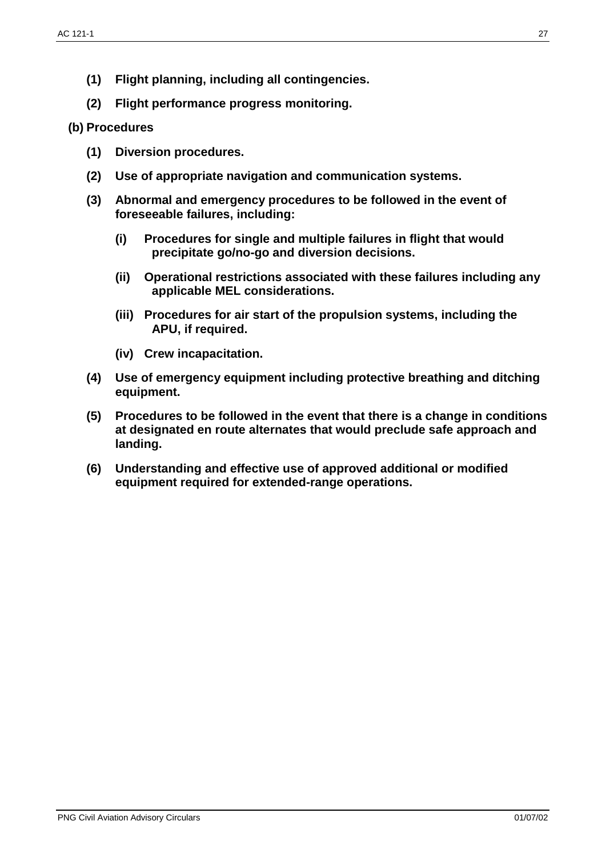- **(1) Flight planning, including all contingencies.**
- **(2) Flight performance progress monitoring.**

### **(b) Procedures**

- **(1) Diversion procedures.**
- **(2) Use of appropriate navigation and communication systems.**
- **(3) Abnormal and emergency procedures to be followed in the event of foreseeable failures, including:**
	- **(i) Procedures for single and multiple failures in flight that would precipitate go/no-go and diversion decisions.**
	- **(ii) Operational restrictions associated with these failures including any applicable MEL considerations.**
	- **(iii) Procedures for air start of the propulsion systems, including the APU, if required.**
	- **(iv) Crew incapacitation.**
- **(4) Use of emergency equipment including protective breathing and ditching equipment.**
- **(5) Procedures to be followed in the event that there is a change in conditions at designated en route alternates that would preclude safe approach and landing.**
- **(6) Understanding and effective use of approved additional or modified equipment required for extended-range operations.**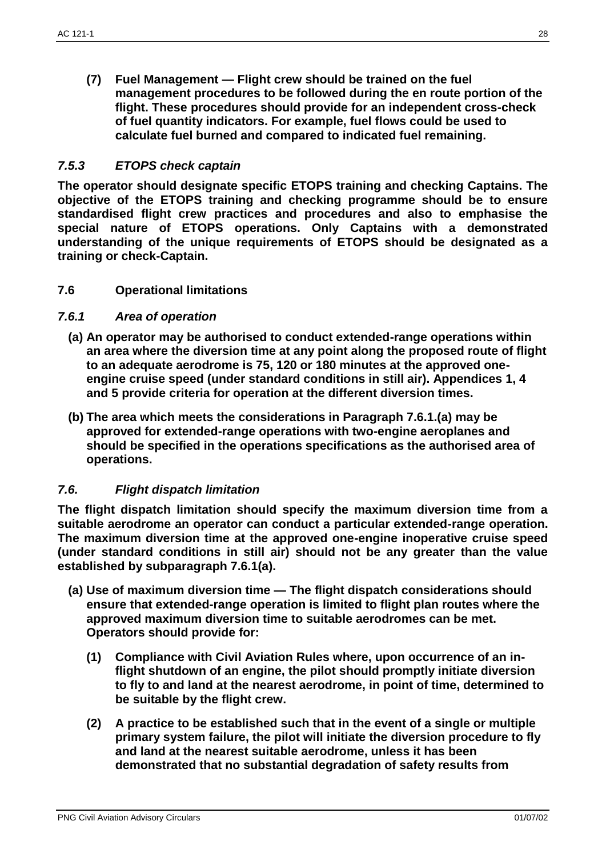**(7) Fuel Management — Flight crew should be trained on the fuel management procedures to be followed during the en route portion of the flight. These procedures should provide for an independent cross-check of fuel quantity indicators. For example, fuel flows could be used to calculate fuel burned and compared to indicated fuel remaining.**

### *7.5.3 ETOPS check captain*

**The operator should designate specific ETOPS training and checking Captains. The objective of the ETOPS training and checking programme should be to ensure standardised flight crew practices and procedures and also to emphasise the special nature of ETOPS operations. Only Captains with a demonstrated understanding of the unique requirements of ETOPS should be designated as a training or check-Captain.**

## **7.6 Operational limitations**

#### *7.6.1 Area of operation*

- **(a) An operator may be authorised to conduct extended-range operations within an area where the diversion time at any point along the proposed route of flight to an adequate aerodrome is 75, 120 or 180 minutes at the approved oneengine cruise speed (under standard conditions in still air). Appendices 1, 4 and 5 provide criteria for operation at the different diversion times.**
- **(b) The area which meets the considerations in Paragraph 7.6.1.(a) may be approved for extended-range operations with two-engine aeroplanes and should be specified in the operations specifications as the authorised area of operations.**

### *7.6. Flight dispatch limitation*

**The flight dispatch limitation should specify the maximum diversion time from a suitable aerodrome an operator can conduct a particular extended-range operation. The maximum diversion time at the approved one-engine inoperative cruise speed (under standard conditions in still air) should not be any greater than the value established by subparagraph 7.6.1(a).**

- **(a) Use of maximum diversion time — The flight dispatch considerations should ensure that extended-range operation is limited to flight plan routes where the approved maximum diversion time to suitable aerodromes can be met. Operators should provide for:**
	- **(1) Compliance with Civil Aviation Rules where, upon occurrence of an inflight shutdown of an engine, the pilot should promptly initiate diversion to fly to and land at the nearest aerodrome, in point of time, determined to be suitable by the flight crew.**
	- **(2) A practice to be established such that in the event of a single or multiple primary system failure, the pilot will initiate the diversion procedure to fly and land at the nearest suitable aerodrome, unless it has been demonstrated that no substantial degradation of safety results from**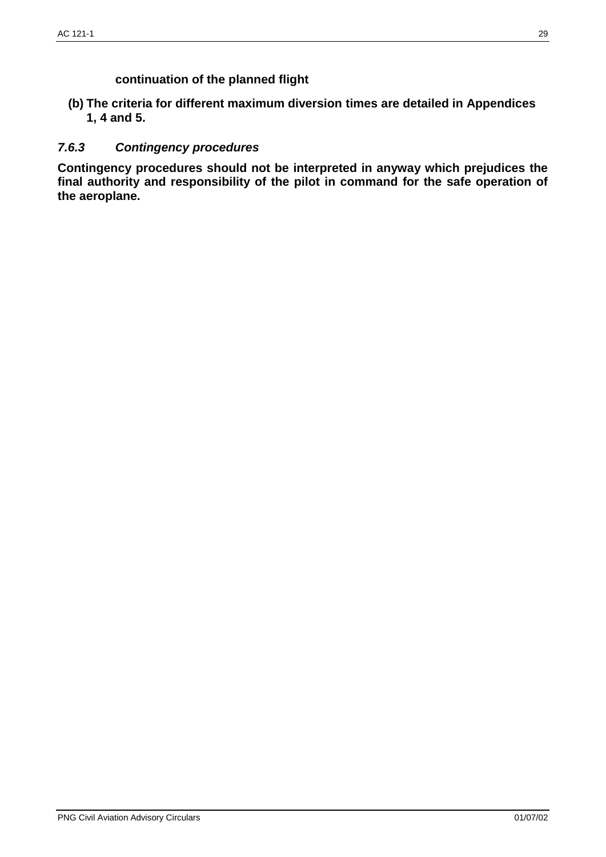**continuation of the planned flight**

**(b) The criteria for different maximum diversion times are detailed in Appendices 1, 4 and 5.**

### *7.6.3 Contingency procedures*

**Contingency procedures should not be interpreted in anyway which prejudices the final authority and responsibility of the pilot in command for the safe operation of the aeroplane.**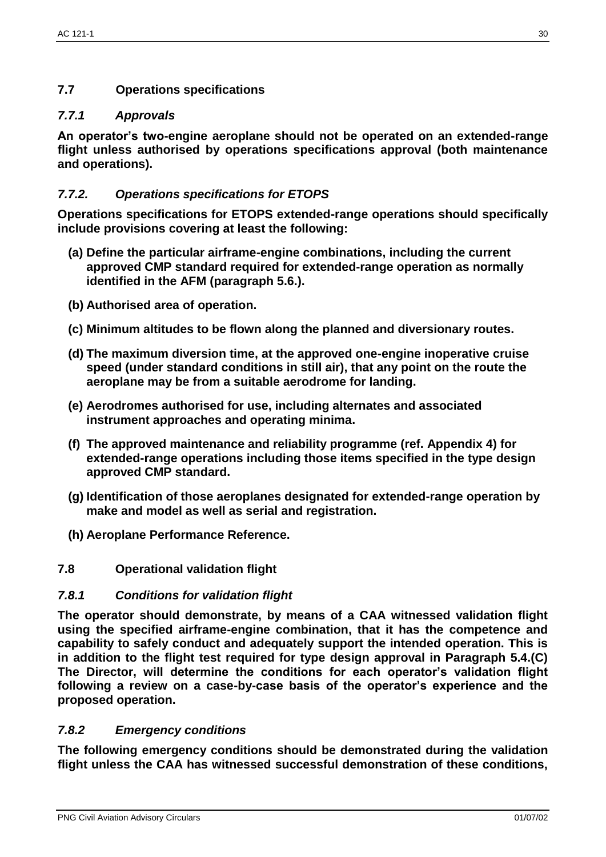# *7.7.1 Approvals*

**An operator's two-engine aeroplane should not be operated on an extended-range flight unless authorised by operations specifications approval (both maintenance and operations).**

# *7.7.2. Operations specifications for ETOPS*

**Operations specifications for ETOPS extended-range operations should specifically include provisions covering at least the following:**

- **(a) Define the particular airframe-engine combinations, including the current approved CMP standard required for extended-range operation as normally identified in the AFM (paragraph 5.6.).**
- **(b) Authorised area of operation.**
- **(c) Minimum altitudes to be flown along the planned and diversionary routes.**
- **(d) The maximum diversion time, at the approved one-engine inoperative cruise speed (under standard conditions in still air), that any point on the route the aeroplane may be from a suitable aerodrome for landing.**
- **(e) Aerodromes authorised for use, including alternates and associated instrument approaches and operating minima.**
- **(f) The approved maintenance and reliability programme (ref. Appendix 4) for extended-range operations including those items specified in the type design approved CMP standard.**
- **(g) Identification of those aeroplanes designated for extended-range operation by make and model as well as serial and registration.**
- **(h) Aeroplane Performance Reference.**
- **7.8 Operational validation flight**

# *7.8.1 Conditions for validation flight*

**The operator should demonstrate, by means of a CAA witnessed validation flight using the specified airframe-engine combination, that it has the competence and capability to safely conduct and adequately support the intended operation. This is in addition to the flight test required for type design approval in Paragraph 5.4.(C) The Director, will determine the conditions for each operator's validation flight following a review on a case-by-case basis of the operator's experience and the proposed operation.**

# *7.8.2 Emergency conditions*

**The following emergency conditions should be demonstrated during the validation flight unless the CAA has witnessed successful demonstration of these conditions,**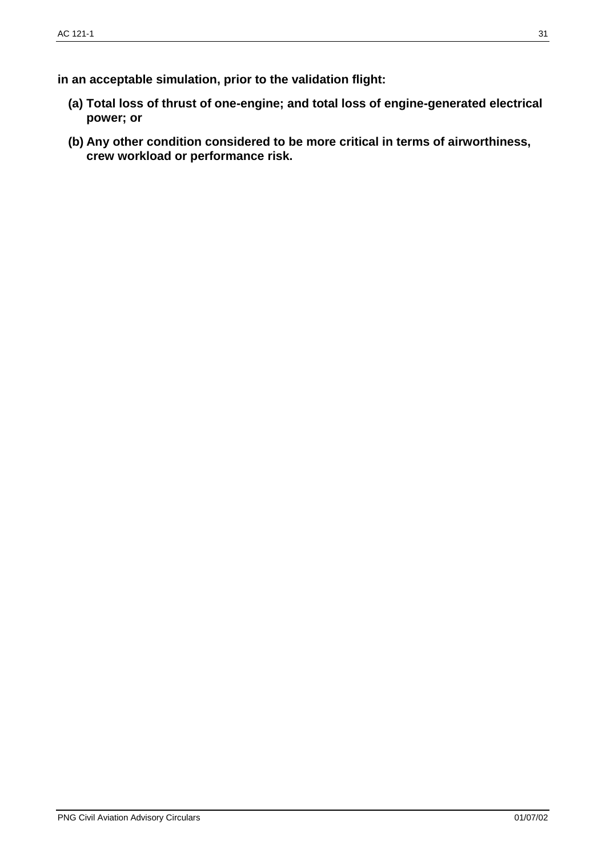- **(a) Total loss of thrust of one-engine; and total loss of engine-generated electrical power; or**
- **(b) Any other condition considered to be more critical in terms of airworthiness, crew workload or performance risk.**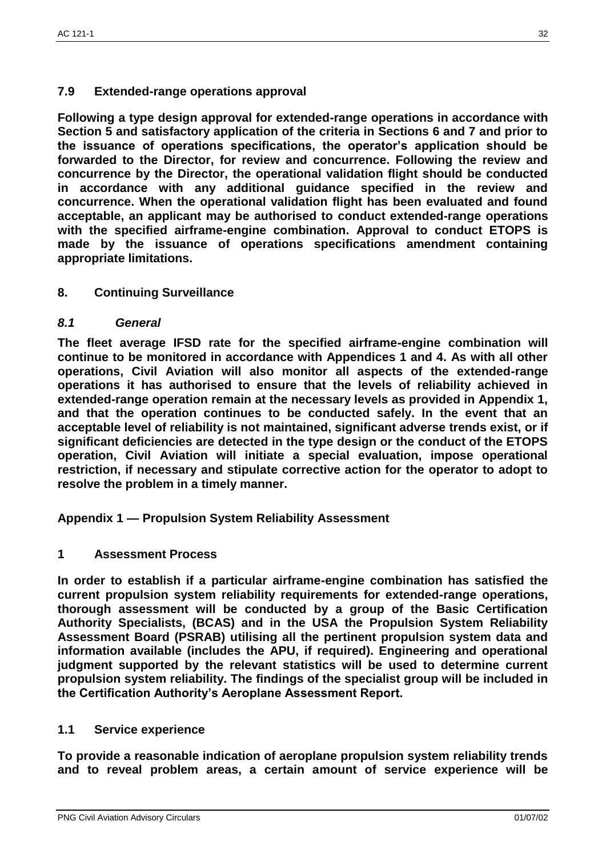## **7.9 Extended-range operations approval**

**Following a type design approval for extended-range operations in accordance with Section 5 and satisfactory application of the criteria in Sections 6 and 7 and prior to the issuance of operations specifications, the operator's application should be forwarded to the Director, for review and concurrence. Following the review and concurrence by the Director, the operational validation flight should be conducted in accordance with any additional guidance specified in the review and concurrence. When the operational validation flight has been evaluated and found acceptable, an applicant may be authorised to conduct extended-range operations with the specified airframe-engine combination. Approval to conduct ETOPS is made by the issuance of operations specifications amendment containing appropriate limitations.**

### **8. Continuing Surveillance**

### *8.1 General*

**The fleet average IFSD rate for the specified airframe-engine combination will continue to be monitored in accordance with Appendices 1 and 4. As with all other operations, Civil Aviation will also monitor all aspects of the extended-range operations it has authorised to ensure that the levels of reliability achieved in extended-range operation remain at the necessary levels as provided in Appendix 1, and that the operation continues to be conducted safely. In the event that an acceptable level of reliability is not maintained, significant adverse trends exist, or if significant deficiencies are detected in the type design or the conduct of the ETOPS operation, Civil Aviation will initiate a special evaluation, impose operational restriction, if necessary and stipulate corrective action for the operator to adopt to resolve the problem in a timely manner.**

**Appendix 1 — Propulsion System Reliability Assessment**

### **1 Assessment Process**

**In order to establish if a particular airframe-engine combination has satisfied the current propulsion system reliability requirements for extended-range operations, thorough assessment will be conducted by a group of the Basic Certification Authority Specialists, (BCAS) and in the USA the Propulsion System Reliability Assessment Board (PSRAB) utilising all the pertinent propulsion system data and information available (includes the APU, if required). Engineering and operational judgment supported by the relevant statistics will be used to determine current propulsion system reliability. The findings of the specialist group will be included in the Certification Authority's Aeroplane Assessment Report.**

### **1.1 Service experience**

**To provide a reasonable indication of aeroplane propulsion system reliability trends and to reveal problem areas, a certain amount of service experience will be**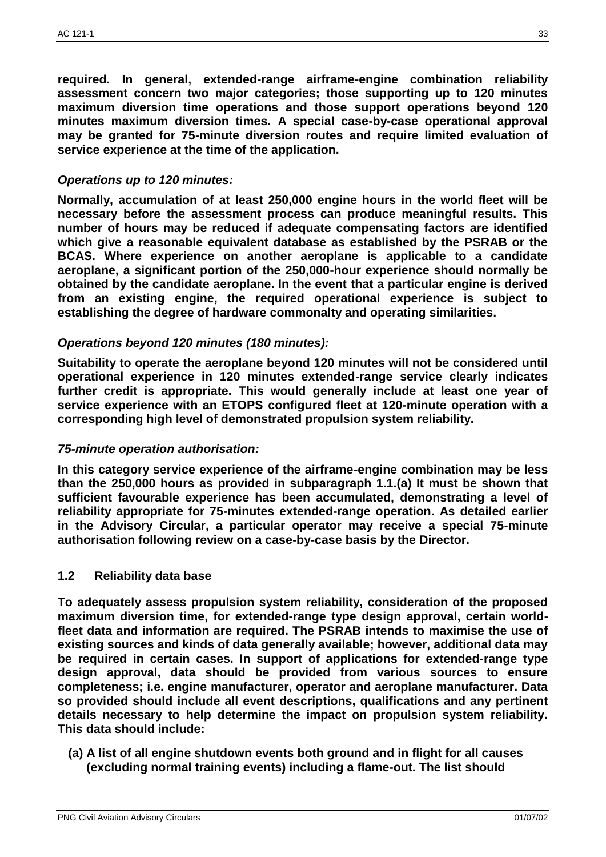**required. In general, extended-range airframe-engine combination reliability assessment concern two major categories; those supporting up to 120 minutes maximum diversion time operations and those support operations beyond 120 minutes maximum diversion times. A special case-by-case operational approval may be granted for 75-minute diversion routes and require limited evaluation of service experience at the time of the application.**

### *Operations up to 120 minutes:*

**Normally, accumulation of at least 250,000 engine hours in the world fleet will be necessary before the assessment process can produce meaningful results. This number of hours may be reduced if adequate compensating factors are identified which give a reasonable equivalent database as established by the PSRAB or the BCAS. Where experience on another aeroplane is applicable to a candidate aeroplane, a significant portion of the 250,000-hour experience should normally be obtained by the candidate aeroplane. In the event that a particular engine is derived from an existing engine, the required operational experience is subject to establishing the degree of hardware commonalty and operating similarities.**

#### *Operations beyond 120 minutes (180 minutes):*

**Suitability to operate the aeroplane beyond 120 minutes will not be considered until operational experience in 120 minutes extended-range service clearly indicates further credit is appropriate. This would generally include at least one year of service experience with an ETOPS configured fleet at 120-minute operation with a corresponding high level of demonstrated propulsion system reliability.**

#### *75-minute operation authorisation:*

**In this category service experience of the airframe-engine combination may be less than the 250,000 hours as provided in subparagraph 1.1.(a) It must be shown that sufficient favourable experience has been accumulated, demonstrating a level of reliability appropriate for 75-minutes extended-range operation. As detailed earlier in the Advisory Circular, a particular operator may receive a special 75-minute authorisation following review on a case-by-case basis by the Director.**

#### **1.2 Reliability data base**

**To adequately assess propulsion system reliability, consideration of the proposed maximum diversion time, for extended-range type design approval, certain worldfleet data and information are required. The PSRAB intends to maximise the use of existing sources and kinds of data generally available; however, additional data may be required in certain cases. In support of applications for extended-range type design approval, data should be provided from various sources to ensure completeness; i.e. engine manufacturer, operator and aeroplane manufacturer. Data so provided should include all event descriptions, qualifications and any pertinent details necessary to help determine the impact on propulsion system reliability. This data should include:**

**(a) A list of all engine shutdown events both ground and in flight for all causes (excluding normal training events) including a flame-out. The list should**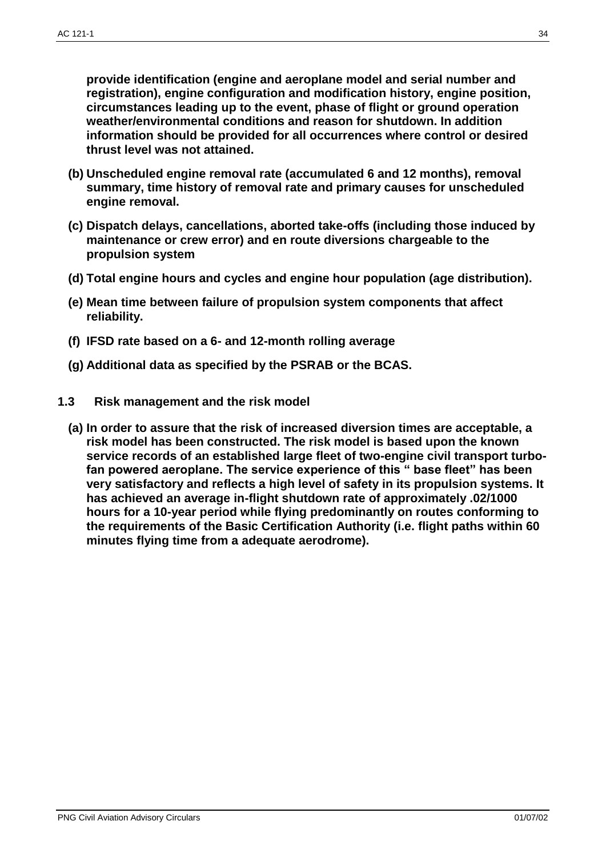**provide identification (engine and aeroplane model and serial number and registration), engine configuration and modification history, engine position, circumstances leading up to the event, phase of flight or ground operation weather/environmental conditions and reason for shutdown. In addition information should be provided for all occurrences where control or desired thrust level was not attained.**

- **(b) Unscheduled engine removal rate (accumulated 6 and 12 months), removal summary, time history of removal rate and primary causes for unscheduled engine removal.**
- **(c) Dispatch delays, cancellations, aborted take-offs (including those induced by maintenance or crew error) and en route diversions chargeable to the propulsion system**
- **(d) Total engine hours and cycles and engine hour population (age distribution).**
- **(e) Mean time between failure of propulsion system components that affect reliability.**
- **(f) IFSD rate based on a 6- and 12-month rolling average**
- **(g) Additional data as specified by the PSRAB or the BCAS.**
- **1.3 Risk management and the risk model**
	- **(a) In order to assure that the risk of increased diversion times are acceptable, a risk model has been constructed. The risk model is based upon the known service records of an established large fleet of two-engine civil transport turbofan powered aeroplane. The service experience of this " base fleet" has been very satisfactory and reflects a high level of safety in its propulsion systems. It has achieved an average in-flight shutdown rate of approximately .02/1000 hours for a 10-year period while flying predominantly on routes conforming to the requirements of the Basic Certification Authority (i.e. flight paths within 60 minutes flying time from a adequate aerodrome).**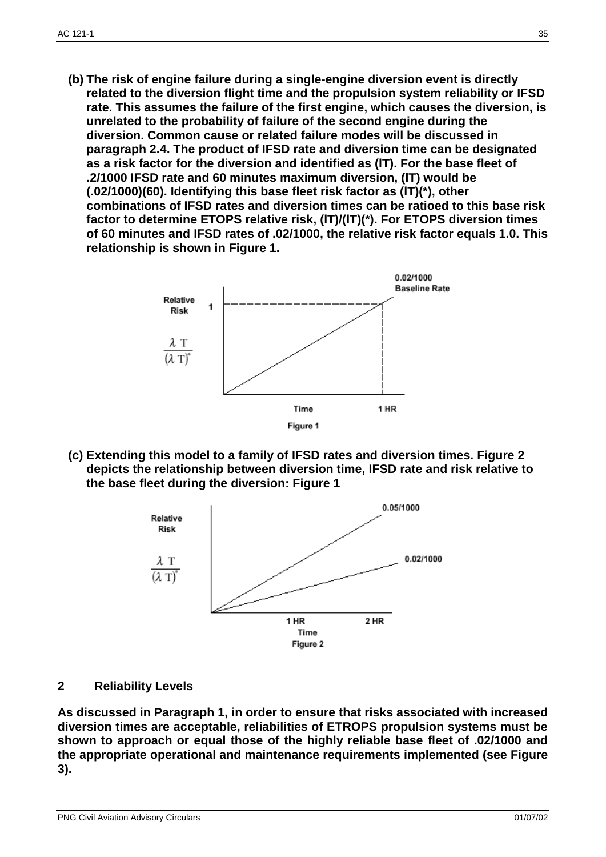**(b) The risk of engine failure during a single-engine diversion event is directly related to the diversion flight time and the propulsion system reliability or IFSD rate. This assumes the failure of the first engine, which causes the diversion, is unrelated to the probability of failure of the second engine during the diversion. Common cause or related failure modes will be discussed in paragraph 2.4. The product of IFSD rate and diversion time can be designated as a risk factor for the diversion and identified as (lT). For the base fleet of .2/1000 IFSD rate and 60 minutes maximum diversion, (lT) would be (.02/1000)(60). Identifying this base fleet risk factor as (lT)(\*), other combinations of IFSD rates and diversion times can be ratioed to this base risk factor to determine ETOPS relative risk, (lT)/(lT)(\*). For ETOPS diversion times of 60 minutes and IFSD rates of .02/1000, the relative risk factor equals 1.0. This relationship is shown in Figure 1.**



**(c) Extending this model to a family of IFSD rates and diversion times. Figure 2 depicts the relationship between diversion time, IFSD rate and risk relative to the base fleet during the diversion: Figure 1**



#### **2 Reliability Levels**

**As discussed in Paragraph 1, in order to ensure that risks associated with increased diversion times are acceptable, reliabilities of ETROPS propulsion systems must be shown to approach or equal those of the highly reliable base fleet of .02/1000 and the appropriate operational and maintenance requirements implemented (see Figure 3).**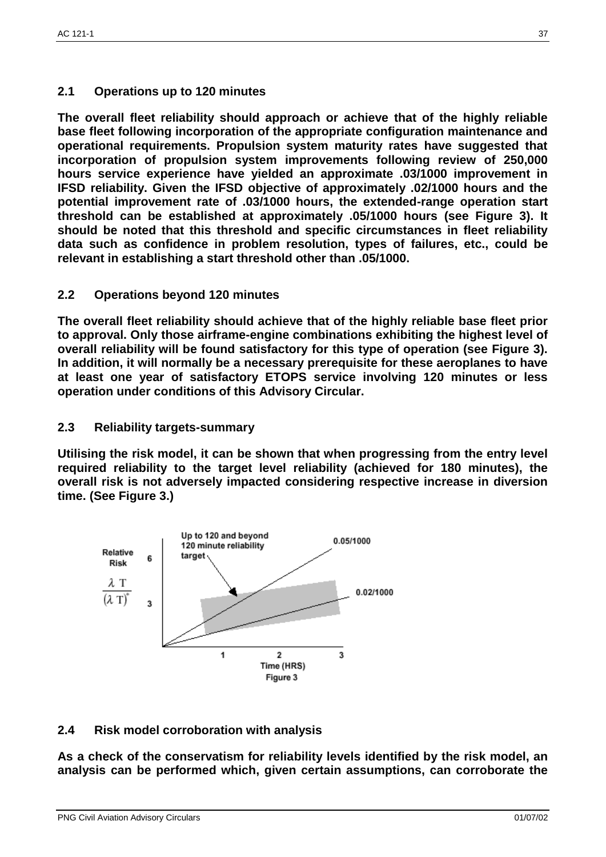# **2.1 Operations up to 120 minutes**

**The overall fleet reliability should approach or achieve that of the highly reliable base fleet following incorporation of the appropriate configuration maintenance and operational requirements. Propulsion system maturity rates have suggested that incorporation of propulsion system improvements following review of 250,000 hours service experience have yielded an approximate .03/1000 improvement in IFSD reliability. Given the IFSD objective of approximately .02/1000 hours and the potential improvement rate of .03/1000 hours, the extended-range operation start threshold can be established at approximately .05/1000 hours (see Figure 3). It should be noted that this threshold and specific circumstances in fleet reliability data such as confidence in problem resolution, types of failures, etc., could be relevant in establishing a start threshold other than .05/1000.**

# **2.2 Operations beyond 120 minutes**

**The overall fleet reliability should achieve that of the highly reliable base fleet prior to approval. Only those airframe-engine combinations exhibiting the highest level of overall reliability will be found satisfactory for this type of operation (see Figure 3). In addition, it will normally be a necessary prerequisite for these aeroplanes to have at least one year of satisfactory ETOPS service involving 120 minutes or less operation under conditions of this Advisory Circular.**

# **2.3 Reliability targets-summary**

**Utilising the risk model, it can be shown that when progressing from the entry level required reliability to the target level reliability (achieved for 180 minutes), the overall risk is not adversely impacted considering respective increase in diversion time. (See Figure 3.)**



# **2.4 Risk model corroboration with analysis**

**As a check of the conservatism for reliability levels identified by the risk model, an analysis can be performed which, given certain assumptions, can corroborate the** 

#### PNG Civil Aviation Advisory Circulars **District Aviation Advisory Circulars 01/07/02**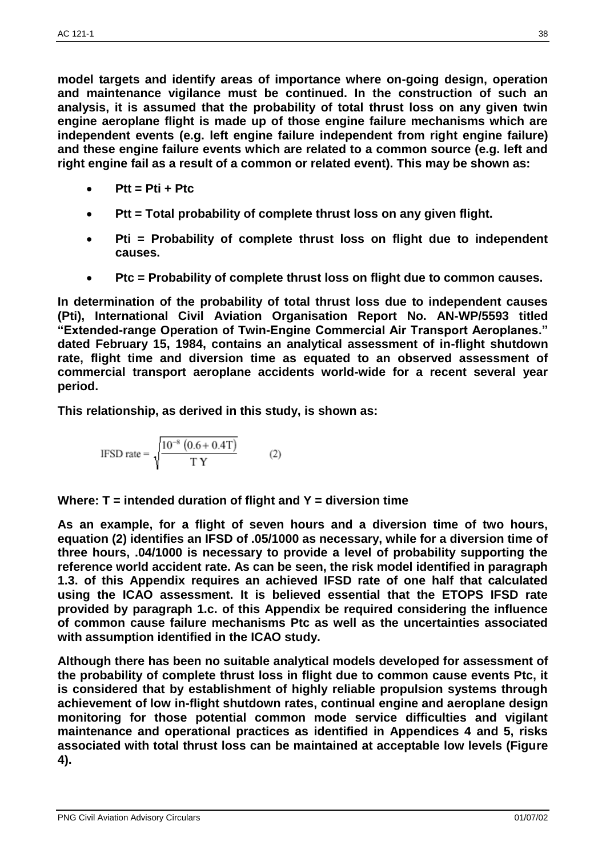**model targets and identify areas of importance where on-going design, operation and maintenance vigilance must be continued. In the construction of such an analysis, it is assumed that the probability of total thrust loss on any given twin engine aeroplane flight is made up of those engine failure mechanisms which are independent events (e.g. left engine failure independent from right engine failure) and these engine failure events which are related to a common source (e.g. left and right engine fail as a result of a common or related event). This may be shown as:**

- **Ptt = Pti + Ptc**
- **Ptt = Total probability of complete thrust loss on any given flight.**
- **Pti = Probability of complete thrust loss on flight due to independent causes.**
- **Ptc = Probability of complete thrust loss on flight due to common causes.**

**In determination of the probability of total thrust loss due to independent causes (Pti), International Civil Aviation Organisation Report No. AN-WP/5593 titled "Extended-range Operation of Twin-Engine Commercial Air Transport Aeroplanes." dated February 15, 1984, contains an analytical assessment of in-flight shutdown rate, flight time and diversion time as equated to an observed assessment of commercial transport aeroplane accidents world-wide for a recent several year period.**

**This relationship, as derived in this study, is shown as:** 

$$
IFSD rate = \sqrt{\frac{10^{-8} (0.6 + 0.4T)}{T Y}}
$$
 (2)

**Where: T = intended duration of flight and Y = diversion time**

**As an example, for a flight of seven hours and a diversion time of two hours, equation (2) identifies an IFSD of .05/1000 as necessary, while for a diversion time of three hours, .04/1000 is necessary to provide a level of probability supporting the reference world accident rate. As can be seen, the risk model identified in paragraph 1.3. of this Appendix requires an achieved IFSD rate of one half that calculated using the ICAO assessment. It is believed essential that the ETOPS IFSD rate provided by paragraph 1.c. of this Appendix be required considering the influence of common cause failure mechanisms Ptc as well as the uncertainties associated with assumption identified in the ICAO study.**

**Although there has been no suitable analytical models developed for assessment of the probability of complete thrust loss in flight due to common cause events Ptc, it is considered that by establishment of highly reliable propulsion systems through achievement of low in-flight shutdown rates, continual engine and aeroplane design monitoring for those potential common mode service difficulties and vigilant maintenance and operational practices as identified in Appendices 4 and 5, risks associated with total thrust loss can be maintained at acceptable low levels (Figure 4).**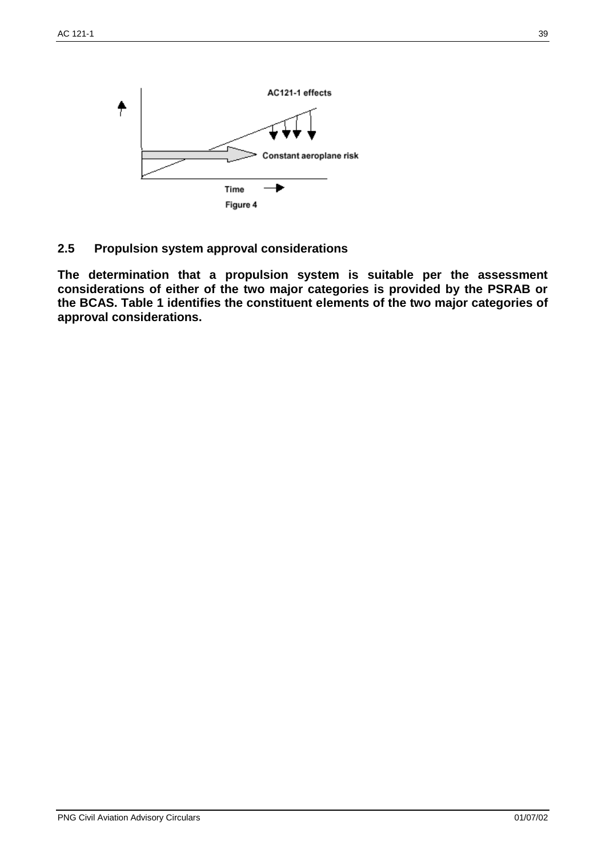

# **2.5 Propulsion system approval considerations**

**The determination that a propulsion system is suitable per the assessment considerations of either of the two major categories is provided by the PSRAB or the BCAS. Table 1 identifies the constituent elements of the two major categories of approval considerations.**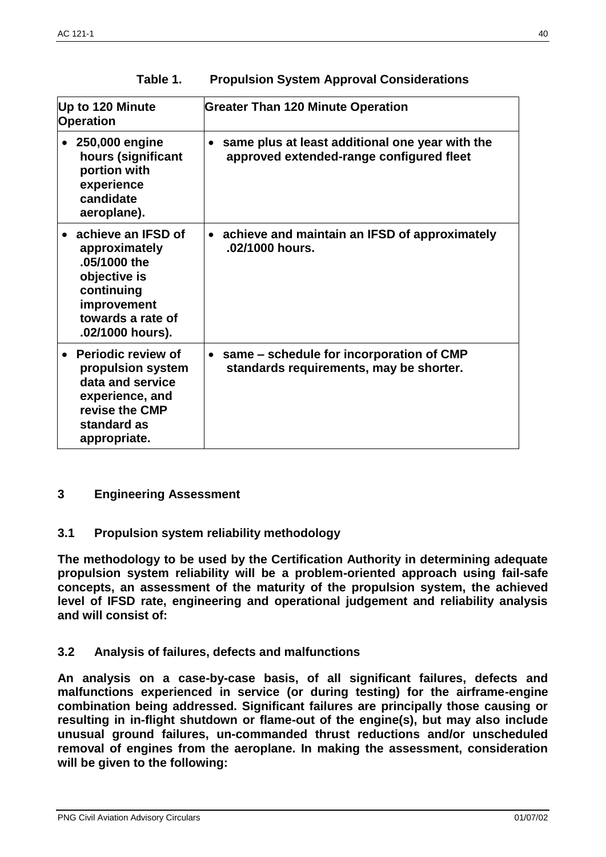| Up to 120 Minute<br><b>Operation</b>                                                                                                      | <b>Greater Than 120 Minute Operation</b>                                                    |
|-------------------------------------------------------------------------------------------------------------------------------------------|---------------------------------------------------------------------------------------------|
| 250,000 engine<br>$\bullet$<br>hours (significant<br>portion with<br>experience<br>candidate<br>aeroplane).                               | same plus at least additional one year with the<br>approved extended-range configured fleet |
| achieve an IFSD of<br>approximately<br>.05/1000 the<br>objective is<br>continuing<br>improvement<br>towards a rate of<br>.02/1000 hours). | achieve and maintain an IFSD of approximately<br>.02/1000 hours.                            |
| Periodic review of<br>propulsion system<br>data and service<br>experience, and<br>revise the CMP<br>standard as<br>appropriate.           | same – schedule for incorporation of CMP<br>standards requirements, may be shorter.         |

| Table 1.<br><b>Propulsion System Approval Considerations</b> |  |
|--------------------------------------------------------------|--|
|--------------------------------------------------------------|--|

# **3 Engineering Assessment**

# **3.1 Propulsion system reliability methodology**

**The methodology to be used by the Certification Authority in determining adequate propulsion system reliability will be a problem-oriented approach using fail-safe concepts, an assessment of the maturity of the propulsion system, the achieved level of IFSD rate, engineering and operational judgement and reliability analysis and will consist of:**

# **3.2 Analysis of failures, defects and malfunctions**

**An analysis on a case-by-case basis, of all significant failures, defects and malfunctions experienced in service (or during testing) for the airframe-engine combination being addressed. Significant failures are principally those causing or resulting in in-flight shutdown or flame-out of the engine(s), but may also include unusual ground failures, un-commanded thrust reductions and/or unscheduled removal of engines from the aeroplane. In making the assessment, consideration will be given to the following:**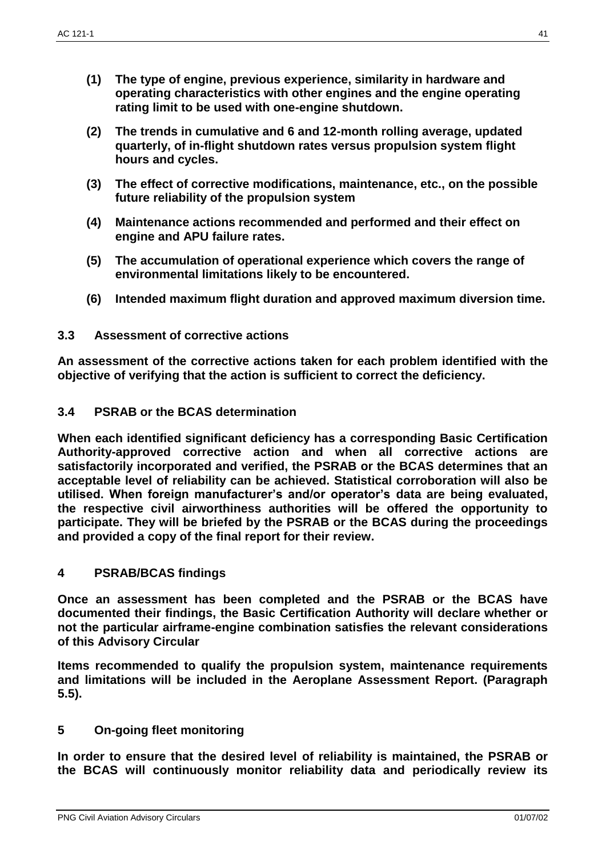- **(1) The type of engine, previous experience, similarity in hardware and operating characteristics with other engines and the engine operating rating limit to be used with one-engine shutdown.**
- **(2) The trends in cumulative and 6 and 12-month rolling average, updated quarterly, of in-flight shutdown rates versus propulsion system flight hours and cycles.**
- **(3) The effect of corrective modifications, maintenance, etc., on the possible future reliability of the propulsion system**
- **(4) Maintenance actions recommended and performed and their effect on engine and APU failure rates.**
- **(5) The accumulation of operational experience which covers the range of environmental limitations likely to be encountered.**
- **(6) Intended maximum flight duration and approved maximum diversion time.**
- **3.3 Assessment of corrective actions**

**An assessment of the corrective actions taken for each problem identified with the objective of verifying that the action is sufficient to correct the deficiency.**

# **3.4 PSRAB or the BCAS determination**

**When each identified significant deficiency has a corresponding Basic Certification Authority-approved corrective action and when all corrective actions are satisfactorily incorporated and verified, the PSRAB or the BCAS determines that an acceptable level of reliability can be achieved. Statistical corroboration will also be utilised. When foreign manufacturer's and/or operator's data are being evaluated, the respective civil airworthiness authorities will be offered the opportunity to participate. They will be briefed by the PSRAB or the BCAS during the proceedings and provided a copy of the final report for their review.**

# **4 PSRAB/BCAS findings**

**Once an assessment has been completed and the PSRAB or the BCAS have documented their findings, the Basic Certification Authority will declare whether or not the particular airframe-engine combination satisfies the relevant considerations of this Advisory Circular**

**Items recommended to qualify the propulsion system, maintenance requirements and limitations will be included in the Aeroplane Assessment Report. (Paragraph 5.5).**

# **5 On-going fleet monitoring**

**In order to ensure that the desired level of reliability is maintained, the PSRAB or the BCAS will continuously monitor reliability data and periodically review its**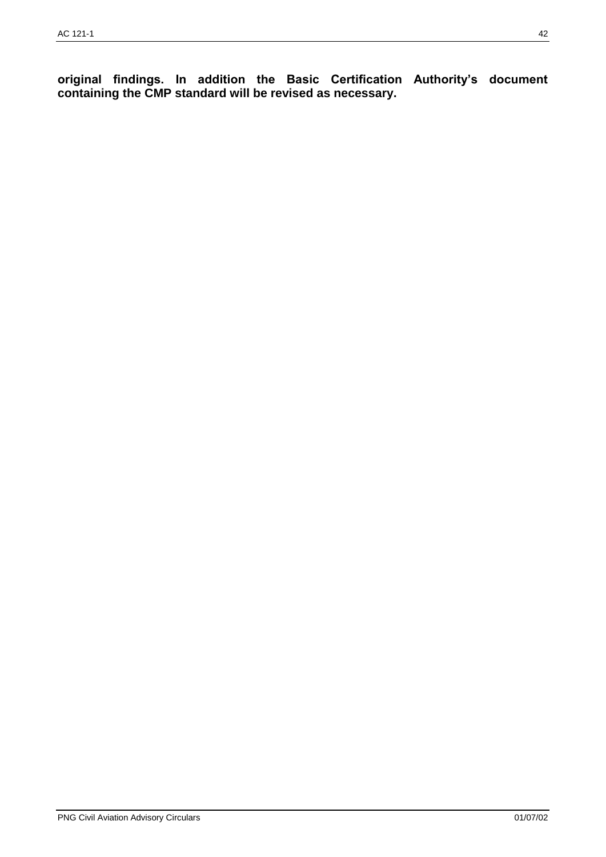**original findings. In addition the Basic Certification Authority's document containing the CMP standard will be revised as necessary.**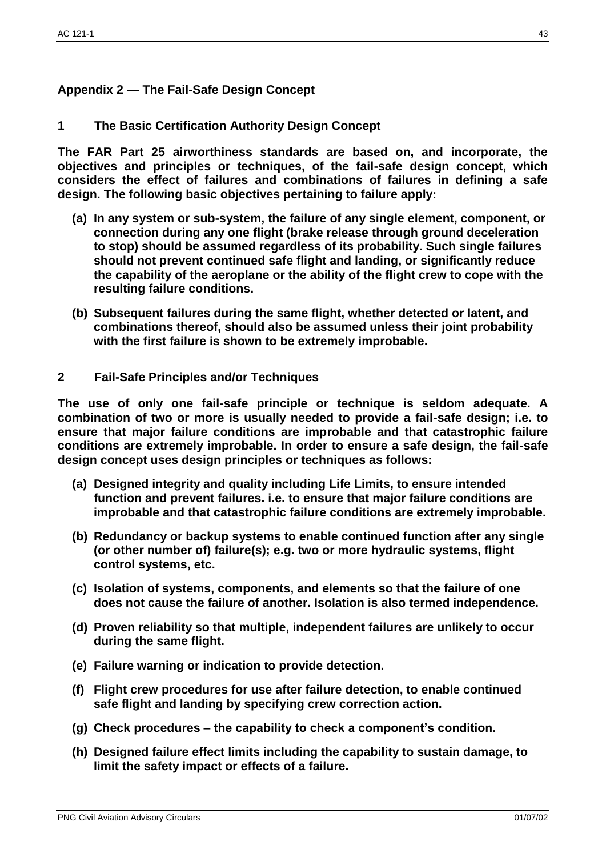# **Appendix 2 — The Fail-Safe Design Concept**

# **1 The Basic Certification Authority Design Concept**

**The FAR Part 25 airworthiness standards are based on, and incorporate, the objectives and principles or techniques, of the fail-safe design concept, which considers the effect of failures and combinations of failures in defining a safe design. The following basic objectives pertaining to failure apply:**

- **(a) In any system or sub-system, the failure of any single element, component, or connection during any one flight (brake release through ground deceleration to stop) should be assumed regardless of its probability. Such single failures should not prevent continued safe flight and landing, or significantly reduce the capability of the aeroplane or the ability of the flight crew to cope with the resulting failure conditions.**
- **(b) Subsequent failures during the same flight, whether detected or latent, and combinations thereof, should also be assumed unless their joint probability with the first failure is shown to be extremely improbable.**
- **2 Fail-Safe Principles and/or Techniques**

**The use of only one fail-safe principle or technique is seldom adequate. A combination of two or more is usually needed to provide a fail-safe design; i.e. to ensure that major failure conditions are improbable and that catastrophic failure conditions are extremely improbable. In order to ensure a safe design, the fail-safe design concept uses design principles or techniques as follows:**

- **(a) Designed integrity and quality including Life Limits, to ensure intended function and prevent failures. i.e. to ensure that major failure conditions are improbable and that catastrophic failure conditions are extremely improbable.**
- **(b) Redundancy or backup systems to enable continued function after any single (or other number of) failure(s); e.g. two or more hydraulic systems, flight control systems, etc.**
- **(c) Isolation of systems, components, and elements so that the failure of one does not cause the failure of another. Isolation is also termed independence.**
- **(d) Proven reliability so that multiple, independent failures are unlikely to occur during the same flight.**
- **(e) Failure warning or indication to provide detection.**
- **(f) Flight crew procedures for use after failure detection, to enable continued safe flight and landing by specifying crew correction action.**
- **(g) Check procedures – the capability to check a component's condition.**
- **(h) Designed failure effect limits including the capability to sustain damage, to limit the safety impact or effects of a failure.**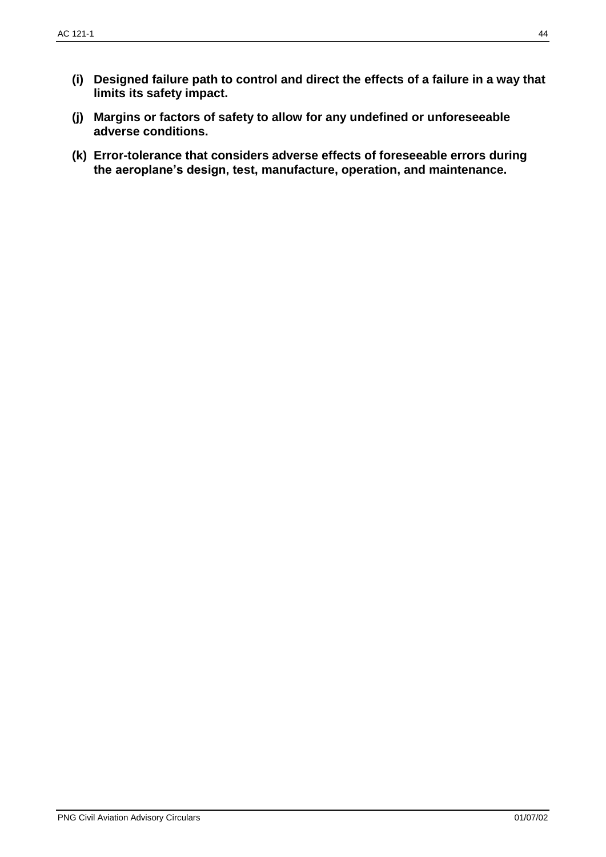- **(i) Designed failure path to control and direct the effects of a failure in a way that limits its safety impact.**
- **(j) Margins or factors of safety to allow for any undefined or unforeseeable adverse conditions.**
- **(k) Error-tolerance that considers adverse effects of foreseeable errors during the aeroplane's design, test, manufacture, operation, and maintenance.**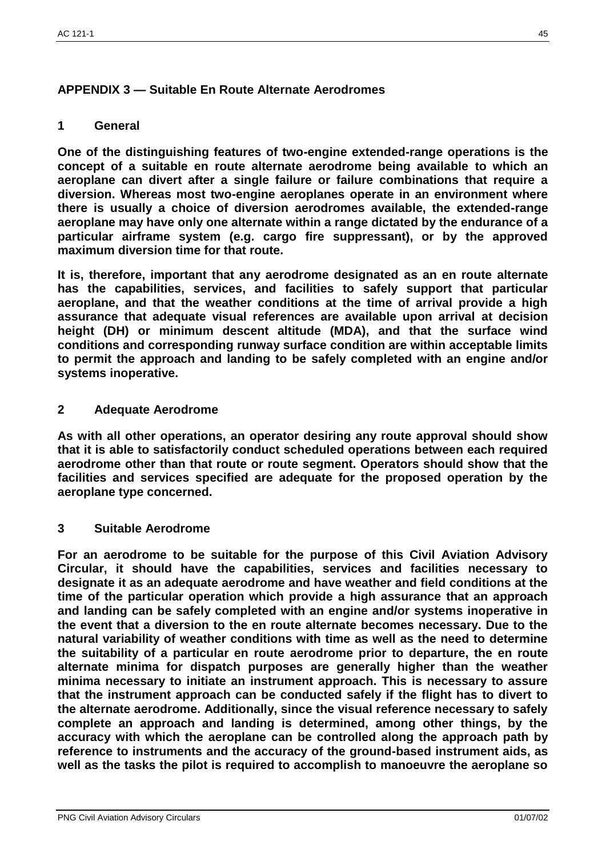# **APPENDIX 3 — Suitable En Route Alternate Aerodromes**

# **1 General**

**One of the distinguishing features of two-engine extended-range operations is the concept of a suitable en route alternate aerodrome being available to which an aeroplane can divert after a single failure or failure combinations that require a diversion. Whereas most two-engine aeroplanes operate in an environment where there is usually a choice of diversion aerodromes available, the extended-range aeroplane may have only one alternate within a range dictated by the endurance of a particular airframe system (e.g. cargo fire suppressant), or by the approved maximum diversion time for that route.**

**It is, therefore, important that any aerodrome designated as an en route alternate has the capabilities, services, and facilities to safely support that particular aeroplane, and that the weather conditions at the time of arrival provide a high assurance that adequate visual references are available upon arrival at decision height (DH) or minimum descent altitude (MDA), and that the surface wind conditions and corresponding runway surface condition are within acceptable limits to permit the approach and landing to be safely completed with an engine and/or systems inoperative.**

# **2 Adequate Aerodrome**

**As with all other operations, an operator desiring any route approval should show that it is able to satisfactorily conduct scheduled operations between each required aerodrome other than that route or route segment. Operators should show that the facilities and services specified are adequate for the proposed operation by the aeroplane type concerned.**

#### **3 Suitable Aerodrome**

**For an aerodrome to be suitable for the purpose of this Civil Aviation Advisory Circular, it should have the capabilities, services and facilities necessary to designate it as an adequate aerodrome and have weather and field conditions at the time of the particular operation which provide a high assurance that an approach and landing can be safely completed with an engine and/or systems inoperative in the event that a diversion to the en route alternate becomes necessary. Due to the natural variability of weather conditions with time as well as the need to determine the suitability of a particular en route aerodrome prior to departure, the en route alternate minima for dispatch purposes are generally higher than the weather minima necessary to initiate an instrument approach. This is necessary to assure that the instrument approach can be conducted safely if the flight has to divert to the alternate aerodrome. Additionally, since the visual reference necessary to safely complete an approach and landing is determined, among other things, by the accuracy with which the aeroplane can be controlled along the approach path by reference to instruments and the accuracy of the ground-based instrument aids, as well as the tasks the pilot is required to accomplish to manoeuvre the aeroplane so**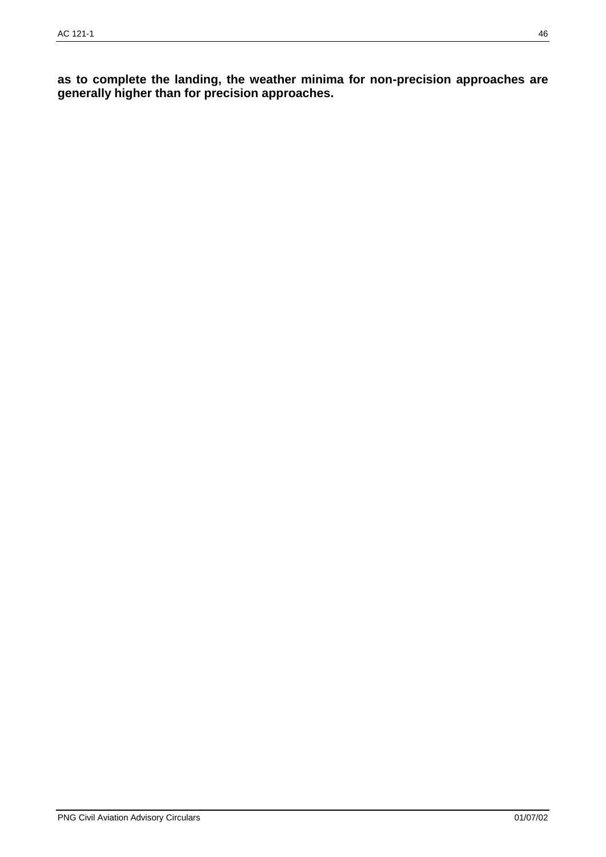**as to complete the landing, the weather minima for non-precision approaches are generally higher than for precision approaches.**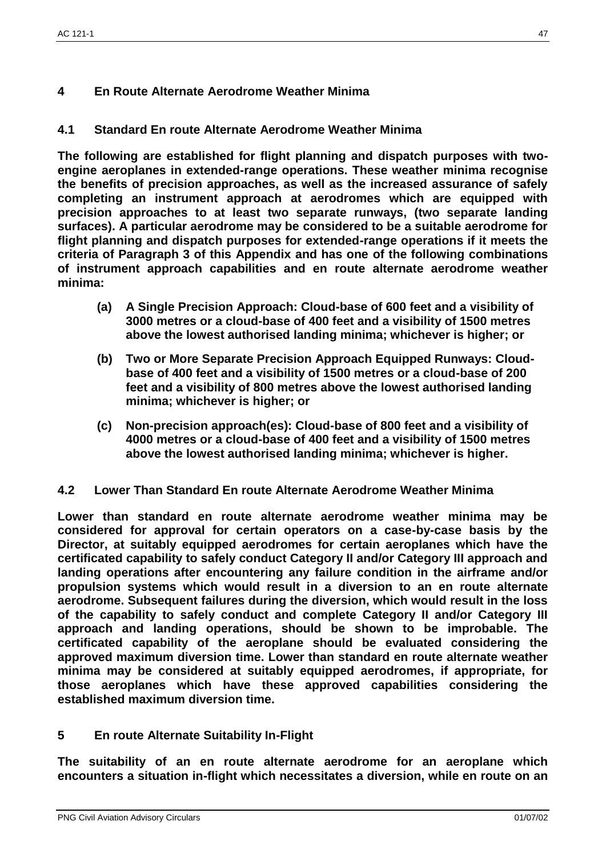# **4 En Route Alternate Aerodrome Weather Minima**

# **4.1 Standard En route Alternate Aerodrome Weather Minima**

**The following are established for flight planning and dispatch purposes with twoengine aeroplanes in extended-range operations. These weather minima recognise the benefits of precision approaches, as well as the increased assurance of safely completing an instrument approach at aerodromes which are equipped with precision approaches to at least two separate runways, (two separate landing surfaces). A particular aerodrome may be considered to be a suitable aerodrome for flight planning and dispatch purposes for extended-range operations if it meets the criteria of Paragraph 3 of this Appendix and has one of the following combinations of instrument approach capabilities and en route alternate aerodrome weather minima:**

- **(a) A Single Precision Approach: Cloud-base of 600 feet and a visibility of 3000 metres or a cloud-base of 400 feet and a visibility of 1500 metres above the lowest authorised landing minima; whichever is higher; or**
- **(b) Two or More Separate Precision Approach Equipped Runways: Cloudbase of 400 feet and a visibility of 1500 metres or a cloud-base of 200 feet and a visibility of 800 metres above the lowest authorised landing minima; whichever is higher; or**
- **(c) Non-precision approach(es): Cloud-base of 800 feet and a visibility of 4000 metres or a cloud-base of 400 feet and a visibility of 1500 metres above the lowest authorised landing minima; whichever is higher.**

# **4.2 Lower Than Standard En route Alternate Aerodrome Weather Minima**

**Lower than standard en route alternate aerodrome weather minima may be considered for approval for certain operators on a case-by-case basis by the Director, at suitably equipped aerodromes for certain aeroplanes which have the certificated capability to safely conduct Category II and/or Category III approach and landing operations after encountering any failure condition in the airframe and/or propulsion systems which would result in a diversion to an en route alternate aerodrome. Subsequent failures during the diversion, which would result in the loss of the capability to safely conduct and complete Category II and/or Category III approach and landing operations, should be shown to be improbable. The certificated capability of the aeroplane should be evaluated considering the approved maximum diversion time. Lower than standard en route alternate weather minima may be considered at suitably equipped aerodromes, if appropriate, for those aeroplanes which have these approved capabilities considering the established maximum diversion time.**

# **5 En route Alternate Suitability In-Flight**

**The suitability of an en route alternate aerodrome for an aeroplane which encounters a situation in-flight which necessitates a diversion, while en route on an**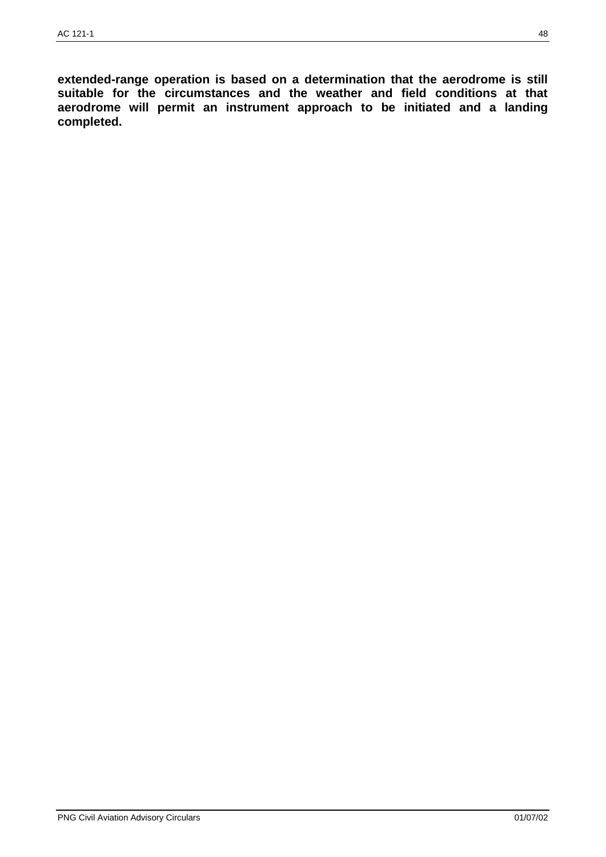**extended-range operation is based on a determination that the aerodrome is still suitable for the circumstances and the weather and field conditions at that aerodrome will permit an instrument approach to be initiated and a landing completed.**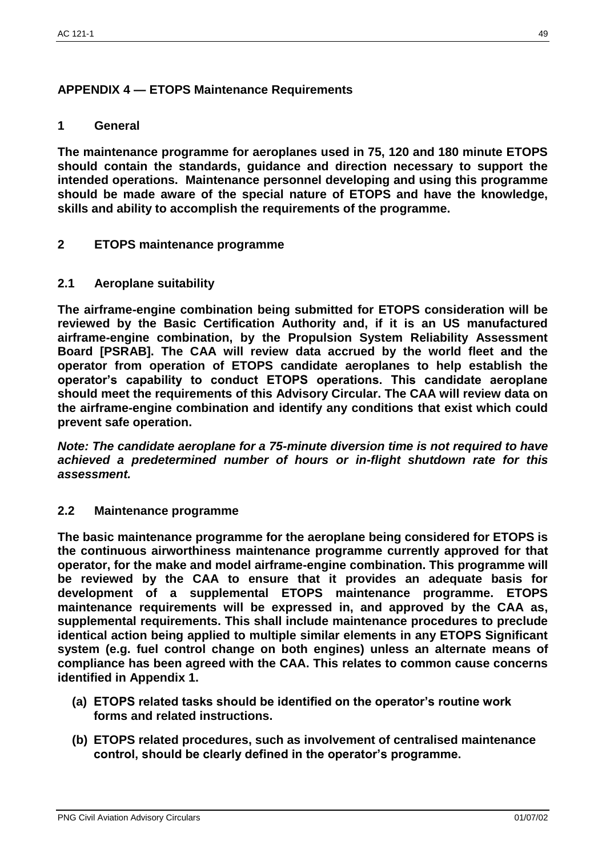# **APPENDIX 4 — ETOPS Maintenance Requirements**

# **1 General**

**The maintenance programme for aeroplanes used in 75, 120 and 180 minute ETOPS should contain the standards, guidance and direction necessary to support the intended operations. Maintenance personnel developing and using this programme should be made aware of the special nature of ETOPS and have the knowledge, skills and ability to accomplish the requirements of the programme.**

# **2 ETOPS maintenance programme**

### **2.1 Aeroplane suitability**

**The airframe-engine combination being submitted for ETOPS consideration will be reviewed by the Basic Certification Authority and, if it is an US manufactured airframe-engine combination, by the Propulsion System Reliability Assessment Board [PSRAB]. The CAA will review data accrued by the world fleet and the operator from operation of ETOPS candidate aeroplanes to help establish the operator's capability to conduct ETOPS operations. This candidate aeroplane should meet the requirements of this Advisory Circular. The CAA will review data on the airframe-engine combination and identify any conditions that exist which could prevent safe operation.**

*Note: The candidate aeroplane for a 75-minute diversion time is not required to have achieved a predetermined number of hours or in-flight shutdown rate for this assessment.*

# **2.2 Maintenance programme**

**The basic maintenance programme for the aeroplane being considered for ETOPS is the continuous airworthiness maintenance programme currently approved for that operator, for the make and model airframe-engine combination. This programme will be reviewed by the CAA to ensure that it provides an adequate basis for development of a supplemental ETOPS maintenance programme. ETOPS maintenance requirements will be expressed in, and approved by the CAA as, supplemental requirements. This shall include maintenance procedures to preclude identical action being applied to multiple similar elements in any ETOPS Significant system (e.g. fuel control change on both engines) unless an alternate means of compliance has been agreed with the CAA. This relates to common cause concerns identified in Appendix 1.**

- **(a) ETOPS related tasks should be identified on the operator's routine work forms and related instructions.**
- **(b) ETOPS related procedures, such as involvement of centralised maintenance control, should be clearly defined in the operator's programme.**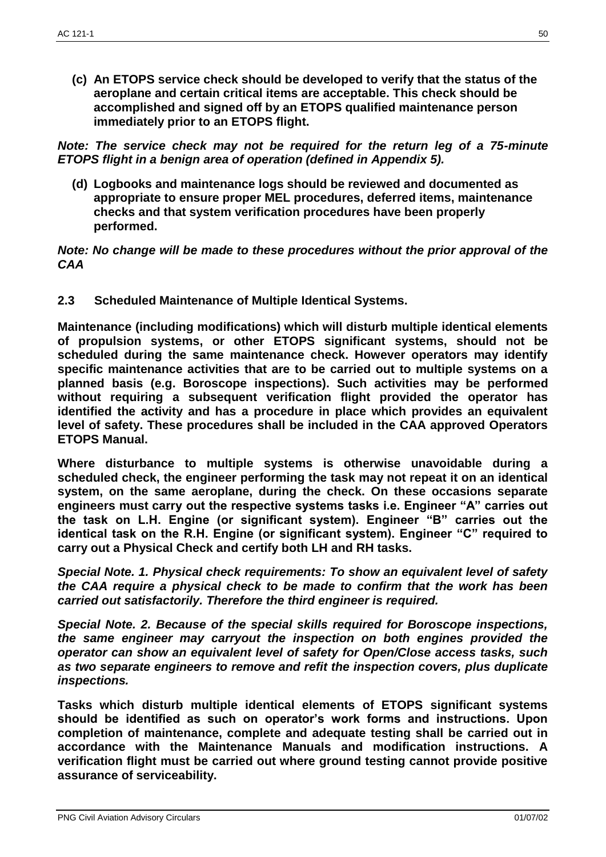**(c) An ETOPS service check should be developed to verify that the status of the aeroplane and certain critical items are acceptable. This check should be accomplished and signed off by an ETOPS qualified maintenance person immediately prior to an ETOPS flight.**

*Note: The service check may not be required for the return leg of a 75-minute ETOPS flight in a benign area of operation (defined in Appendix 5).*

**(d) Logbooks and maintenance logs should be reviewed and documented as appropriate to ensure proper MEL procedures, deferred items, maintenance checks and that system verification procedures have been properly performed.**

*Note: No change will be made to these procedures without the prior approval of the CAA*

**2.3 Scheduled Maintenance of Multiple Identical Systems.**

**Maintenance (including modifications) which will disturb multiple identical elements of propulsion systems, or other ETOPS significant systems, should not be scheduled during the same maintenance check. However operators may identify specific maintenance activities that are to be carried out to multiple systems on a planned basis (e.g. Boroscope inspections). Such activities may be performed without requiring a subsequent verification flight provided the operator has identified the activity and has a procedure in place which provides an equivalent level of safety. These procedures shall be included in the CAA approved Operators ETOPS Manual.**

**Where disturbance to multiple systems is otherwise unavoidable during a scheduled check, the engineer performing the task may not repeat it on an identical system, on the same aeroplane, during the check. On these occasions separate engineers must carry out the respective systems tasks i.e. Engineer "A" carries out the task on L.H. Engine (or significant system). Engineer "B" carries out the identical task on the R.H. Engine (or significant system). Engineer "C" required to carry out a Physical Check and certify both LH and RH tasks.**

*Special Note. 1. Physical check requirements: To show an equivalent level of safety the CAA require a physical check to be made to confirm that the work has been carried out satisfactorily. Therefore the third engineer is required.*

*Special Note. 2. Because of the special skills required for Boroscope inspections, the same engineer may carryout the inspection on both engines provided the operator can show an equivalent level of safety for Open/Close access tasks, such as two separate engineers to remove and refit the inspection covers, plus duplicate inspections.*

**Tasks which disturb multiple identical elements of ETOPS significant systems should be identified as such on operator's work forms and instructions. Upon completion of maintenance, complete and adequate testing shall be carried out in accordance with the Maintenance Manuals and modification instructions. A verification flight must be carried out where ground testing cannot provide positive assurance of serviceability.**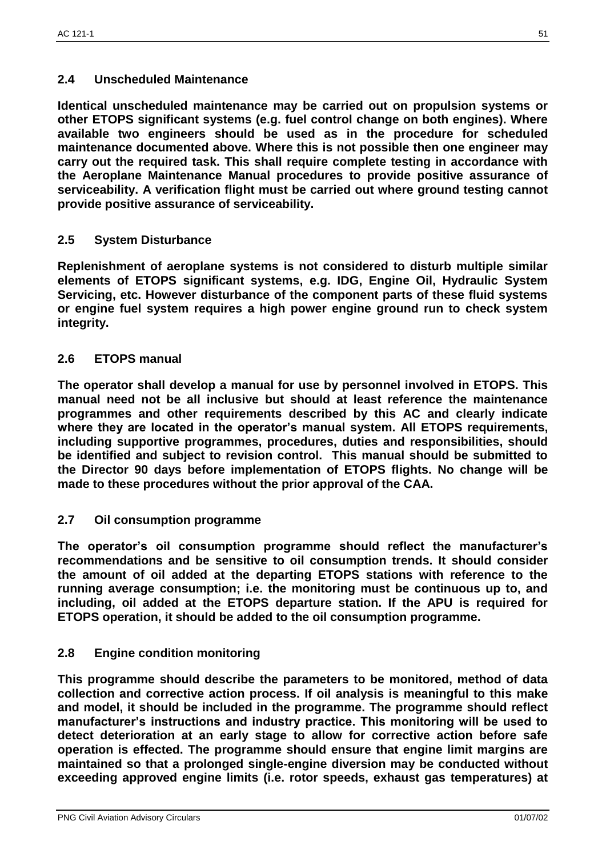# **2.4 Unscheduled Maintenance**

**Identical unscheduled maintenance may be carried out on propulsion systems or other ETOPS significant systems (e.g. fuel control change on both engines). Where available two engineers should be used as in the procedure for scheduled maintenance documented above. Where this is not possible then one engineer may carry out the required task. This shall require complete testing in accordance with the Aeroplane Maintenance Manual procedures to provide positive assurance of serviceability. A verification flight must be carried out where ground testing cannot provide positive assurance of serviceability.**

### **2.5 System Disturbance**

**Replenishment of aeroplane systems is not considered to disturb multiple similar elements of ETOPS significant systems, e.g. IDG, Engine Oil, Hydraulic System Servicing, etc. However disturbance of the component parts of these fluid systems or engine fuel system requires a high power engine ground run to check system integrity.**

### **2.6 ETOPS manual**

**The operator shall develop a manual for use by personnel involved in ETOPS. This manual need not be all inclusive but should at least reference the maintenance programmes and other requirements described by this AC and clearly indicate where they are located in the operator's manual system. All ETOPS requirements, including supportive programmes, procedures, duties and responsibilities, should be identified and subject to revision control. This manual should be submitted to the Director 90 days before implementation of ETOPS flights. No change will be made to these procedures without the prior approval of the CAA.**

#### **2.7 Oil consumption programme**

**The operator's oil consumption programme should reflect the manufacturer's recommendations and be sensitive to oil consumption trends. It should consider the amount of oil added at the departing ETOPS stations with reference to the running average consumption; i.e. the monitoring must be continuous up to, and including, oil added at the ETOPS departure station. If the APU is required for ETOPS operation, it should be added to the oil consumption programme.**

# **2.8 Engine condition monitoring**

**This programme should describe the parameters to be monitored, method of data collection and corrective action process. If oil analysis is meaningful to this make and model, it should be included in the programme. The programme should reflect manufacturer's instructions and industry practice. This monitoring will be used to detect deterioration at an early stage to allow for corrective action before safe operation is effected. The programme should ensure that engine limit margins are maintained so that a prolonged single-engine diversion may be conducted without exceeding approved engine limits (i.e. rotor speeds, exhaust gas temperatures) at**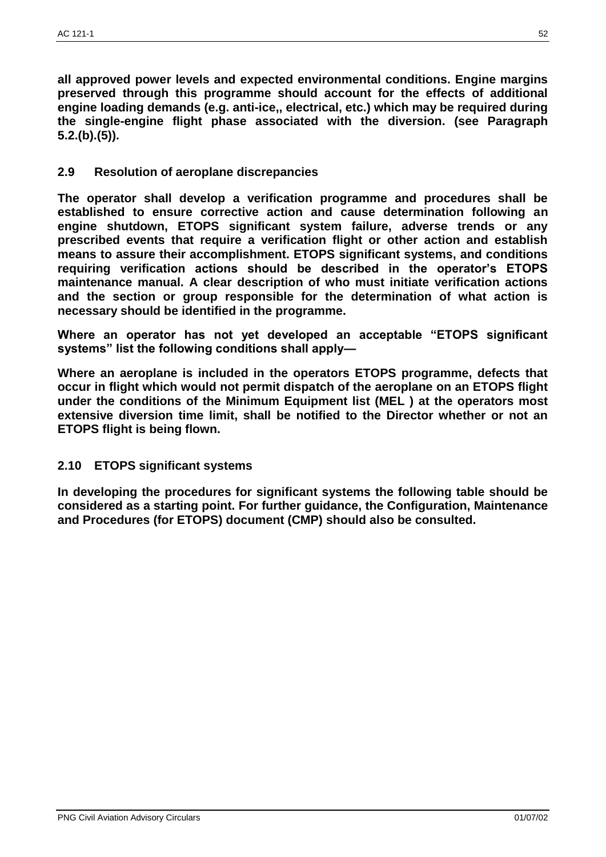**all approved power levels and expected environmental conditions. Engine margins preserved through this programme should account for the effects of additional engine loading demands (e.g. anti-ice,, electrical, etc.) which may be required during the single-engine flight phase associated with the diversion. (see Paragraph 5.2.(b).(5)).**

# **2.9 Resolution of aeroplane discrepancies**

**The operator shall develop a verification programme and procedures shall be established to ensure corrective action and cause determination following an engine shutdown, ETOPS significant system failure, adverse trends or any prescribed events that require a verification flight or other action and establish means to assure their accomplishment. ETOPS significant systems, and conditions requiring verification actions should be described in the operator's ETOPS maintenance manual. A clear description of who must initiate verification actions and the section or group responsible for the determination of what action is necessary should be identified in the programme.**

**Where an operator has not yet developed an acceptable "ETOPS significant systems" list the following conditions shall apply—**

**Where an aeroplane is included in the operators ETOPS programme, defects that occur in flight which would not permit dispatch of the aeroplane on an ETOPS flight under the conditions of the Minimum Equipment list (MEL ) at the operators most extensive diversion time limit, shall be notified to the Director whether or not an ETOPS flight is being flown.**

# **2.10 ETOPS significant systems**

**In developing the procedures for significant systems the following table should be considered as a starting point. For further guidance, the Configuration, Maintenance and Procedures (for ETOPS) document (CMP) should also be consulted.**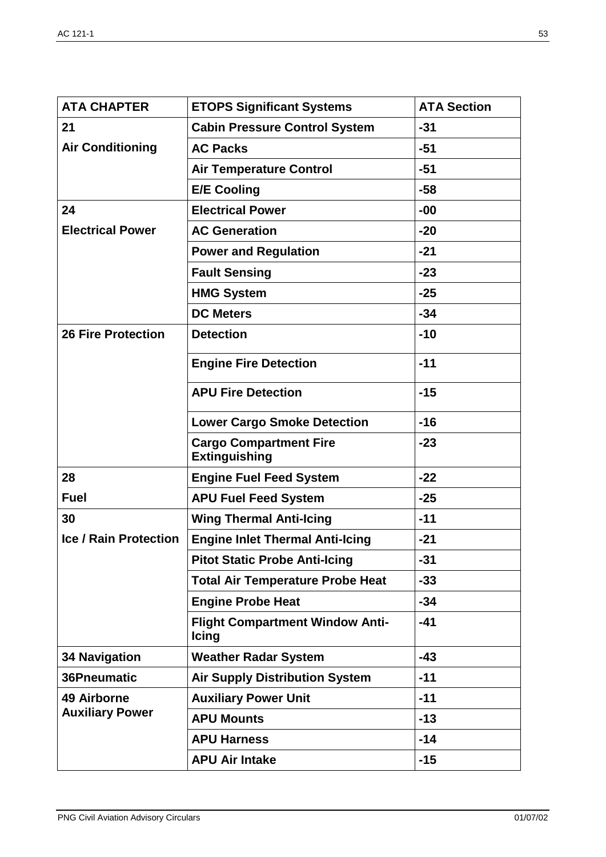| <b>ATA CHAPTER</b>                           | <b>ETOPS Significant Systems</b>                       | <b>ATA Section</b> |
|----------------------------------------------|--------------------------------------------------------|--------------------|
| 21                                           | <b>Cabin Pressure Control System</b>                   | $-31$              |
| <b>Air Conditioning</b>                      | <b>AC Packs</b>                                        | $-51$              |
|                                              | <b>Air Temperature Control</b>                         | $-51$              |
|                                              | <b>E/E Cooling</b>                                     | $-58$              |
| 24                                           | <b>Electrical Power</b>                                | $-00$              |
| <b>Electrical Power</b>                      | <b>AC Generation</b>                                   | $-20$              |
|                                              | <b>Power and Regulation</b>                            | $-21$              |
|                                              | <b>Fault Sensing</b>                                   | $-23$              |
|                                              | <b>HMG System</b>                                      | $-25$              |
|                                              | <b>DC Meters</b>                                       | $-34$              |
| <b>26 Fire Protection</b>                    | <b>Detection</b>                                       | $-10$              |
|                                              | <b>Engine Fire Detection</b>                           | $-11$              |
|                                              | <b>APU Fire Detection</b>                              | $-15$              |
|                                              | <b>Lower Cargo Smoke Detection</b>                     | $-16$              |
|                                              | <b>Cargo Compartment Fire</b><br><b>Extinguishing</b>  | $-23$              |
| 28                                           | <b>Engine Fuel Feed System</b>                         | $-22$              |
| <b>Fuel</b>                                  | <b>APU Fuel Feed System</b>                            | $-25$              |
| 30                                           | <b>Wing Thermal Anti-Icing</b>                         | $-11$              |
| <b>Ice / Rain Protection</b>                 | <b>Engine Inlet Thermal Anti-Icing</b>                 | $-21$              |
|                                              | <b>Pitot Static Probe Anti-Icing</b>                   | $-31$              |
|                                              | <b>Total Air Temperature Probe Heat</b>                | $-33$              |
|                                              | <b>Engine Probe Heat</b>                               | $-34$              |
|                                              | <b>Flight Compartment Window Anti-</b><br><b>Icing</b> | $-41$              |
| <b>34 Navigation</b>                         | <b>Weather Radar System</b>                            | $-43$              |
| 36Pneumatic                                  | <b>Air Supply Distribution System</b>                  | $-11$              |
| <b>49 Airborne</b><br><b>Auxiliary Power</b> | <b>Auxiliary Power Unit</b>                            | $-11$              |
|                                              | <b>APU Mounts</b>                                      | $-13$              |
|                                              | <b>APU Harness</b>                                     | $-14$              |
|                                              | <b>APU Air Intake</b>                                  | $-15$              |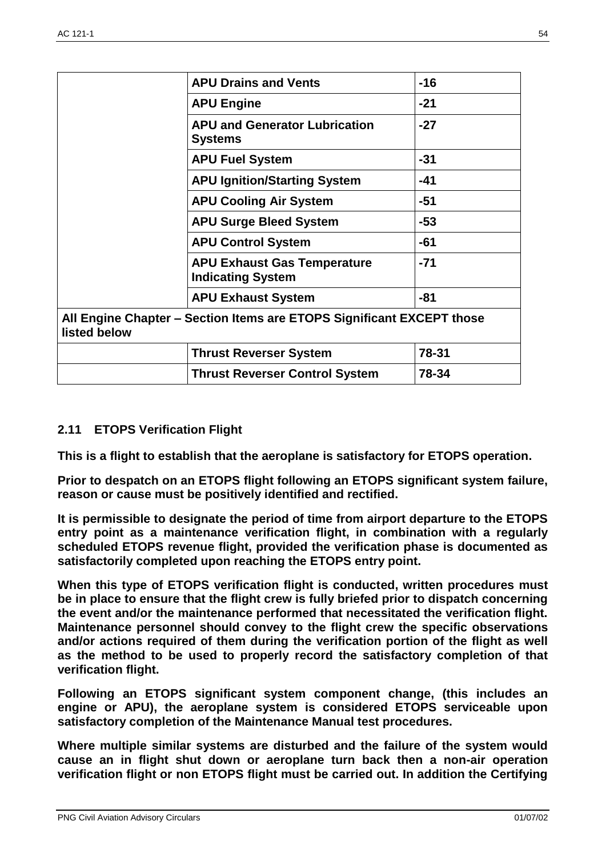|                                                                                       | <b>APU Drains and Vents</b>                                    | $-16$ |  |  |
|---------------------------------------------------------------------------------------|----------------------------------------------------------------|-------|--|--|
|                                                                                       | <b>APU Engine</b>                                              | $-21$ |  |  |
|                                                                                       | <b>APU and Generator Lubrication</b><br><b>Systems</b>         | $-27$ |  |  |
|                                                                                       | <b>APU Fuel System</b>                                         | $-31$ |  |  |
|                                                                                       | <b>APU Ignition/Starting System</b>                            | $-41$ |  |  |
|                                                                                       | <b>APU Cooling Air System</b>                                  | $-51$ |  |  |
|                                                                                       | <b>APU Surge Bleed System</b>                                  | $-53$ |  |  |
|                                                                                       | <b>APU Control System</b>                                      | $-61$ |  |  |
|                                                                                       | <b>APU Exhaust Gas Temperature</b><br><b>Indicating System</b> | $-71$ |  |  |
|                                                                                       | <b>APU Exhaust System</b>                                      | $-81$ |  |  |
| All Engine Chapter – Section Items are ETOPS Significant EXCEPT those<br>listed below |                                                                |       |  |  |
|                                                                                       | <b>Thrust Reverser System</b>                                  | 78-31 |  |  |
|                                                                                       | <b>Thrust Reverser Control System</b>                          | 78-34 |  |  |

# **2.11 ETOPS Verification Flight**

**This is a flight to establish that the aeroplane is satisfactory for ETOPS operation.**

**Prior to despatch on an ETOPS flight following an ETOPS significant system failure, reason or cause must be positively identified and rectified.**

**It is permissible to designate the period of time from airport departure to the ETOPS entry point as a maintenance verification flight, in combination with a regularly scheduled ETOPS revenue flight, provided the verification phase is documented as satisfactorily completed upon reaching the ETOPS entry point.**

**When this type of ETOPS verification flight is conducted, written procedures must be in place to ensure that the flight crew is fully briefed prior to dispatch concerning the event and/or the maintenance performed that necessitated the verification flight. Maintenance personnel should convey to the flight crew the specific observations and/or actions required of them during the verification portion of the flight as well as the method to be used to properly record the satisfactory completion of that verification flight.**

**Following an ETOPS significant system component change, (this includes an engine or APU), the aeroplane system is considered ETOPS serviceable upon satisfactory completion of the Maintenance Manual test procedures.**

**Where multiple similar systems are disturbed and the failure of the system would cause an in flight shut down or aeroplane turn back then a non-air operation verification flight or non ETOPS flight must be carried out. In addition the Certifying**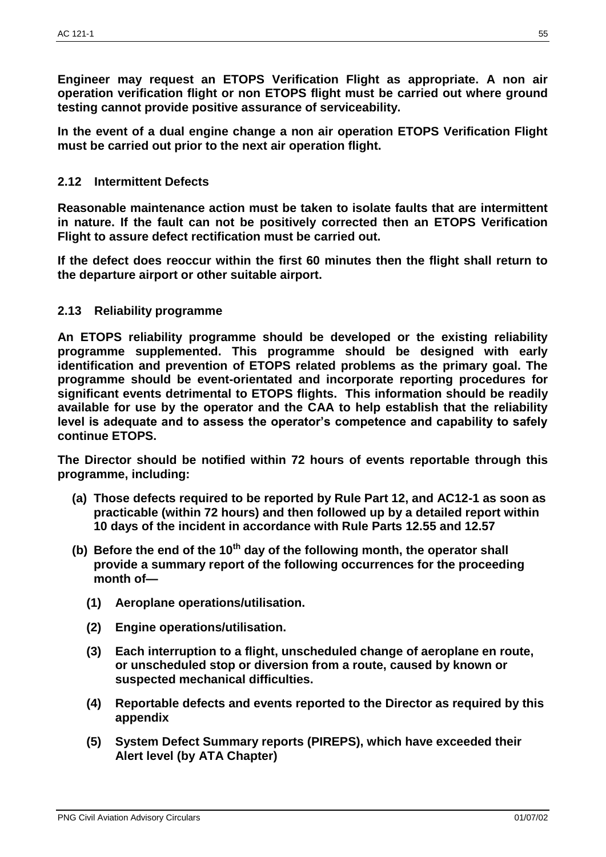**Engineer may request an ETOPS Verification Flight as appropriate. A non air operation verification flight or non ETOPS flight must be carried out where ground testing cannot provide positive assurance of serviceability.**

**In the event of a dual engine change a non air operation ETOPS Verification Flight must be carried out prior to the next air operation flight.**

# **2.12 Intermittent Defects**

**Reasonable maintenance action must be taken to isolate faults that are intermittent in nature. If the fault can not be positively corrected then an ETOPS Verification Flight to assure defect rectification must be carried out.**

**If the defect does reoccur within the first 60 minutes then the flight shall return to the departure airport or other suitable airport.**

### **2.13 Reliability programme**

**An ETOPS reliability programme should be developed or the existing reliability programme supplemented. This programme should be designed with early identification and prevention of ETOPS related problems as the primary goal. The programme should be event-orientated and incorporate reporting procedures for significant events detrimental to ETOPS flights. This information should be readily available for use by the operator and the CAA to help establish that the reliability level is adequate and to assess the operator's competence and capability to safely continue ETOPS.**

**The Director should be notified within 72 hours of events reportable through this programme, including:**

- **(a) Those defects required to be reported by Rule Part 12, and AC12-1 as soon as practicable (within 72 hours) and then followed up by a detailed report within 10 days of the incident in accordance with Rule Parts 12.55 and 12.57**
- **(b) Before the end of the 10th day of the following month, the operator shall provide a summary report of the following occurrences for the proceeding month of—**
	- **(1) Aeroplane operations/utilisation.**
	- **(2) Engine operations/utilisation.**
	- **(3) Each interruption to a flight, unscheduled change of aeroplane en route, or unscheduled stop or diversion from a route, caused by known or suspected mechanical difficulties.**
	- **(4) Reportable defects and events reported to the Director as required by this appendix**
	- **(5) System Defect Summary reports (PIREPS), which have exceeded their Alert level (by ATA Chapter)**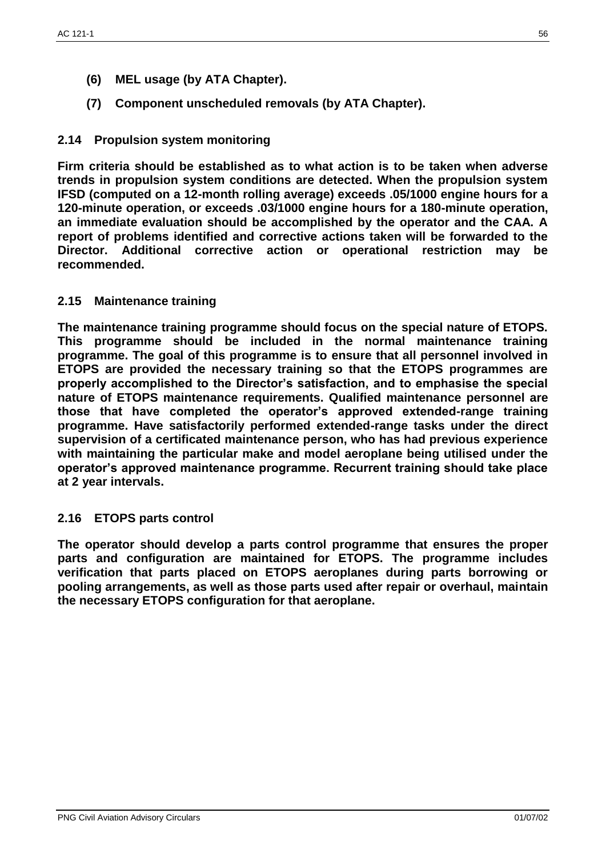- **(6) MEL usage (by ATA Chapter).**
- **(7) Component unscheduled removals (by ATA Chapter).**

# **2.14 Propulsion system monitoring**

**Firm criteria should be established as to what action is to be taken when adverse trends in propulsion system conditions are detected. When the propulsion system IFSD (computed on a 12-month rolling average) exceeds .05/1000 engine hours for a 120-minute operation, or exceeds .03/1000 engine hours for a 180-minute operation, an immediate evaluation should be accomplished by the operator and the CAA. A report of problems identified and corrective actions taken will be forwarded to the Director. Additional corrective action or operational restriction may be recommended.**

# **2.15 Maintenance training**

**The maintenance training programme should focus on the special nature of ETOPS. This programme should be included in the normal maintenance training programme. The goal of this programme is to ensure that all personnel involved in ETOPS are provided the necessary training so that the ETOPS programmes are properly accomplished to the Director's satisfaction, and to emphasise the special nature of ETOPS maintenance requirements. Qualified maintenance personnel are those that have completed the operator's approved extended-range training programme. Have satisfactorily performed extended-range tasks under the direct supervision of a certificated maintenance person, who has had previous experience with maintaining the particular make and model aeroplane being utilised under the operator's approved maintenance programme. Recurrent training should take place at 2 year intervals.**

# **2.16 ETOPS parts control**

**The operator should develop a parts control programme that ensures the proper parts and configuration are maintained for ETOPS. The programme includes verification that parts placed on ETOPS aeroplanes during parts borrowing or pooling arrangements, as well as those parts used after repair or overhaul, maintain the necessary ETOPS configuration for that aeroplane.**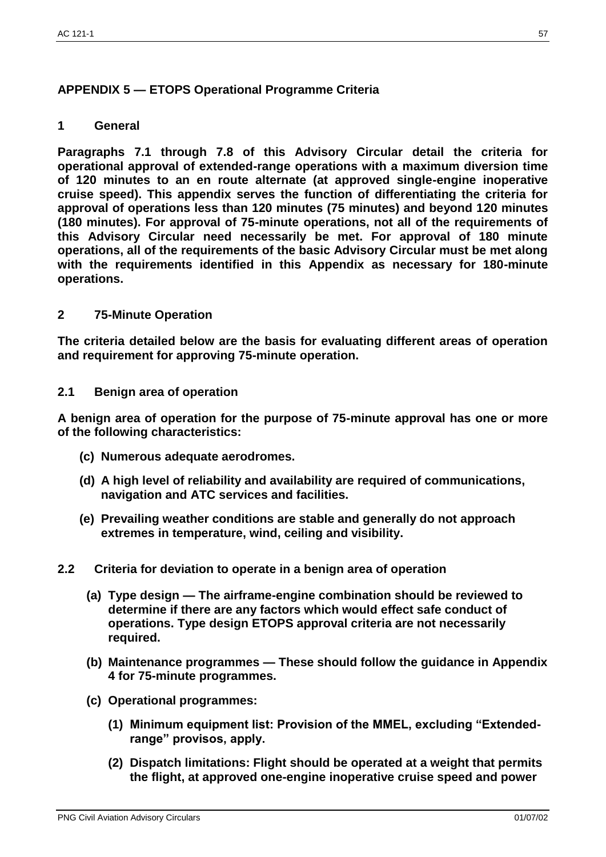# **APPENDIX 5 — ETOPS Operational Programme Criteria**

# **1 General**

**Paragraphs 7.1 through 7.8 of this Advisory Circular detail the criteria for operational approval of extended-range operations with a maximum diversion time of 120 minutes to an en route alternate (at approved single-engine inoperative cruise speed). This appendix serves the function of differentiating the criteria for approval of operations less than 120 minutes (75 minutes) and beyond 120 minutes (180 minutes). For approval of 75-minute operations, not all of the requirements of this Advisory Circular need necessarily be met. For approval of 180 minute operations, all of the requirements of the basic Advisory Circular must be met along with the requirements identified in this Appendix as necessary for 180-minute operations.**

### **2 75-Minute Operation**

**The criteria detailed below are the basis for evaluating different areas of operation and requirement for approving 75-minute operation.**

### **2.1 Benign area of operation**

**A benign area of operation for the purpose of 75-minute approval has one or more of the following characteristics:**

- **(c) Numerous adequate aerodromes.**
- **(d) A high level of reliability and availability are required of communications, navigation and ATC services and facilities.**
- **(e) Prevailing weather conditions are stable and generally do not approach extremes in temperature, wind, ceiling and visibility.**
- **2.2 Criteria for deviation to operate in a benign area of operation**
	- **(a) Type design — The airframe-engine combination should be reviewed to determine if there are any factors which would effect safe conduct of operations. Type design ETOPS approval criteria are not necessarily required.**
	- **(b) Maintenance programmes — These should follow the guidance in Appendix 4 for 75-minute programmes.**
	- **(c) Operational programmes:**
		- **(1) Minimum equipment list: Provision of the MMEL, excluding "Extendedrange" provisos, apply.**
		- **(2) Dispatch limitations: Flight should be operated at a weight that permits the flight, at approved one-engine inoperative cruise speed and power**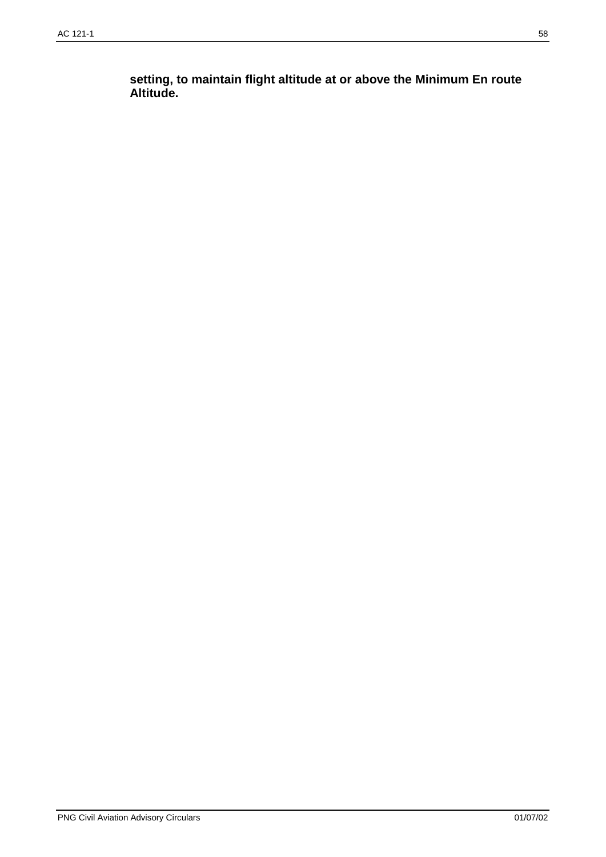**setting, to maintain flight altitude at or above the Minimum En route Altitude.**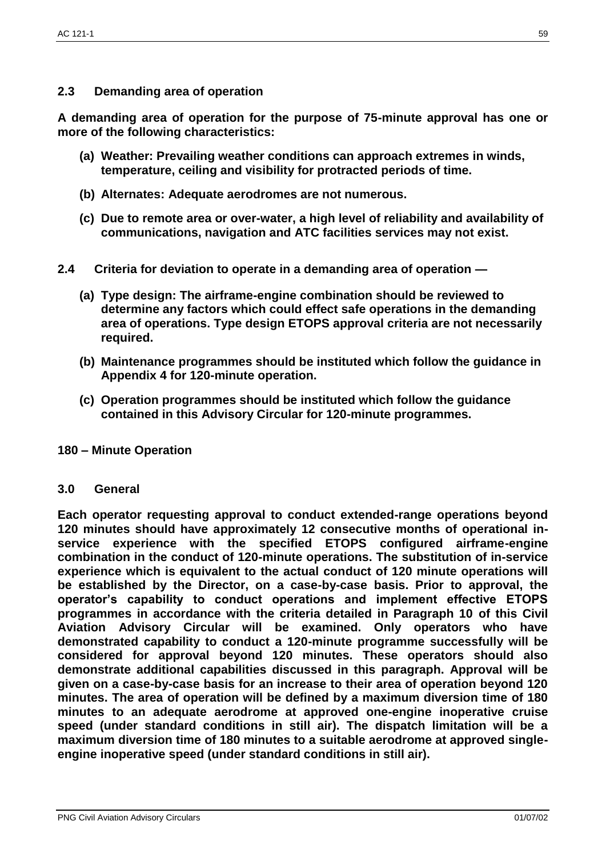# **2.3 Demanding area of operation**

**A demanding area of operation for the purpose of 75-minute approval has one or more of the following characteristics:**

- **(a) Weather: Prevailing weather conditions can approach extremes in winds, temperature, ceiling and visibility for protracted periods of time.**
- **(b) Alternates: Adequate aerodromes are not numerous.**
- **(c) Due to remote area or over-water, a high level of reliability and availability of communications, navigation and ATC facilities services may not exist.**
- **2.4 Criteria for deviation to operate in a demanding area of operation —**
	- **(a) Type design: The airframe-engine combination should be reviewed to determine any factors which could effect safe operations in the demanding area of operations. Type design ETOPS approval criteria are not necessarily required.**
	- **(b) Maintenance programmes should be instituted which follow the guidance in Appendix 4 for 120-minute operation.**
	- **(c) Operation programmes should be instituted which follow the guidance contained in this Advisory Circular for 120-minute programmes.**

# **180 – Minute Operation**

#### **3.0 General**

**Each operator requesting approval to conduct extended-range operations beyond 120 minutes should have approximately 12 consecutive months of operational inservice experience with the specified ETOPS configured airframe-engine combination in the conduct of 120-minute operations. The substitution of in-service experience which is equivalent to the actual conduct of 120 minute operations will be established by the Director, on a case-by-case basis. Prior to approval, the operator's capability to conduct operations and implement effective ETOPS programmes in accordance with the criteria detailed in Paragraph 10 of this Civil Aviation Advisory Circular will be examined. Only operators who have demonstrated capability to conduct a 120-minute programme successfully will be considered for approval beyond 120 minutes. These operators should also demonstrate additional capabilities discussed in this paragraph. Approval will be given on a case-by-case basis for an increase to their area of operation beyond 120 minutes. The area of operation will be defined by a maximum diversion time of 180 minutes to an adequate aerodrome at approved one-engine inoperative cruise speed (under standard conditions in still air). The dispatch limitation will be a maximum diversion time of 180 minutes to a suitable aerodrome at approved singleengine inoperative speed (under standard conditions in still air).**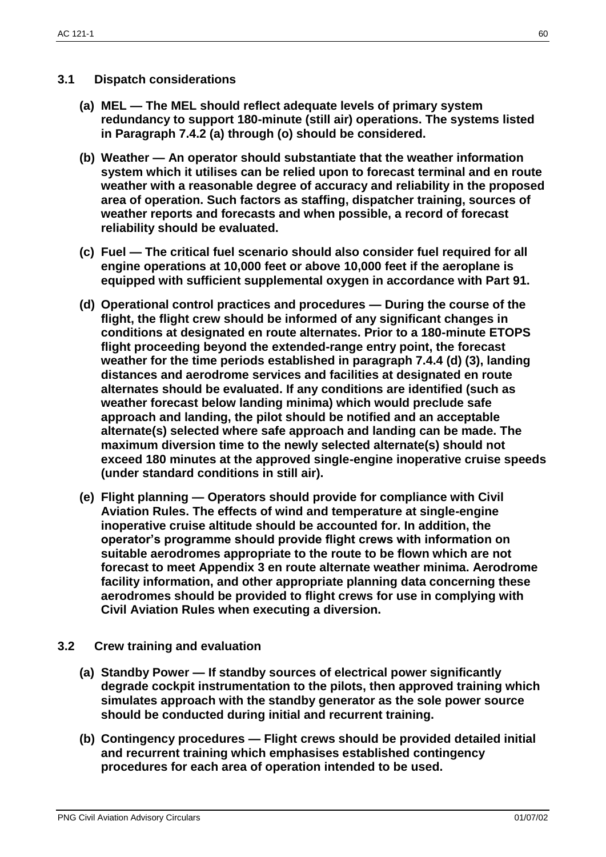# **3.1 Dispatch considerations**

- **(a) MEL — The MEL should reflect adequate levels of primary system redundancy to support 180-minute (still air) operations. The systems listed in Paragraph 7.4.2 (a) through (o) should be considered.**
- **(b) Weather — An operator should substantiate that the weather information system which it utilises can be relied upon to forecast terminal and en route weather with a reasonable degree of accuracy and reliability in the proposed area of operation. Such factors as staffing, dispatcher training, sources of weather reports and forecasts and when possible, a record of forecast reliability should be evaluated.**
- **(c) Fuel — The critical fuel scenario should also consider fuel required for all engine operations at 10,000 feet or above 10,000 feet if the aeroplane is equipped with sufficient supplemental oxygen in accordance with Part 91.**
- **(d) Operational control practices and procedures — During the course of the flight, the flight crew should be informed of any significant changes in conditions at designated en route alternates. Prior to a 180-minute ETOPS flight proceeding beyond the extended-range entry point, the forecast weather for the time periods established in paragraph 7.4.4 (d) (3), landing distances and aerodrome services and facilities at designated en route alternates should be evaluated. If any conditions are identified (such as weather forecast below landing minima) which would preclude safe approach and landing, the pilot should be notified and an acceptable alternate(s) selected where safe approach and landing can be made. The maximum diversion time to the newly selected alternate(s) should not exceed 180 minutes at the approved single-engine inoperative cruise speeds (under standard conditions in still air).**
- **(e) Flight planning — Operators should provide for compliance with Civil Aviation Rules. The effects of wind and temperature at single-engine inoperative cruise altitude should be accounted for. In addition, the operator's programme should provide flight crews with information on suitable aerodromes appropriate to the route to be flown which are not forecast to meet Appendix 3 en route alternate weather minima. Aerodrome facility information, and other appropriate planning data concerning these aerodromes should be provided to flight crews for use in complying with Civil Aviation Rules when executing a diversion.**
- **3.2 Crew training and evaluation**
	- **(a) Standby Power — If standby sources of electrical power significantly degrade cockpit instrumentation to the pilots, then approved training which simulates approach with the standby generator as the sole power source should be conducted during initial and recurrent training.**
	- **(b) Contingency procedures — Flight crews should be provided detailed initial and recurrent training which emphasises established contingency procedures for each area of operation intended to be used.**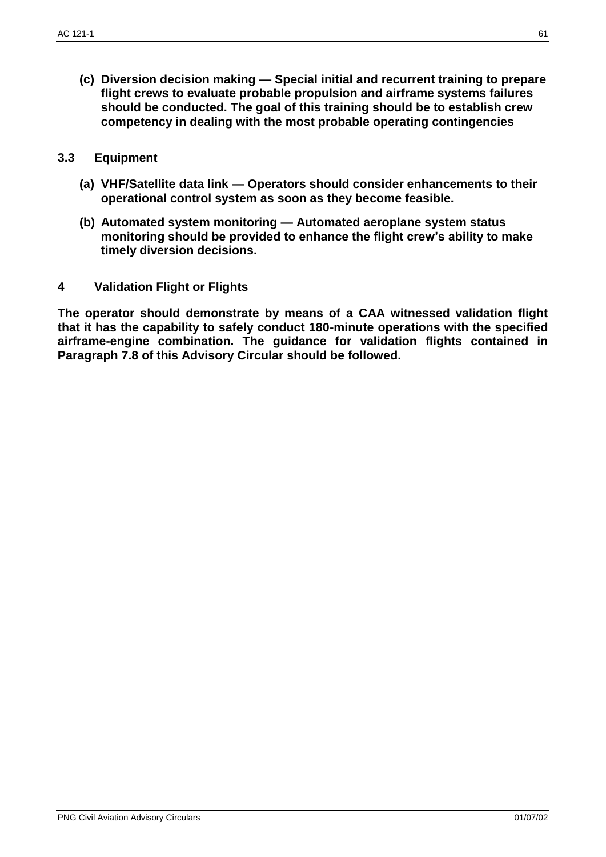**(c) Diversion decision making — Special initial and recurrent training to prepare flight crews to evaluate probable propulsion and airframe systems failures should be conducted. The goal of this training should be to establish crew competency in dealing with the most probable operating contingencies**

#### **3.3 Equipment**

- **(a) VHF/Satellite data link — Operators should consider enhancements to their operational control system as soon as they become feasible.**
- **(b) Automated system monitoring — Automated aeroplane system status monitoring should be provided to enhance the flight crew's ability to make timely diversion decisions.**
- **4 Validation Flight or Flights**

**The operator should demonstrate by means of a CAA witnessed validation flight that it has the capability to safely conduct 180-minute operations with the specified airframe-engine combination. The guidance for validation flights contained in Paragraph 7.8 of this Advisory Circular should be followed.**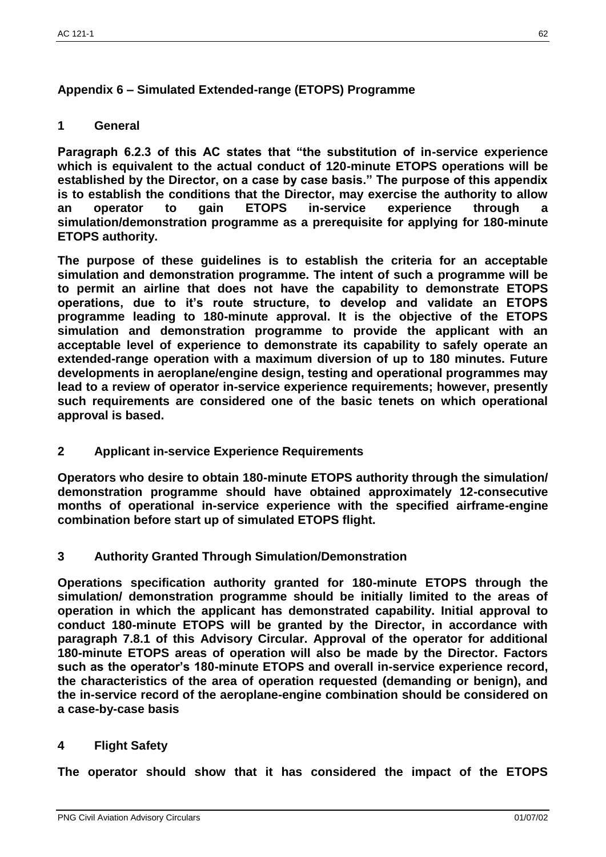# **Appendix 6 – Simulated Extended-range (ETOPS) Programme**

# **1 General**

**Paragraph 6.2.3 of this AC states that "the substitution of in-service experience which is equivalent to the actual conduct of 120-minute ETOPS operations will be established by the Director, on a case by case basis." The purpose of this appendix is to establish the conditions that the Director, may exercise the authority to allow an operator to gain ETOPS in-service experience through a simulation/demonstration programme as a prerequisite for applying for 180-minute ETOPS authority.**

**The purpose of these guidelines is to establish the criteria for an acceptable simulation and demonstration programme. The intent of such a programme will be to permit an airline that does not have the capability to demonstrate ETOPS operations, due to it's route structure, to develop and validate an ETOPS programme leading to 180-minute approval. It is the objective of the ETOPS simulation and demonstration programme to provide the applicant with an acceptable level of experience to demonstrate its capability to safely operate an extended-range operation with a maximum diversion of up to 180 minutes. Future developments in aeroplane/engine design, testing and operational programmes may lead to a review of operator in-service experience requirements; however, presently such requirements are considered one of the basic tenets on which operational approval is based.**

**2 Applicant in-service Experience Requirements**

**Operators who desire to obtain 180-minute ETOPS authority through the simulation/ demonstration programme should have obtained approximately 12-consecutive months of operational in-service experience with the specified airframe-engine combination before start up of simulated ETOPS flight.**

**3 Authority Granted Through Simulation/Demonstration** 

**Operations specification authority granted for 180-minute ETOPS through the simulation/ demonstration programme should be initially limited to the areas of operation in which the applicant has demonstrated capability. Initial approval to conduct 180-minute ETOPS will be granted by the Director, in accordance with paragraph 7.8.1 of this Advisory Circular. Approval of the operator for additional 180-minute ETOPS areas of operation will also be made by the Director. Factors such as the operator's 180-minute ETOPS and overall in-service experience record, the characteristics of the area of operation requested (demanding or benign), and the in-service record of the aeroplane-engine combination should be considered on a case-by-case basis**

# **4 Flight Safety**

**The operator should show that it has considered the impact of the ETOPS**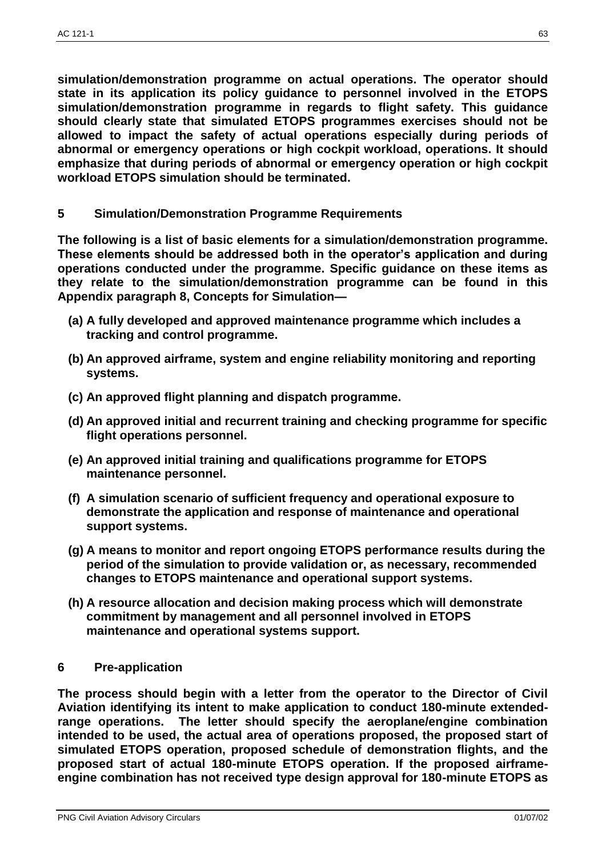**simulation/demonstration programme on actual operations. The operator should state in its application its policy guidance to personnel involved in the ETOPS simulation/demonstration programme in regards to flight safety. This guidance should clearly state that simulated ETOPS programmes exercises should not be allowed to impact the safety of actual operations especially during periods of abnormal or emergency operations or high cockpit workload, operations. It should emphasize that during periods of abnormal or emergency operation or high cockpit workload ETOPS simulation should be terminated.**

**5 Simulation/Demonstration Programme Requirements**

**The following is a list of basic elements for a simulation/demonstration programme. These elements should be addressed both in the operator's application and during operations conducted under the programme. Specific guidance on these items as they relate to the simulation/demonstration programme can be found in this Appendix paragraph 8, Concepts for Simulation—**

- **(a) A fully developed and approved maintenance programme which includes a tracking and control programme.**
- **(b) An approved airframe, system and engine reliability monitoring and reporting systems.**
- **(c) An approved flight planning and dispatch programme.**
- **(d) An approved initial and recurrent training and checking programme for specific flight operations personnel.**
- **(e) An approved initial training and qualifications programme for ETOPS maintenance personnel.**
- **(f) A simulation scenario of sufficient frequency and operational exposure to demonstrate the application and response of maintenance and operational support systems.**
- **(g) A means to monitor and report ongoing ETOPS performance results during the period of the simulation to provide validation or, as necessary, recommended changes to ETOPS maintenance and operational support systems.**
- **(h) A resource allocation and decision making process which will demonstrate commitment by management and all personnel involved in ETOPS maintenance and operational systems support.**

#### **6 Pre-application**

**The process should begin with a letter from the operator to the Director of Civil Aviation identifying its intent to make application to conduct 180-minute extendedrange operations. The letter should specify the aeroplane/engine combination intended to be used, the actual area of operations proposed, the proposed start of simulated ETOPS operation, proposed schedule of demonstration flights, and the proposed start of actual 180-minute ETOPS operation. If the proposed airframeengine combination has not received type design approval for 180-minute ETOPS as**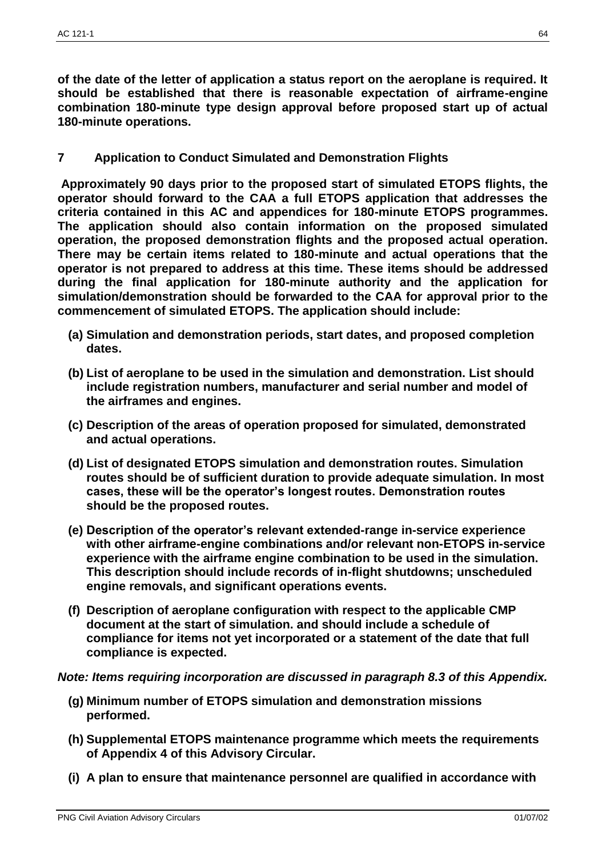**of the date of the letter of application a status report on the aeroplane is required. It should be established that there is reasonable expectation of airframe-engine combination 180-minute type design approval before proposed start up of actual 180-minute operations.**

**7 Application to Conduct Simulated and Demonstration Flights** 

**Approximately 90 days prior to the proposed start of simulated ETOPS flights, the operator should forward to the CAA a full ETOPS application that addresses the criteria contained in this AC and appendices for 180-minute ETOPS programmes. The application should also contain information on the proposed simulated operation, the proposed demonstration flights and the proposed actual operation. There may be certain items related to 180-minute and actual operations that the operator is not prepared to address at this time. These items should be addressed during the final application for 180-minute authority and the application for simulation/demonstration should be forwarded to the CAA for approval prior to the commencement of simulated ETOPS. The application should include:**

- **(a) Simulation and demonstration periods, start dates, and proposed completion dates.**
- **(b) List of aeroplane to be used in the simulation and demonstration. List should include registration numbers, manufacturer and serial number and model of the airframes and engines.**
- **(c) Description of the areas of operation proposed for simulated, demonstrated and actual operations.**
- **(d) List of designated ETOPS simulation and demonstration routes. Simulation routes should be of sufficient duration to provide adequate simulation. In most cases, these will be the operator's longest routes. Demonstration routes should be the proposed routes.**
- **(e) Description of the operator's relevant extended-range in-service experience with other airframe-engine combinations and/or relevant non-ETOPS in-service experience with the airframe engine combination to be used in the simulation. This description should include records of in-flight shutdowns; unscheduled engine removals, and significant operations events.**
- **(f) Description of aeroplane configuration with respect to the applicable CMP document at the start of simulation. and should include a schedule of compliance for items not yet incorporated or a statement of the date that full compliance is expected.**

#### *Note: Items requiring incorporation are discussed in paragraph 8.3 of this Appendix.*

- **(g) Minimum number of ETOPS simulation and demonstration missions performed.**
- **(h) Supplemental ETOPS maintenance programme which meets the requirements of Appendix 4 of this Advisory Circular.**
- **(i) A plan to ensure that maintenance personnel are qualified in accordance with**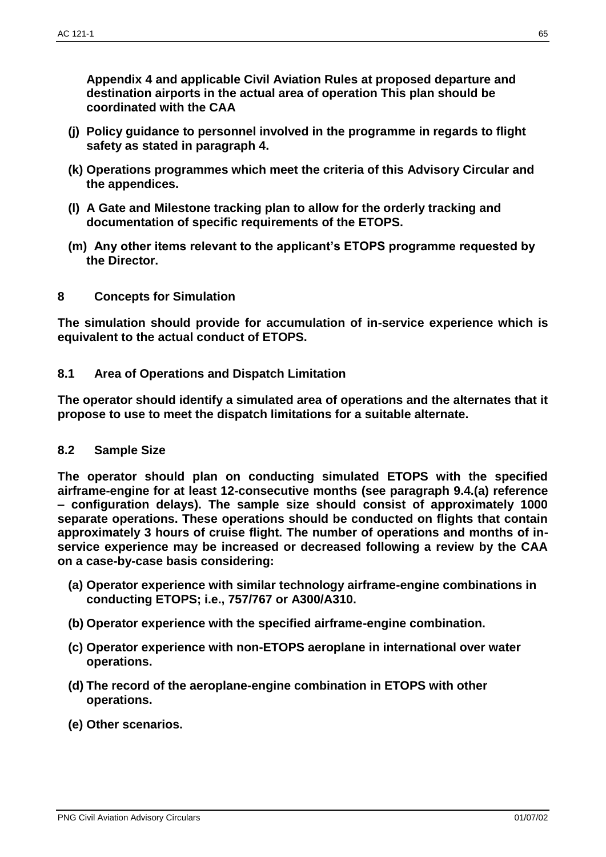**Appendix 4 and applicable Civil Aviation Rules at proposed departure and destination airports in the actual area of operation This plan should be coordinated with the CAA**

- **(j) Policy guidance to personnel involved in the programme in regards to flight safety as stated in paragraph 4.**
- **(k) Operations programmes which meet the criteria of this Advisory Circular and the appendices.**
- **(l) A Gate and Milestone tracking plan to allow for the orderly tracking and documentation of specific requirements of the ETOPS.**
- **(m) Any other items relevant to the applicant's ETOPS programme requested by the Director.**
- **8 Concepts for Simulation**

**The simulation should provide for accumulation of in-service experience which is equivalent to the actual conduct of ETOPS.**

**8.1 Area of Operations and Dispatch Limitation**

**The operator should identify a simulated area of operations and the alternates that it propose to use to meet the dispatch limitations for a suitable alternate.**

#### **8.2 Sample Size**

**The operator should plan on conducting simulated ETOPS with the specified airframe-engine for at least 12-consecutive months (see paragraph 9.4.(a) reference – configuration delays). The sample size should consist of approximately 1000 separate operations. These operations should be conducted on flights that contain approximately 3 hours of cruise flight. The number of operations and months of inservice experience may be increased or decreased following a review by the CAA on a case-by-case basis considering:**

- **(a) Operator experience with similar technology airframe-engine combinations in conducting ETOPS; i.e., 757/767 or A300/A310.**
- **(b) Operator experience with the specified airframe-engine combination.**
- **(c) Operator experience with non-ETOPS aeroplane in international over water operations.**
- **(d) The record of the aeroplane-engine combination in ETOPS with other operations.**
- **(e) Other scenarios.**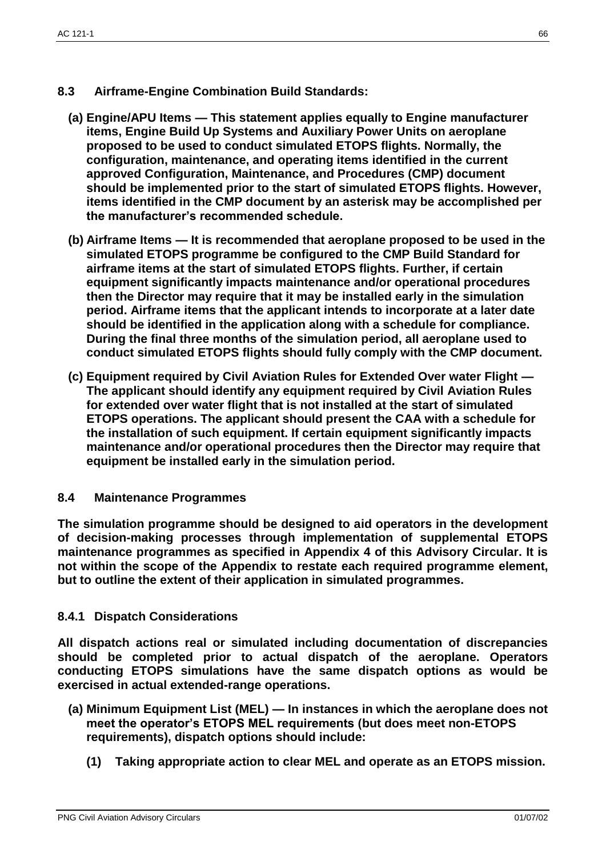- **8.3 Airframe-Engine Combination Build Standards:**
	- **(a) Engine/APU Items — This statement applies equally to Engine manufacturer items, Engine Build Up Systems and Auxiliary Power Units on aeroplane proposed to be used to conduct simulated ETOPS flights. Normally, the configuration, maintenance, and operating items identified in the current approved Configuration, Maintenance, and Procedures (CMP) document should be implemented prior to the start of simulated ETOPS flights. However, items identified in the CMP document by an asterisk may be accomplished per the manufacturer's recommended schedule.**
	- **(b) Airframe Items — It is recommended that aeroplane proposed to be used in the simulated ETOPS programme be configured to the CMP Build Standard for airframe items at the start of simulated ETOPS flights. Further, if certain equipment significantly impacts maintenance and/or operational procedures then the Director may require that it may be installed early in the simulation period. Airframe items that the applicant intends to incorporate at a later date should be identified in the application along with a schedule for compliance. During the final three months of the simulation period, all aeroplane used to conduct simulated ETOPS flights should fully comply with the CMP document.**
	- **(c) Equipment required by Civil Aviation Rules for Extended Over water Flight — The applicant should identify any equipment required by Civil Aviation Rules for extended over water flight that is not installed at the start of simulated ETOPS operations. The applicant should present the CAA with a schedule for the installation of such equipment. If certain equipment significantly impacts maintenance and/or operational procedures then the Director may require that equipment be installed early in the simulation period.**

# **8.4 Maintenance Programmes**

**The simulation programme should be designed to aid operators in the development of decision-making processes through implementation of supplemental ETOPS maintenance programmes as specified in Appendix 4 of this Advisory Circular. It is not within the scope of the Appendix to restate each required programme element, but to outline the extent of their application in simulated programmes.**

# **8.4.1 Dispatch Considerations**

**All dispatch actions real or simulated including documentation of discrepancies should be completed prior to actual dispatch of the aeroplane. Operators conducting ETOPS simulations have the same dispatch options as would be exercised in actual extended-range operations.**

- **(a) Minimum Equipment List (MEL) — In instances in which the aeroplane does not meet the operator's ETOPS MEL requirements (but does meet non-ETOPS requirements), dispatch options should include:**
	- **(1) Taking appropriate action to clear MEL and operate as an ETOPS mission.**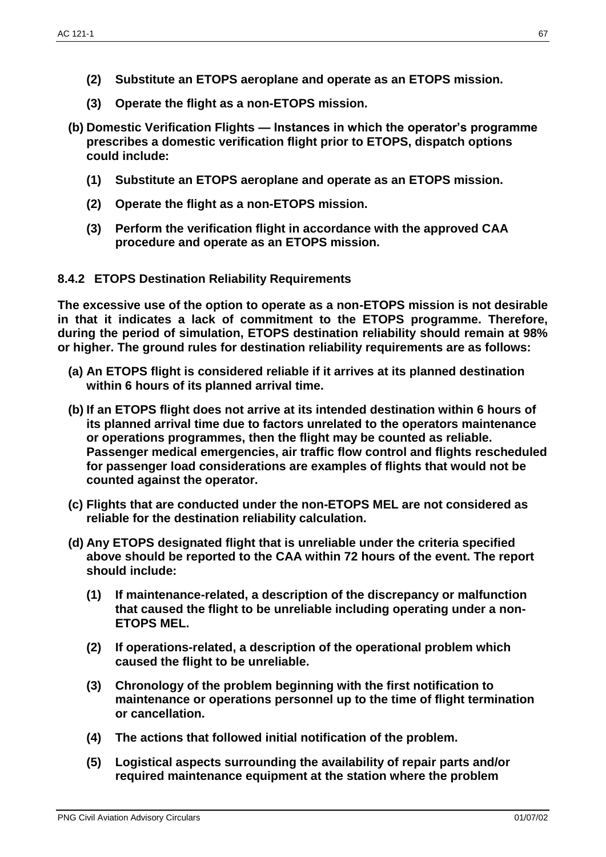- **(2) Substitute an ETOPS aeroplane and operate as an ETOPS mission.**
- **(3) Operate the flight as a non-ETOPS mission.**
- **(b) Domestic Verification Flights — Instances in which the operator's programme prescribes a domestic verification flight prior to ETOPS, dispatch options could include:**
	- **(1) Substitute an ETOPS aeroplane and operate as an ETOPS mission.**
	- **(2) Operate the flight as a non-ETOPS mission.**
	- **(3) Perform the verification flight in accordance with the approved CAA procedure and operate as an ETOPS mission.**

# **8.4.2 ETOPS Destination Reliability Requirements**

**The excessive use of the option to operate as a non-ETOPS mission is not desirable in that it indicates a lack of commitment to the ETOPS programme. Therefore, during the period of simulation, ETOPS destination reliability should remain at 98% or higher. The ground rules for destination reliability requirements are as follows:**

- **(a) An ETOPS flight is considered reliable if it arrives at its planned destination within 6 hours of its planned arrival time.**
- **(b) If an ETOPS flight does not arrive at its intended destination within 6 hours of its planned arrival time due to factors unrelated to the operators maintenance or operations programmes, then the flight may be counted as reliable. Passenger medical emergencies, air traffic flow control and flights rescheduled for passenger load considerations are examples of flights that would not be counted against the operator.**
- **(c) Flights that are conducted under the non-ETOPS MEL are not considered as reliable for the destination reliability calculation.**
- **(d) Any ETOPS designated flight that is unreliable under the criteria specified above should be reported to the CAA within 72 hours of the event. The report should include:**
	- **(1) If maintenance-related, a description of the discrepancy or malfunction that caused the flight to be unreliable including operating under a non-ETOPS MEL.**
	- **(2) If operations-related, a description of the operational problem which caused the flight to be unreliable.**
	- **(3) Chronology of the problem beginning with the first notification to maintenance or operations personnel up to the time of flight termination or cancellation.**
	- **(4) The actions that followed initial notification of the problem.**
	- **(5) Logistical aspects surrounding the availability of repair parts and/or required maintenance equipment at the station where the problem**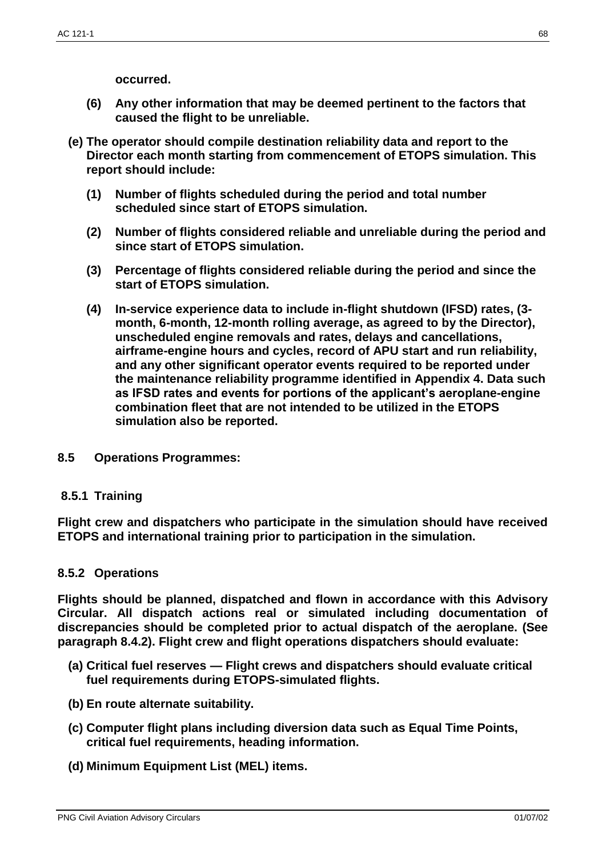**occurred.**

- **(6) Any other information that may be deemed pertinent to the factors that caused the flight to be unreliable.**
- **(e) The operator should compile destination reliability data and report to the Director each month starting from commencement of ETOPS simulation. This report should include:**
	- **(1) Number of flights scheduled during the period and total number scheduled since start of ETOPS simulation.**
	- **(2) Number of flights considered reliable and unreliable during the period and since start of ETOPS simulation.**
	- **(3) Percentage of flights considered reliable during the period and since the start of ETOPS simulation.**
	- **(4) In-service experience data to include in-flight shutdown (IFSD) rates, (3 month, 6-month, 12-month rolling average, as agreed to by the Director), unscheduled engine removals and rates, delays and cancellations, airframe-engine hours and cycles, record of APU start and run reliability, and any other significant operator events required to be reported under the maintenance reliability programme identified in Appendix 4. Data such as IFSD rates and events for portions of the applicant's aeroplane-engine combination fleet that are not intended to be utilized in the ETOPS simulation also be reported.**
- **8.5 Operations Programmes:**

# **8.5.1 Training**

**Flight crew and dispatchers who participate in the simulation should have received ETOPS and international training prior to participation in the simulation.**

# **8.5.2 Operations**

**Flights should be planned, dispatched and flown in accordance with this Advisory Circular. All dispatch actions real or simulated including documentation of discrepancies should be completed prior to actual dispatch of the aeroplane. (See paragraph 8.4.2). Flight crew and flight operations dispatchers should evaluate:**

- **(a) Critical fuel reserves — Flight crews and dispatchers should evaluate critical fuel requirements during ETOPS-simulated flights.**
- **(b) En route alternate suitability.**
- **(c) Computer flight plans including diversion data such as Equal Time Points, critical fuel requirements, heading information.**
- **(d) Minimum Equipment List (MEL) items.**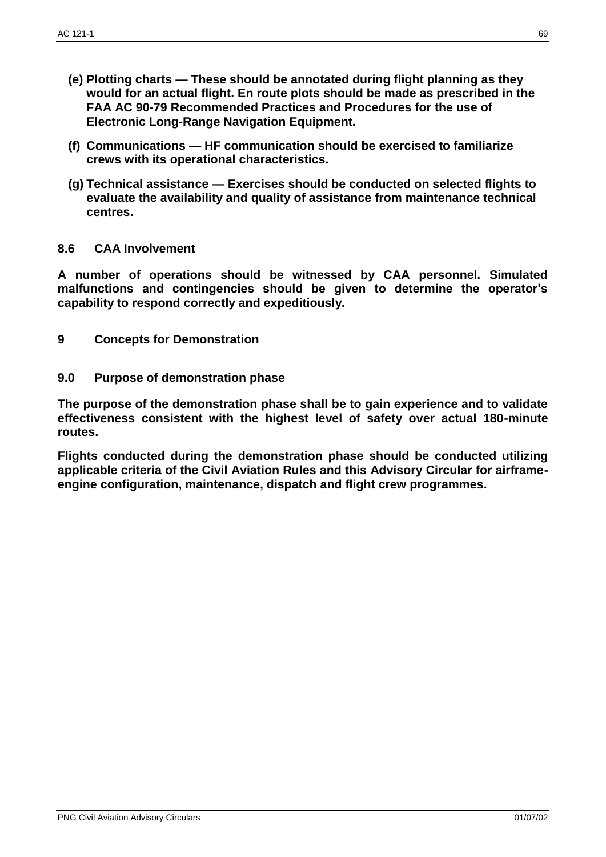- **(e) Plotting charts — These should be annotated during flight planning as they would for an actual flight. En route plots should be made as prescribed in the FAA AC 90-79 Recommended Practices and Procedures for the use of Electronic Long-Range Navigation Equipment.**
- **(f) Communications — HF communication should be exercised to familiarize crews with its operational characteristics.**
- **(g) Technical assistance — Exercises should be conducted on selected flights to evaluate the availability and quality of assistance from maintenance technical centres.**

# **8.6 CAA Involvement**

**A number of operations should be witnessed by CAA personnel. Simulated malfunctions and contingencies should be given to determine the operator's capability to respond correctly and expeditiously.**

- **9 Concepts for Demonstration**
- **9.0 Purpose of demonstration phase**

**The purpose of the demonstration phase shall be to gain experience and to validate effectiveness consistent with the highest level of safety over actual 180-minute routes.**

**Flights conducted during the demonstration phase should be conducted utilizing applicable criteria of the Civil Aviation Rules and this Advisory Circular for airframeengine configuration, maintenance, dispatch and flight crew programmes.**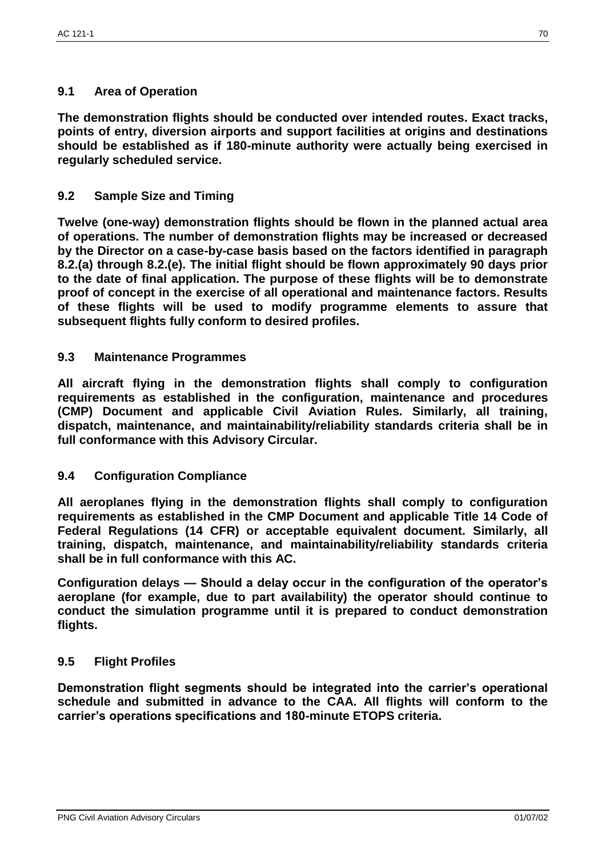# **9.1 Area of Operation**

**The demonstration flights should be conducted over intended routes. Exact tracks, points of entry, diversion airports and support facilities at origins and destinations should be established as if 180-minute authority were actually being exercised in regularly scheduled service.**

# **9.2 Sample Size and Timing**

**Twelve (one-way) demonstration flights should be flown in the planned actual area of operations. The number of demonstration flights may be increased or decreased by the Director on a case-by-case basis based on the factors identified in paragraph 8.2.(a) through 8.2.(e). The initial flight should be flown approximately 90 days prior to the date of final application. The purpose of these flights will be to demonstrate proof of concept in the exercise of all operational and maintenance factors. Results of these flights will be used to modify programme elements to assure that subsequent flights fully conform to desired profiles.**

#### **9.3 Maintenance Programmes**

**All aircraft flying in the demonstration flights shall comply to configuration requirements as established in the configuration, maintenance and procedures (CMP) Document and applicable Civil Aviation Rules. Similarly, all training, dispatch, maintenance, and maintainability/reliability standards criteria shall be in full conformance with this Advisory Circular.**

#### **9.4 Configuration Compliance**

**All aeroplanes flying in the demonstration flights shall comply to configuration requirements as established in the CMP Document and applicable Title 14 Code of Federal Regulations (14 CFR) or acceptable equivalent document. Similarly, all training, dispatch, maintenance, and maintainability/reliability standards criteria shall be in full conformance with this AC.**

**Configuration delays — Should a delay occur in the configuration of the operator's aeroplane (for example, due to part availability) the operator should continue to conduct the simulation programme until it is prepared to conduct demonstration flights.**

# **9.5 Flight Profiles**

**Demonstration flight segments should be integrated into the carrier's operational schedule and submitted in advance to the CAA. All flights will conform to the carrier's operations specifications and 180-minute ETOPS criteria.**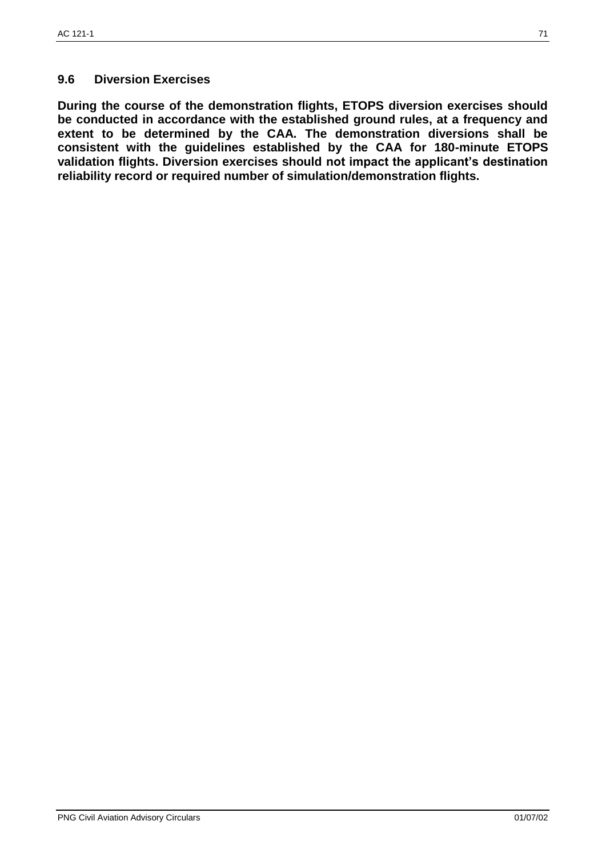# **9.6 Diversion Exercises**

**During the course of the demonstration flights, ETOPS diversion exercises should be conducted in accordance with the established ground rules, at a frequency and extent to be determined by the CAA. The demonstration diversions shall be consistent with the guidelines established by the CAA for 180-minute ETOPS validation flights. Diversion exercises should not impact the applicant's destination reliability record or required number of simulation/demonstration flights.**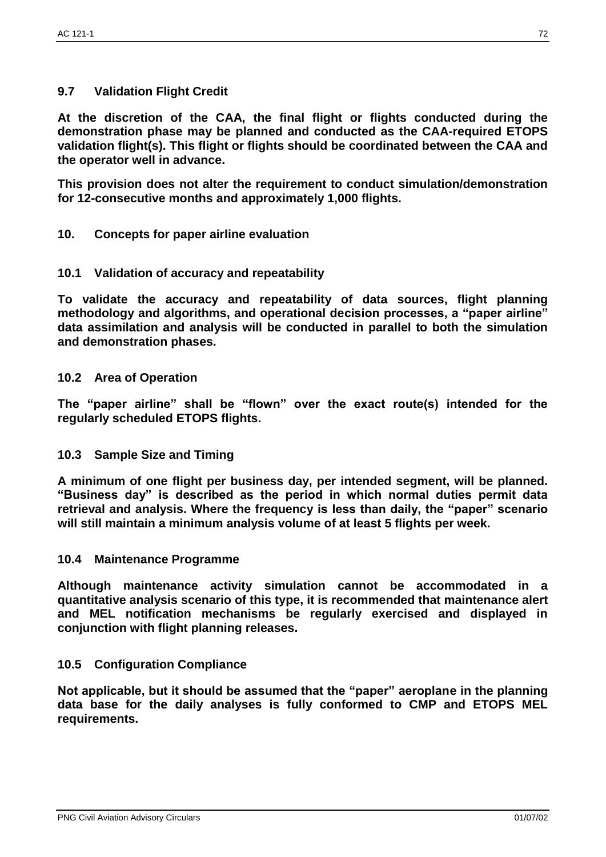# **9.7 Validation Flight Credit**

**At the discretion of the CAA, the final flight or flights conducted during the demonstration phase may be planned and conducted as the CAA-required ETOPS validation flight(s). This flight or flights should be coordinated between the CAA and the operator well in advance.**

**This provision does not alter the requirement to conduct simulation/demonstration for 12-consecutive months and approximately 1,000 flights.**

**10. Concepts for paper airline evaluation** 

### **10.1 Validation of accuracy and repeatability**

**To validate the accuracy and repeatability of data sources, flight planning methodology and algorithms, and operational decision processes, a "paper airline" data assimilation and analysis will be conducted in parallel to both the simulation and demonstration phases.**

### **10.2 Area of Operation**

**The "paper airline" shall be "flown" over the exact route(s) intended for the regularly scheduled ETOPS flights.**

## **10.3 Sample Size and Timing**

**A minimum of one flight per business day, per intended segment, will be planned. "Business day" is described as the period in which normal duties permit data retrieval and analysis. Where the frequency is less than daily, the "paper" scenario will still maintain a minimum analysis volume of at least 5 flights per week.**

#### **10.4 Maintenance Programme**

**Although maintenance activity simulation cannot be accommodated in a quantitative analysis scenario of this type, it is recommended that maintenance alert and MEL notification mechanisms be regularly exercised and displayed in conjunction with flight planning releases.**

#### **10.5 Configuration Compliance**

**Not applicable, but it should be assumed that the "paper" aeroplane in the planning data base for the daily analyses is fully conformed to CMP and ETOPS MEL requirements.**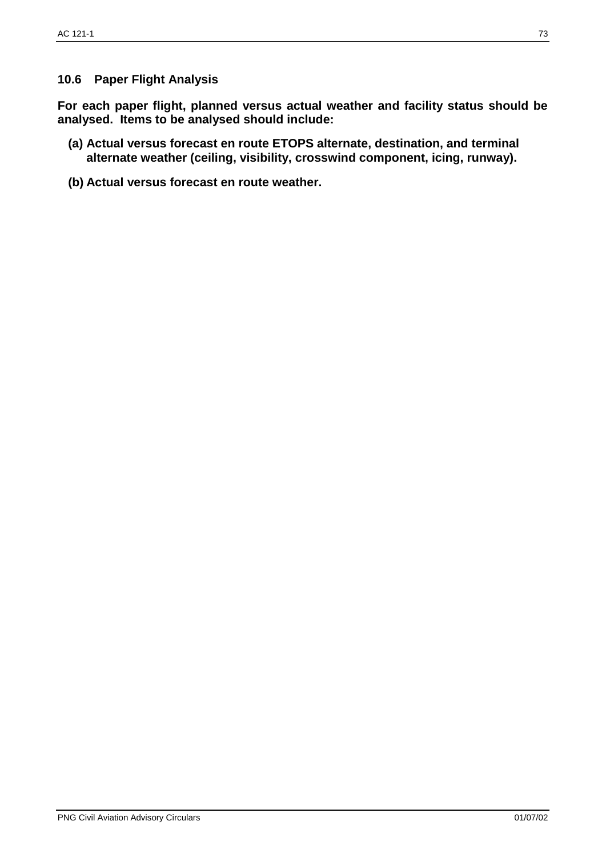# **10.6 Paper Flight Analysis**

**For each paper flight, planned versus actual weather and facility status should be analysed. Items to be analysed should include:**

- **(a) Actual versus forecast en route ETOPS alternate, destination, and terminal alternate weather (ceiling, visibility, crosswind component, icing, runway).**
- **(b) Actual versus forecast en route weather.**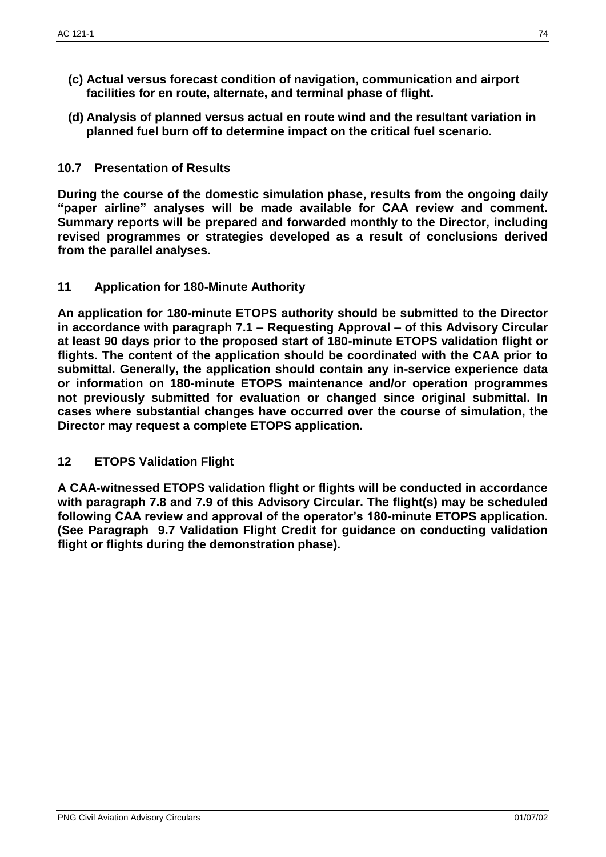- **(c) Actual versus forecast condition of navigation, communication and airport facilities for en route, alternate, and terminal phase of flight.**
- **(d) Analysis of planned versus actual en route wind and the resultant variation in planned fuel burn off to determine impact on the critical fuel scenario.**

# **10.7 Presentation of Results**

**During the course of the domestic simulation phase, results from the ongoing daily "paper airline" analyses will be made available for CAA review and comment. Summary reports will be prepared and forwarded monthly to the Director, including revised programmes or strategies developed as a result of conclusions derived from the parallel analyses.**

**11 Application for 180-Minute Authority**

**An application for 180-minute ETOPS authority should be submitted to the Director in accordance with paragraph 7.1 – Requesting Approval – of this Advisory Circular at least 90 days prior to the proposed start of 180-minute ETOPS validation flight or flights. The content of the application should be coordinated with the CAA prior to submittal. Generally, the application should contain any in-service experience data or information on 180-minute ETOPS maintenance and/or operation programmes not previously submitted for evaluation or changed since original submittal. In cases where substantial changes have occurred over the course of simulation, the Director may request a complete ETOPS application.**

## **12 ETOPS Validation Flight**

**A CAA-witnessed ETOPS validation flight or flights will be conducted in accordance with paragraph 7.8 and 7.9 of this Advisory Circular. The flight(s) may be scheduled following CAA review and approval of the operator's 180-minute ETOPS application. (See Paragraph 9.7 Validation Flight Credit for guidance on conducting validation flight or flights during the demonstration phase).**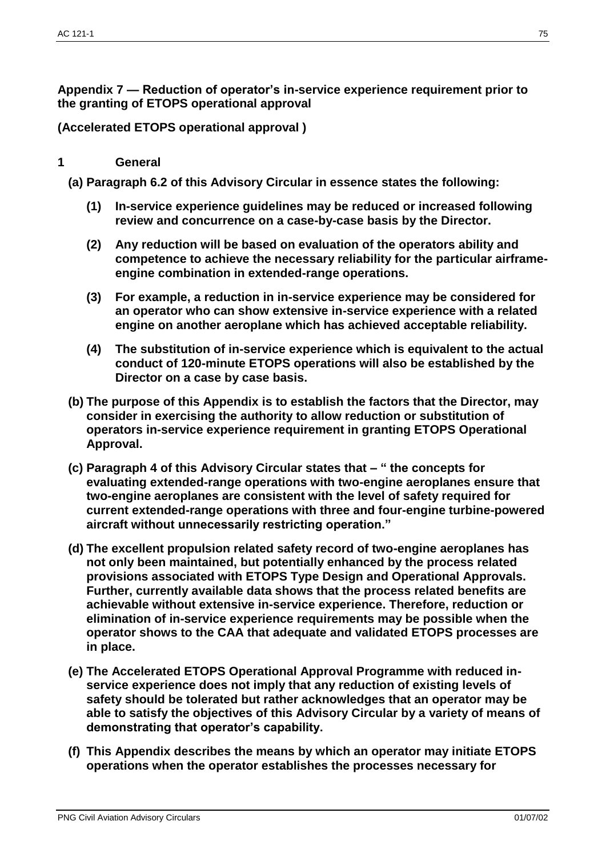**Appendix 7 — Reduction of operator's in-service experience requirement prior to the granting of ETOPS operational approval**

**(Accelerated ETOPS operational approval )**

## **1 General**

**(a) Paragraph 6.2 of this Advisory Circular in essence states the following:**

- **(1) In-service experience guidelines may be reduced or increased following review and concurrence on a case-by-case basis by the Director.**
- **(2) Any reduction will be based on evaluation of the operators ability and competence to achieve the necessary reliability for the particular airframeengine combination in extended-range operations.**
- **(3) For example, a reduction in in-service experience may be considered for an operator who can show extensive in-service experience with a related engine on another aeroplane which has achieved acceptable reliability.**
- **(4) The substitution of in-service experience which is equivalent to the actual conduct of 120-minute ETOPS operations will also be established by the Director on a case by case basis.**
- **(b) The purpose of this Appendix is to establish the factors that the Director, may consider in exercising the authority to allow reduction or substitution of operators in-service experience requirement in granting ETOPS Operational Approval.**
- **(c) Paragraph 4 of this Advisory Circular states that – " the concepts for evaluating extended-range operations with two-engine aeroplanes ensure that two-engine aeroplanes are consistent with the level of safety required for current extended-range operations with three and four-engine turbine-powered aircraft without unnecessarily restricting operation."**
- **(d) The excellent propulsion related safety record of two-engine aeroplanes has not only been maintained, but potentially enhanced by the process related provisions associated with ETOPS Type Design and Operational Approvals. Further, currently available data shows that the process related benefits are achievable without extensive in-service experience. Therefore, reduction or elimination of in-service experience requirements may be possible when the operator shows to the CAA that adequate and validated ETOPS processes are in place.**
- **(e) The Accelerated ETOPS Operational Approval Programme with reduced inservice experience does not imply that any reduction of existing levels of safety should be tolerated but rather acknowledges that an operator may be able to satisfy the objectives of this Advisory Circular by a variety of means of demonstrating that operator's capability.**
- **(f) This Appendix describes the means by which an operator may initiate ETOPS operations when the operator establishes the processes necessary for**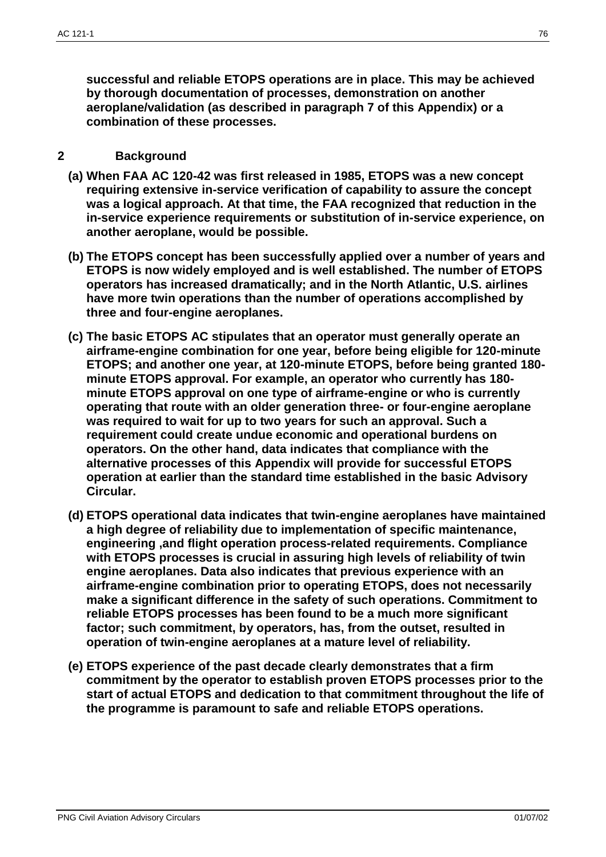**successful and reliable ETOPS operations are in place. This may be achieved by thorough documentation of processes, demonstration on another aeroplane/validation (as described in paragraph 7 of this Appendix) or a combination of these processes.**

### **2 Background**

- **(a) When FAA AC 120-42 was first released in 1985, ETOPS was a new concept requiring extensive in-service verification of capability to assure the concept was a logical approach. At that time, the FAA recognized that reduction in the in-service experience requirements or substitution of in-service experience, on another aeroplane, would be possible.**
- **(b) The ETOPS concept has been successfully applied over a number of years and ETOPS is now widely employed and is well established. The number of ETOPS operators has increased dramatically; and in the North Atlantic, U.S. airlines have more twin operations than the number of operations accomplished by three and four-engine aeroplanes.**
- **(c) The basic ETOPS AC stipulates that an operator must generally operate an airframe-engine combination for one year, before being eligible for 120-minute ETOPS; and another one year, at 120-minute ETOPS, before being granted 180 minute ETOPS approval. For example, an operator who currently has 180 minute ETOPS approval on one type of airframe-engine or who is currently operating that route with an older generation three- or four-engine aeroplane was required to wait for up to two years for such an approval. Such a requirement could create undue economic and operational burdens on operators. On the other hand, data indicates that compliance with the alternative processes of this Appendix will provide for successful ETOPS operation at earlier than the standard time established in the basic Advisory Circular.**
- **(d) ETOPS operational data indicates that twin-engine aeroplanes have maintained a high degree of reliability due to implementation of specific maintenance, engineering ,and flight operation process-related requirements. Compliance with ETOPS processes is crucial in assuring high levels of reliability of twin engine aeroplanes. Data also indicates that previous experience with an airframe-engine combination prior to operating ETOPS, does not necessarily make a significant difference in the safety of such operations. Commitment to reliable ETOPS processes has been found to be a much more significant factor; such commitment, by operators, has, from the outset, resulted in operation of twin-engine aeroplanes at a mature level of reliability.**
- **(e) ETOPS experience of the past decade clearly demonstrates that a firm commitment by the operator to establish proven ETOPS processes prior to the start of actual ETOPS and dedication to that commitment throughout the life of the programme is paramount to safe and reliable ETOPS operations.**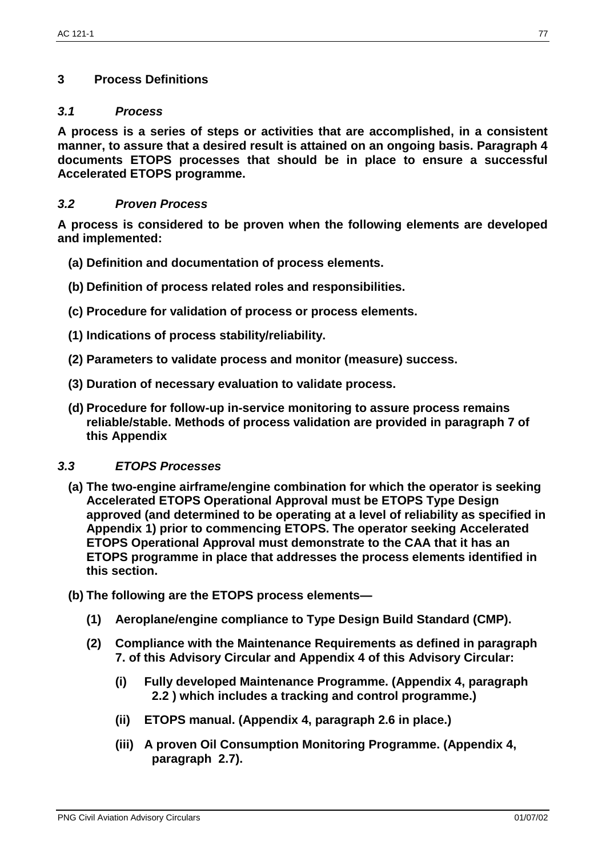## **3 Process Definitions**

#### *3.1 Process*

**A process is a series of steps or activities that are accomplished, in a consistent manner, to assure that a desired result is attained on an ongoing basis. Paragraph 4 documents ETOPS processes that should be in place to ensure a successful Accelerated ETOPS programme.**

## *3.2 Proven Process*

**A process is considered to be proven when the following elements are developed and implemented:**

- **(a) Definition and documentation of process elements.**
- **(b) Definition of process related roles and responsibilities.**
- **(c) Procedure for validation of process or process elements.**
- **(1) Indications of process stability/reliability.**
- **(2) Parameters to validate process and monitor (measure) success.**
- **(3) Duration of necessary evaluation to validate process.**
- **(d) Procedure for follow-up in-service monitoring to assure process remains reliable/stable. Methods of process validation are provided in paragraph 7 of this Appendix**

#### *3.3 ETOPS Processes*

- **(a) The two-engine airframe/engine combination for which the operator is seeking Accelerated ETOPS Operational Approval must be ETOPS Type Design approved (and determined to be operating at a level of reliability as specified in Appendix 1) prior to commencing ETOPS. The operator seeking Accelerated ETOPS Operational Approval must demonstrate to the CAA that it has an ETOPS programme in place that addresses the process elements identified in this section.**
- **(b) The following are the ETOPS process elements—**
	- **(1) Aeroplane/engine compliance to Type Design Build Standard (CMP).**
	- **(2) Compliance with the Maintenance Requirements as defined in paragraph 7. of this Advisory Circular and Appendix 4 of this Advisory Circular:**
		- **(i) Fully developed Maintenance Programme. (Appendix 4, paragraph 2.2 ) which includes a tracking and control programme.)**
		- **(ii) ETOPS manual. (Appendix 4, paragraph 2.6 in place.)**
		- **(iii) A proven Oil Consumption Monitoring Programme. (Appendix 4, paragraph 2.7).**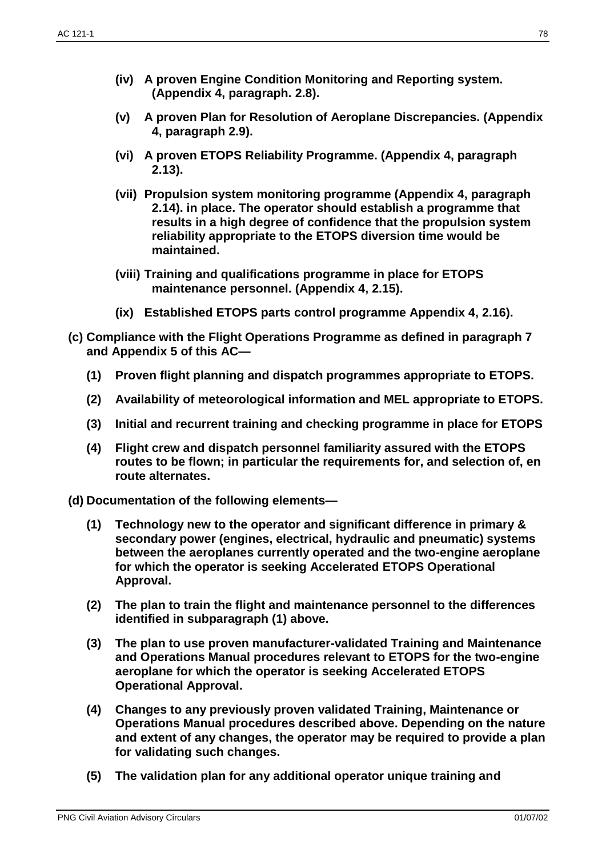- **(iv) A proven Engine Condition Monitoring and Reporting system. (Appendix 4, paragraph. 2.8).**
- **(v) A proven Plan for Resolution of Aeroplane Discrepancies. (Appendix 4, paragraph 2.9).**
- **(vi) A proven ETOPS Reliability Programme. (Appendix 4, paragraph 2.13).**
- **(vii) Propulsion system monitoring programme (Appendix 4, paragraph 2.14). in place. The operator should establish a programme that results in a high degree of confidence that the propulsion system reliability appropriate to the ETOPS diversion time would be maintained.**
- **(viii) Training and qualifications programme in place for ETOPS maintenance personnel. (Appendix 4, 2.15).**
- **(ix) Established ETOPS parts control programme Appendix 4, 2.16).**
- **(c) Compliance with the Flight Operations Programme as defined in paragraph 7 and Appendix 5 of this AC—**
	- **(1) Proven flight planning and dispatch programmes appropriate to ETOPS.**
	- **(2) Availability of meteorological information and MEL appropriate to ETOPS.**
	- **(3) Initial and recurrent training and checking programme in place for ETOPS**
	- **(4) Flight crew and dispatch personnel familiarity assured with the ETOPS routes to be flown; in particular the requirements for, and selection of, en route alternates.**

**(d) Documentation of the following elements—**

- **(1) Technology new to the operator and significant difference in primary & secondary power (engines, electrical, hydraulic and pneumatic) systems between the aeroplanes currently operated and the two-engine aeroplane for which the operator is seeking Accelerated ETOPS Operational Approval.**
- **(2) The plan to train the flight and maintenance personnel to the differences identified in subparagraph (1) above.**
- **(3) The plan to use proven manufacturer-validated Training and Maintenance and Operations Manual procedures relevant to ETOPS for the two-engine aeroplane for which the operator is seeking Accelerated ETOPS Operational Approval.**
- **(4) Changes to any previously proven validated Training, Maintenance or Operations Manual procedures described above. Depending on the nature and extent of any changes, the operator may be required to provide a plan for validating such changes.**
- **(5) The validation plan for any additional operator unique training and**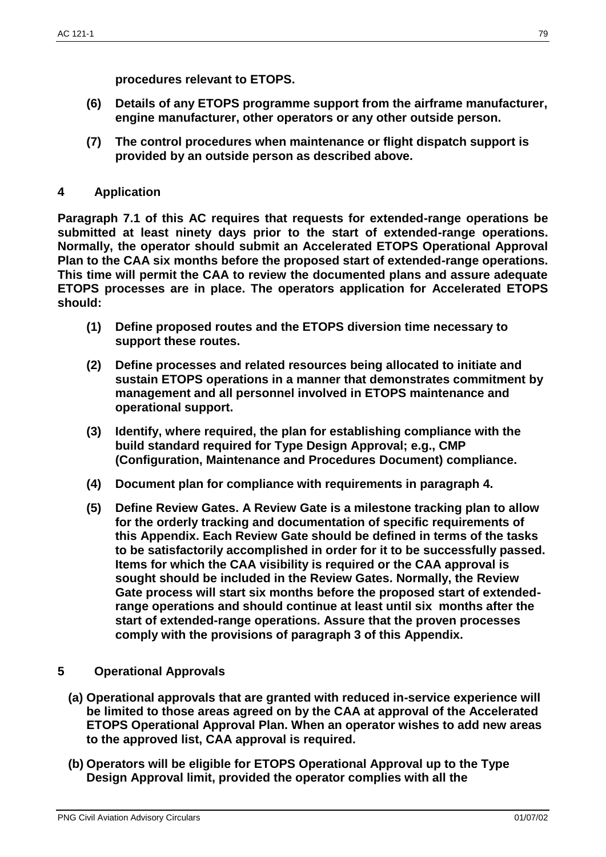**procedures relevant to ETOPS.**

- **(6) Details of any ETOPS programme support from the airframe manufacturer, engine manufacturer, other operators or any other outside person.**
- **(7) The control procedures when maintenance or flight dispatch support is provided by an outside person as described above.**
- **4 Application**

**Paragraph 7.1 of this AC requires that requests for extended-range operations be submitted at least ninety days prior to the start of extended-range operations. Normally, the operator should submit an Accelerated ETOPS Operational Approval Plan to the CAA six months before the proposed start of extended-range operations. This time will permit the CAA to review the documented plans and assure adequate ETOPS processes are in place. The operators application for Accelerated ETOPS should:**

- **(1) Define proposed routes and the ETOPS diversion time necessary to support these routes.**
- **(2) Define processes and related resources being allocated to initiate and sustain ETOPS operations in a manner that demonstrates commitment by management and all personnel involved in ETOPS maintenance and operational support.**
- **(3) Identify, where required, the plan for establishing compliance with the build standard required for Type Design Approval; e.g., CMP (Configuration, Maintenance and Procedures Document) compliance.**
- **(4) Document plan for compliance with requirements in paragraph 4.**
- **(5) Define Review Gates. A Review Gate is a milestone tracking plan to allow for the orderly tracking and documentation of specific requirements of this Appendix. Each Review Gate should be defined in terms of the tasks to be satisfactorily accomplished in order for it to be successfully passed. Items for which the CAA visibility is required or the CAA approval is sought should be included in the Review Gates. Normally, the Review Gate process will start six months before the proposed start of extendedrange operations and should continue at least until six months after the start of extended-range operations. Assure that the proven processes comply with the provisions of paragraph 3 of this Appendix.**
- **5 Operational Approvals**
	- **(a) Operational approvals that are granted with reduced in-service experience will be limited to those areas agreed on by the CAA at approval of the Accelerated ETOPS Operational Approval Plan. When an operator wishes to add new areas to the approved list, CAA approval is required.**
	- **(b) Operators will be eligible for ETOPS Operational Approval up to the Type Design Approval limit, provided the operator complies with all the**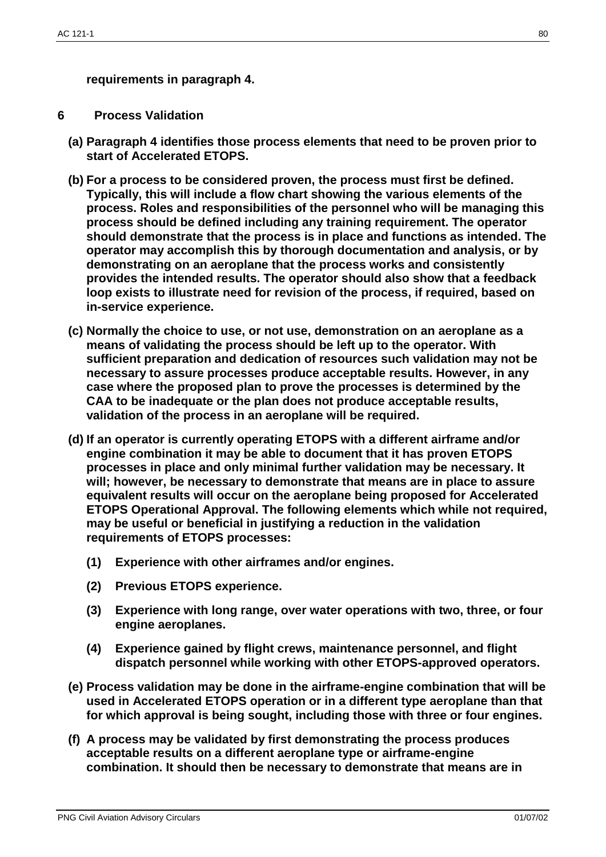**requirements in paragraph 4.**

### **6 Process Validation**

- **(a) Paragraph 4 identifies those process elements that need to be proven prior to start of Accelerated ETOPS.**
- **(b) For a process to be considered proven, the process must first be defined. Typically, this will include a flow chart showing the various elements of the process. Roles and responsibilities of the personnel who will be managing this process should be defined including any training requirement. The operator should demonstrate that the process is in place and functions as intended. The operator may accomplish this by thorough documentation and analysis, or by demonstrating on an aeroplane that the process works and consistently provides the intended results. The operator should also show that a feedback loop exists to illustrate need for revision of the process, if required, based on in-service experience.**
- **(c) Normally the choice to use, or not use, demonstration on an aeroplane as a means of validating the process should be left up to the operator. With sufficient preparation and dedication of resources such validation may not be necessary to assure processes produce acceptable results. However, in any case where the proposed plan to prove the processes is determined by the CAA to be inadequate or the plan does not produce acceptable results, validation of the process in an aeroplane will be required.**
- **(d) If an operator is currently operating ETOPS with a different airframe and/or engine combination it may be able to document that it has proven ETOPS processes in place and only minimal further validation may be necessary. It will; however, be necessary to demonstrate that means are in place to assure equivalent results will occur on the aeroplane being proposed for Accelerated ETOPS Operational Approval. The following elements which while not required, may be useful or beneficial in justifying a reduction in the validation requirements of ETOPS processes:**
	- **(1) Experience with other airframes and/or engines.**
	- **(2) Previous ETOPS experience.**
	- **(3) Experience with long range, over water operations with two, three, or four engine aeroplanes.**
	- **(4) Experience gained by flight crews, maintenance personnel, and flight dispatch personnel while working with other ETOPS-approved operators.**
- **(e) Process validation may be done in the airframe-engine combination that will be used in Accelerated ETOPS operation or in a different type aeroplane than that for which approval is being sought, including those with three or four engines.**
- **(f) A process may be validated by first demonstrating the process produces acceptable results on a different aeroplane type or airframe-engine combination. It should then be necessary to demonstrate that means are in**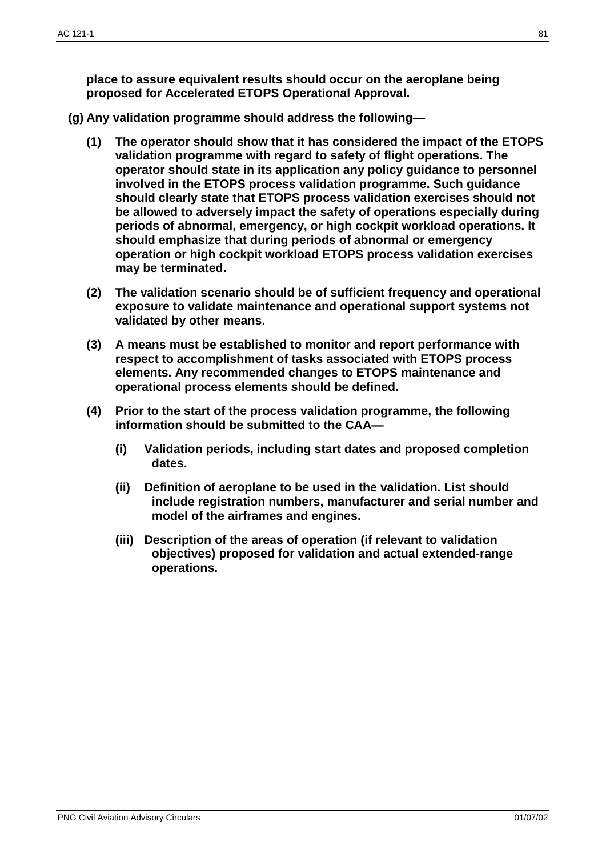**place to assure equivalent results should occur on the aeroplane being proposed for Accelerated ETOPS Operational Approval.**

- **(g) Any validation programme should address the following—**
	- **(1) The operator should show that it has considered the impact of the ETOPS validation programme with regard to safety of flight operations. The operator should state in its application any policy guidance to personnel involved in the ETOPS process validation programme. Such guidance should clearly state that ETOPS process validation exercises should not be allowed to adversely impact the safety of operations especially during periods of abnormal, emergency, or high cockpit workload operations. It should emphasize that during periods of abnormal or emergency operation or high cockpit workload ETOPS process validation exercises may be terminated.**
	- **(2) The validation scenario should be of sufficient frequency and operational exposure to validate maintenance and operational support systems not validated by other means.**
	- **(3) A means must be established to monitor and report performance with respect to accomplishment of tasks associated with ETOPS process elements. Any recommended changes to ETOPS maintenance and operational process elements should be defined.**
	- **(4) Prior to the start of the process validation programme, the following information should be submitted to the CAA—**
		- **(i) Validation periods, including start dates and proposed completion dates.**
		- **(ii) Definition of aeroplane to be used in the validation. List should include registration numbers, manufacturer and serial number and model of the airframes and engines.**
		- **(iii) Description of the areas of operation (if relevant to validation objectives) proposed for validation and actual extended-range operations.**